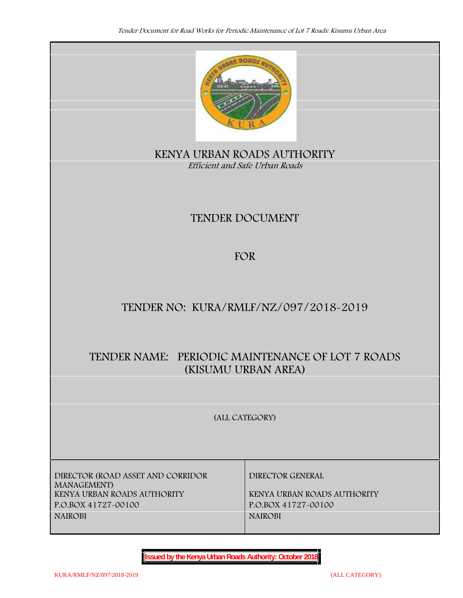

**KENYA URBAN ROADS AUTHORITY** *Efficient and Safe Urban Roads*

# **TENDER DOCUMENT**

# **FOR**

# **TENDER NO: KURA/RMLF/NZ/097/2018-2019**

# **TENDER NAME: PERIODIC MAINTENANCE OF LOT 7 ROADS (KISUMU URBAN AREA)**

**(ALL CATEGORY)**

**DIRECTOR (ROAD ASSET AND CORRIDOR MANAGEMENT) P.O.BOX 41727-00100 P.O.BOX 41727-00100 NAIROBI NAIROBI**

**DIRECTOR GENERAL**

**KENYA URBAN ROADS AUTHORITY KENYA URBAN ROADS AUTHORITY**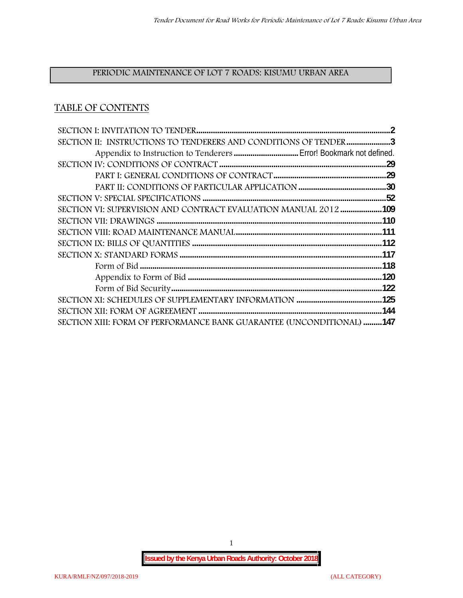# **PERIODIC MAINTENANCE OF LOT 7 ROADS: KISUMU URBAN AREA**

# **TABLE OF CONTENTS**

| SECTION II: INSTRUCTIONS TO TENDERERS AND CONDITIONS OF TENDER 3     |  |
|----------------------------------------------------------------------|--|
|                                                                      |  |
|                                                                      |  |
|                                                                      |  |
|                                                                      |  |
|                                                                      |  |
| SECTION VI: SUPERVISION AND CONTRACT EVALUATION MANUAL 2012109       |  |
|                                                                      |  |
|                                                                      |  |
|                                                                      |  |
|                                                                      |  |
|                                                                      |  |
|                                                                      |  |
|                                                                      |  |
|                                                                      |  |
|                                                                      |  |
| SECTION XIII: FORM OF PERFORMANCE BANK GUARANTEE (UNCONDITIONAL) 147 |  |

1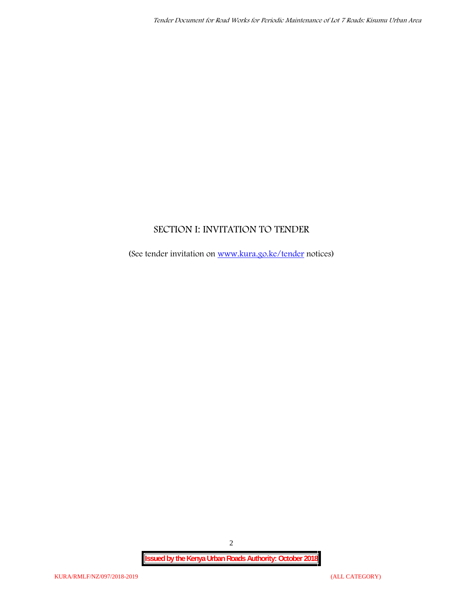# **SECTION I: INVITATION TO TENDER**

(See tender invitation on www.kura.go.ke/tender notices)

2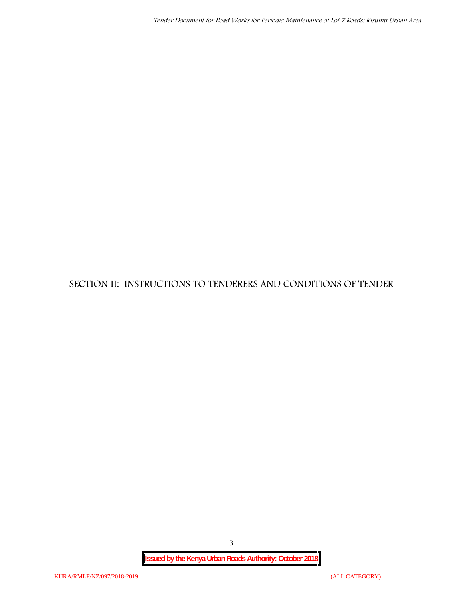**SECTION II: INSTRUCTIONS TO TENDERERS AND CONDITIONS OF TENDER**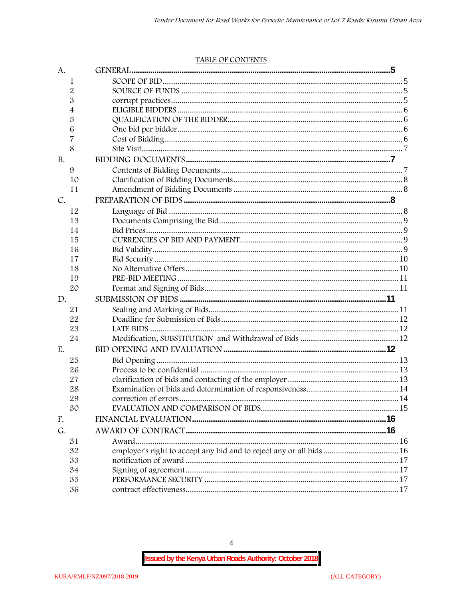#### TABLE OF CONTENTS

| A.        |                                                                      |  |
|-----------|----------------------------------------------------------------------|--|
| 1         |                                                                      |  |
| 2         |                                                                      |  |
| 3         |                                                                      |  |
| 4         |                                                                      |  |
| 5         |                                                                      |  |
| 6         |                                                                      |  |
| 7         |                                                                      |  |
| 8         |                                                                      |  |
| <b>B.</b> |                                                                      |  |
| 9         |                                                                      |  |
| 10        |                                                                      |  |
| 11        |                                                                      |  |
| C.        |                                                                      |  |
| 12        |                                                                      |  |
| 13        |                                                                      |  |
| 14        |                                                                      |  |
| 15        |                                                                      |  |
| 16        |                                                                      |  |
| 17        |                                                                      |  |
| 18        |                                                                      |  |
| 19        |                                                                      |  |
| 20        |                                                                      |  |
| D.        |                                                                      |  |
| 21        |                                                                      |  |
| 22        |                                                                      |  |
| 23        |                                                                      |  |
| 24        |                                                                      |  |
| E.        |                                                                      |  |
| 25        |                                                                      |  |
| 26        |                                                                      |  |
| 27        |                                                                      |  |
| 28        |                                                                      |  |
| 29        |                                                                      |  |
| 30        |                                                                      |  |
| F.        |                                                                      |  |
| G.        |                                                                      |  |
| 31        |                                                                      |  |
| 32        | employer's right to accept any bid and to reject any or all bids  16 |  |
| 33        |                                                                      |  |
| 34        |                                                                      |  |
| 35        |                                                                      |  |
| 36        |                                                                      |  |

 $\overline{4}$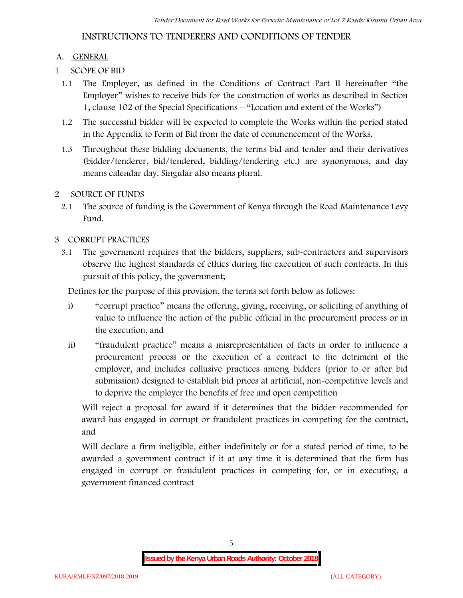# **INSTRUCTIONS TO TENDERERS AND CONDITIONS OF TENDER**

## **A. GENERAL**

- **1 SCOPE OF BID**
	- 1.1 The Employer, as defined in the Conditions of Contract Part II hereinafter "the Employer" wishes to receive bids for the construction of works as described in Section 1, clause 102 of the Special Specifications – "Location and extent of the Works")
	- 1.2 The successful bidder will be expected to complete the Works within the period stated in the Appendix to Form of Bid from the date of commencement of the Works.
	- 1.3 Throughout these bidding documents, the terms bid and tender and their derivatives (bidder/tenderer, bid/tendered, bidding/tendering etc.) are synonymous, and day means calendar day. Singular also means plural.

### **2 SOURCE OF FUNDS**

2.1 The source of funding is the Government of Kenya through the Road Maintenance Levy Fund.

## **3 CORRUPT PRACTICES**

3.1 The government requires that the bidders, suppliers, sub-contractors and supervisors observe the highest standards of ethics during the execution of such contracts. In this pursuit of this policy, the government;

Defines for the purpose of this provision, the terms set forth below as follows:

- i) "corrupt practice" means the offering, giving, receiving, or soliciting of anything of value to influence the action of the public official in the procurement process or in the execution, and
- ii) "fraudulent practice" means a misrepresentation of facts in order to influence a procurement process or the execution of a contract to the detriment of the employer, and includes collusive practices among bidders (prior to or after bid submission) designed to establish bid prices at artificial, non-competitive levels and to deprive the employer the benefits of free and open competition

Will reject a proposal for award if it determines that the bidder recommended for award has engaged in corrupt or fraudulent practices in competing for the contract, and

Will declare a firm ineligible, either indefinitely or for a stated period of time, to be awarded a government contract if it at any time it is determined that the firm has engaged in corrupt or fraudulent practices in competing for, or in executing, a government financed contract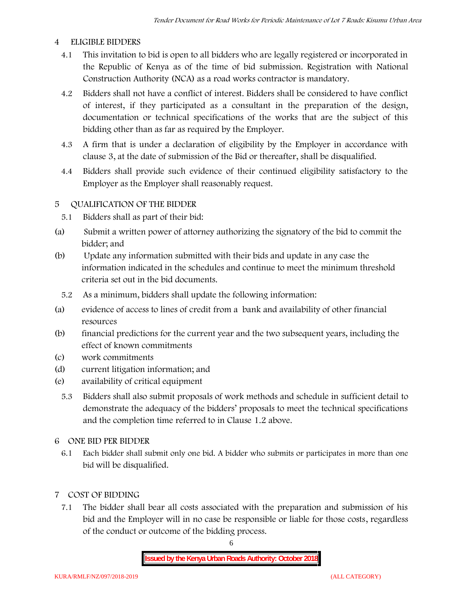#### **4 ELIGIBLE BIDDERS**

- 4.1 This invitation to bid is open to all bidders who are legally registered or incorporated in the Republic of Kenya as of the time of bid submission. Registration with National Construction Authority (NCA) as a road works contractor is mandatory.
- 4.2 Bidders shall not have a conflict of interest. Bidders shall be considered to have conflict of interest, if they participated as a consultant in the preparation of the design, documentation or technical specifications of the works that are the subject of this bidding other than as far as required by the Employer.
- 4.3 A firm that is under a declaration of eligibility by the Employer in accordance with clause 3, at the date of submission of the Bid or thereafter, shall be disqualified.
- 4.4 Bidders shall provide such evidence of their continued eligibility satisfactory to the Employer as the Employer shall reasonably request.

### **5 QUALIFICATION OF THE BIDDER**

- 5.1 Bidders shall as part of their bid:
- (a) Submit a written power of attorney authorizing the signatory of the bid to commit the bidder; and
- (b) Update any information submitted with their bids and update in any case the information indicated in the schedules and continue to meet the minimum threshold criteria set out in the bid documents.
	- 5.2 As a minimum, bidders shall update the following information:
- (a) evidence of access to lines of credit from a bank and availability of other financial resources
- (b) financial predictions for the current year and the two subsequent years, including the effect of known commitments
- (c) work commitments
- (d) current litigation information; and
- (e) availability of critical equipment
	- 5.3 Bidders shall also submit proposals of work methods and schedule in sufficient detail to demonstrate the adequacy of the bidders' proposals to meet the technical specifications and the completion time referred to in Clause 1.2 above.
- **6 ONE BID PER BIDDER**
	- 6.1 Each bidder shall submit only one bid. A bidder who submits or participates in more than one bid will be disqualified.
- **7 COST OF BIDDING**
	- 7.1 The bidder shall bear all costs associated with the preparation and submission of his bid and the Employer will in no case be responsible or liable for those costs, regardless of the conduct or outcome of the bidding process.

6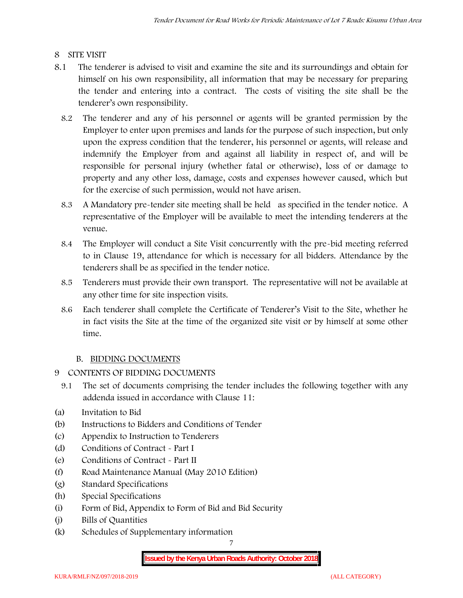## **8 SITE VISIT**

- 8.1 The tenderer is advised to visit and examine the site and its surroundings and obtain for himself on his own responsibility, all information that may be necessary for preparing the tender and entering into a contract. The costs of visiting the site shall be the tenderer's own responsibility.
	- 8.2 The tenderer and any of his personnel or agents will be granted permission by the Employer to enter upon premises and lands for the purpose of such inspection, but only upon the express condition that the tenderer, his personnel or agents, will release and indemnify the Employer from and against all liability in respect of, and will be responsible for personal injury (whether fatal or otherwise), loss of or damage to property and any other loss, damage, costs and expenses however caused, which but for the exercise of such permission, would not have arisen.
	- 8.3 A Mandatory pre-tender site meeting shall be held as specified in the tender notice. A representative of the Employer will be available to meet the intending tenderers at the venue.
	- 8.4 The Employer will conduct a Site Visit concurrently with the pre-bid meeting referred to in Clause 19, attendance for which is necessary for all bidders. Attendance by the tenderers shall be as specified in the tender notice.
	- 8.5 Tenderers must provide their own transport. The representative will not be available at any other time for site inspection visits.
	- 8.6 Each tenderer shall complete the Certificate of Tenderer's Visit to the Site, whether he in fact visits the Site at the time of the organized site visit or by himself at some other time.

## **B. BIDDING DOCUMENTS**

- **9 CONTENTS OF BIDDING DOCUMENTS**
	- 9.1 The set of documents comprising the tender includes the following together with any addenda issued in accordance with Clause 11:
- (a) Invitation to Bid
- (b) Instructions to Bidders and Conditions of Tender
- (c) Appendix to Instruction to Tenderers
- (d) Conditions of Contract Part I
- (e) Conditions of Contract Part II
- (f) Road Maintenance Manual (May 2010 Edition)
- (g) Standard Specifications
- (h) Special Specifications
- (i) Form of Bid, Appendix to Form of Bid and Bid Security
- (j) Bills of Quantities
- (k) Schedules of Supplementary information

7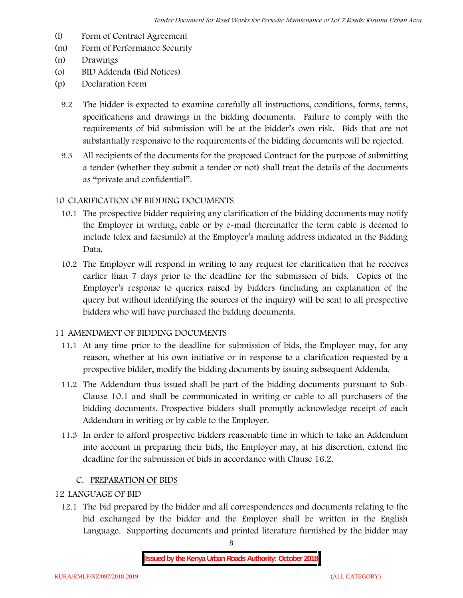- (l) Form of Contract Agreement
- (m) Form of Performance Security
- (n) Drawings
- (o) BID Addenda (Bid Notices)
- (p) Declaration Form
	- 9.2 The bidder is expected to examine carefully all instructions, conditions, forms, terms, specifications and drawings in the bidding documents. Failure to comply with the requirements of bid submission will be at the bidder's own risk. Bids that are not substantially responsive to the requirements of the bidding documents will be rejected.
	- 9.3 All recipients of the documents for the proposed Contract for the purpose of submitting a tender (whether they submit a tender or not) shall treat the details of the documents as "private and confidential".

### **10 CLARIFICATION OF BIDDING DOCUMENTS**

- 10.1 The prospective bidder requiring any clarification of the bidding documents may notify the Employer in writing, cable or by e-mail (hereinafter the term cable is deemed to include telex and facsimile) at the Employer's mailing address indicated in the Bidding Data.
- 10.2 The Employer will respond in writing to any request for clarification that he receives earlier than 7 days prior to the deadline for the submission of bids. Copies of the Employer's response to queries raised by bidders (including an explanation of the query but without identifying the sources of the inquiry) will be sent to all prospective bidders who will have purchased the bidding documents.

### **11 AMENDMENT OF BIDDING DOCUMENTS**

- 11.1 At any time prior to the deadline for submission of bids, the Employer may, for any reason, whether at his own initiative or in response to a clarification requested by a prospective bidder, modify the bidding documents by issuing subsequent Addenda.
- 11.2 The Addendum thus issued shall be part of the bidding documents pursuant to Sub- Clause 10.1 and shall be communicated in writing or cable to all purchasers of the bidding documents. Prospective bidders shall promptly acknowledge receipt of each Addendum in writing or by cable to the Employer.
- 11.3 In order to afford prospective bidders reasonable time in which to take an Addendum into account in preparing their bids, the Employer may, at his discretion, extend the deadline for the submission of bids in accordance with Clause 16.2.

### **C. PREPARATION OF BIDS**

## **12 LANGUAGE OF BID**

12.1 The bid prepared by the bidder and all correspondences and documents relating to the bid exchanged by the bidder and the Employer shall be written in the English Language. Supporting documents and printed literature furnished by the bidder may

8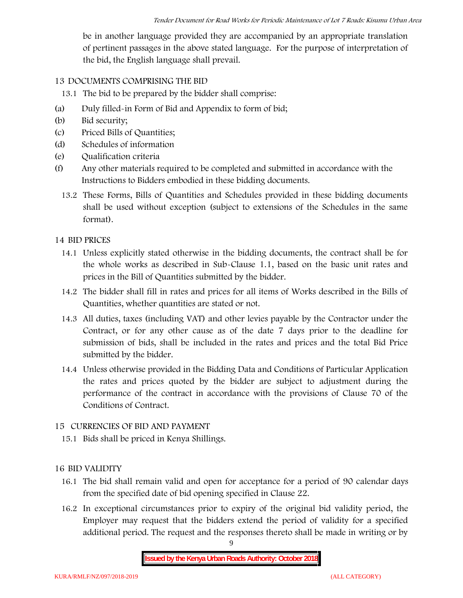be in another language provided they are accompanied by an appropriate translation of pertinent passages in the above stated language. For the purpose of interpretation of the bid, the English language shall prevail.

## **13 DOCUMENTS COMPRISING THE BID**

13.1 The bid to be prepared by the bidder shall comprise:

- (a) Duly filled-in Form of Bid and Appendix to form of bid;
- (b) Bid security;
- (c) Priced Bills of Quantities;
- (d) Schedules of information
- (e) Qualification criteria
- (f) Any other materials required to be completed and submitted in accordance with the Instructions to Bidders embodied in these bidding documents.
	- 13.2 These Forms, Bills of Quantities and Schedules provided in these bidding documents shall be used without exception (subject to extensions of the Schedules in the same format).

### **14 BID PRICES**

- 14.1 Unless explicitly stated otherwise in the bidding documents, the contract shall be for the whole works as described in Sub-Clause 1.1, based on the basic unit rates and prices in the Bill of Quantities submitted by the bidder.
- 14.2 The bidder shall fill in rates and prices for all items of Works described in the Bills of Quantities, whether quantities are stated or not.
- 14.3 All duties, taxes (including VAT) and other levies payable by the Contractor under the Contract, or for any other cause as of the date 7 days prior to the deadline for submission of bids, shall be included in the rates and prices and the total Bid Price submitted by the bidder.
- 14.4 Unless otherwise provided in the Bidding Data and Conditions of Particular Application the rates and prices quoted by the bidder are subject to adjustment during the performance of the contract in accordance with the provisions of Clause 70 of the Conditions of Contract.

### **15 CURRENCIES OF BID AND PAYMENT**

15.1 Bids shall be priced in Kenya Shillings.

### **16 BID VALIDITY**

- 16.1 The bid shall remain valid and open for acceptance for a period of 90 calendar days from the specified date of bid opening specified in Clause 22.
- 16.2 In exceptional circumstances prior to expiry of the original bid validity period, the Employer may request that the bidders extend the period of validity for a specified additional period. The request and the responses thereto shall be made in writing or by

9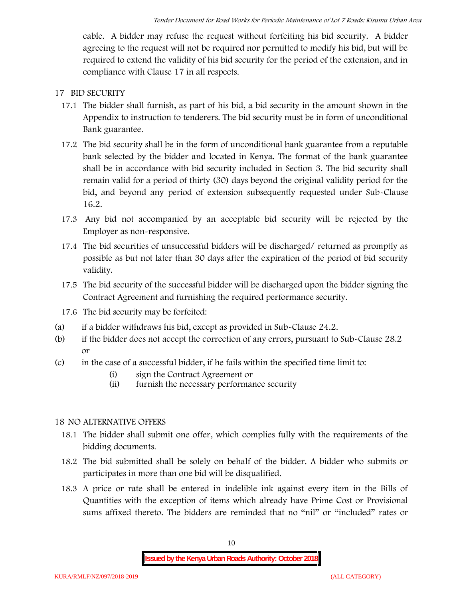cable. A bidder may refuse the request without forfeiting his bid security. A bidder agreeing to the request will not be required nor permitted to modify his bid, but will be required to extend the validity of his bid security for the period of the extension, and in compliance with Clause 17 in all respects.

### **17 BID SECURITY**

- **17.1** The bidder shall furnish, as part of his bid, a bid security in the amount shown in the Appendix to instruction to tenderers. **The bid security must be in form of unconditional Bank guarantee.**
- 17.2 The bid security shall be in the form of unconditional bank guarantee from a reputable bank selected by the bidder and located in Kenya. The format of the bank guarantee shall be in accordance with bid security included in Section 3. The bid security shall remain valid for a period of thirty (30) days beyond the original validity period for the bid, and beyond any period of extension subsequently requested under Sub-Clause 16.2.
- 17.3 Any bid not accompanied by an acceptable bid security will be rejected by the Employer as non-responsive.
- 17.4 The bid securities of unsuccessful bidders will be discharged/ returned as promptly as possible as but not later than 30 days after the expiration of the period of bid security validity.
- 17.5 The bid security of the successful bidder will be discharged upon the bidder signing the Contract Agreement and furnishing the required performance security.
- 17.6 The bid security may be forfeited:
- (a) if a bidder withdraws his bid, except as provided in Sub-Clause 24.2.
- (b) if the bidder does not accept the correction of any errors, pursuant to Sub-Clause 28.2 or
- (c) in the case of a successful bidder, if he fails within the specified time limit to:
	- (i) sign the Contract Agreement or
	- (ii) furnish the necessary performance security

### **18 NO ALTERNATIVE OFFERS**

- 18.1 The bidder shall submit one offer, which complies fully with the requirements of the bidding documents.
- 18.2 The bid submitted shall be solely on behalf of the bidder. A bidder who submits or participates in more than one bid will be disqualified.
- 18.3 A price or rate shall be entered in indelible ink against every item in the Bills of Quantities with the exception of items which already have Prime Cost or Provisional sums affixed thereto. The bidders are reminded that no "nil" or "included" rates or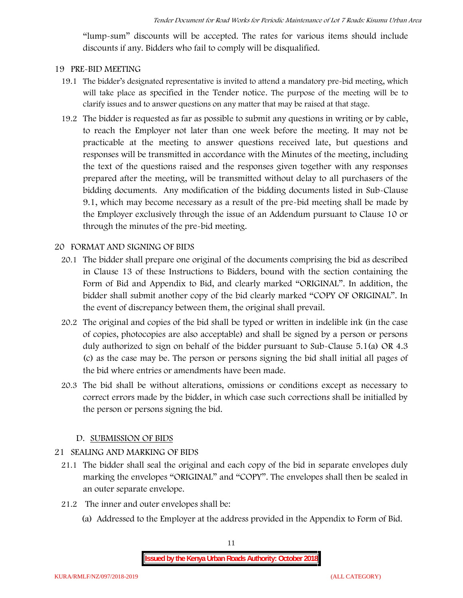"lump-sum" discounts will be accepted. The rates for various items should include discounts if any. Bidders who fail to comply will be disqualified.

#### **19 PRE-BID MEETING**

- 19.1 The bidder's designated representative is invited to attend a mandatory pre-bid meeting, which will take place as specified in the Tender notice. The purpose of the meeting will be to clarify issues and to answer questions on any matter that may be raised at that stage.
- 19.2 The bidder is requested as far as possible to submit any questions in writing or by cable, to reach the Employer not later than one week before the meeting. It may not be practicable at the meeting to answer questions received late, but questions and responses will be transmitted in accordance with the Minutes of the meeting, including the text of the questions raised and the responses given together with any responses prepared after the meeting, will be transmitted without delay to all purchasers of the bidding documents. Any modification of the bidding documents listed in Sub-Clause 9.1, which may become necessary as a result of the pre-bid meeting shall be made by the Employer exclusively through the issue of an Addendum pursuant to Clause 10 or through the minutes of the pre-bid meeting.

#### **20 FORMAT AND SIGNING OF BIDS**

- 20.1 The bidder shall prepare one original of the documents comprising the bid as described in Clause 13 of these Instructions to Bidders, bound with the section containing the Form of Bid and Appendix to Bid, and clearly marked "ORIGINAL". In addition, the bidder shall submit another copy of the bid clearly marked "COPY OF ORIGINAL". In the event of discrepancy between them, the original shall prevail.
- 20.2 The original and copies of the bid shall be typed or written in indelible ink (in the case of copies, photocopies are also acceptable) and shall be signed by a person or persons duly authorized to sign on behalf of the bidder pursuant to Sub-Clause 5.1(a) OR 4.3 (c) as the case may be. The person or persons signing the bid shall initial all pages of the bid where entries or amendments have been made.
- 20.3 The bid shall be without alterations, omissions or conditions except as necessary to correct errors made by the bidder, in which case such corrections shall be initialled by the person or persons signing the bid.

#### **D. SUBMISSION OF BIDS**

### **21 SEALING AND MARKING OF BIDS**

- 21.1 The bidder shall seal the original and each copy of the bid in separate envelopes duly marking the envelopes "ORIGINAL" and "COPY". The envelopes shall then be sealed in an outer separate envelope.
- 21.2 The inner and outer envelopes shall be:
	- (a) Addressed to the Employer at the address provided in the Appendix to Form of Bid.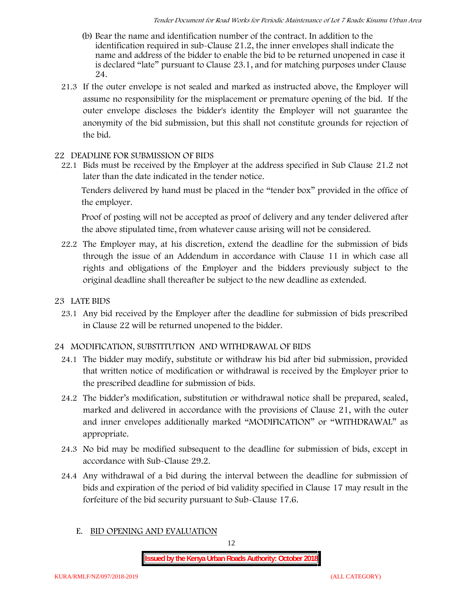- (b) Bear the name and identification number of the contract. In addition to the identification required in sub-Clause 21.2, the inner envelopes shall indicate the name and address of the bidder to enable the bid to be returned unopened in case it is declared "late" pursuant to Clause 23.1, and for matching purposes under Clause 24.
- 21.3 If the outer envelope is not sealed and marked as instructed above, the Employer will assume no responsibility for the misplacement or premature opening of the bid. If the outer envelope discloses the bidder's identity the Employer will not guarantee the anonymity of the bid submission, but this shall not constitute grounds for rejection of the bid.

## **22 DEADLINE FOR SUBMISSION OF BIDS**

22.1 Bids must be received by the Employer at the address specified in Sub Clause 21.2 not later than **the date indicated in the tender notice.**

Tenders delivered by hand must be placed in the "tender box" provided in the office of the employer.

Proof of posting will not be accepted as proof of delivery and any tender delivered after the above stipulated time, from whatever cause arising will not be considered.

- 22.2 The Employer may, at his discretion, extend the deadline for the submission of bids through the issue of an Addendum in accordance with Clause 11 in which case all rights and obligations of the Employer and the bidders previously subject to the original deadline shall thereafter be subject to the new deadline as extended.
- **23 LATE BIDS**
	- 23.1 Any bid received by the Employer after the deadline for submission of bids prescribed in Clause 22 will be returned unopened to the bidder.

## **24 MODIFICATION, SUBSTITUTION AND WITHDRAWAL OF BIDS**

- 24.1 The bidder may modify, substitute or withdraw his bid after bid submission, provided that written notice of modification or withdrawal is received by the Employer prior to the prescribed deadline for submission of bids.
- 24.2 The bidder's modification, substitution or withdrawal notice shall be prepared, sealed, marked and delivered in accordance with the provisions of Clause 21, with the outer and inner envelopes additionally marked "MODIFICATION" or "WITHDRAWAL" as appropriate.
- 24.3 No bid may be modified subsequent to the deadline for submission of bids, except in accordance with Sub-Clause 29.2.
- 24.4 Any withdrawal of a bid during the interval between the deadline for submission of bids and expiration of the period of bid validity specified in Clause 17 may result in the forfeiture of the bid security pursuant to Sub-Clause 17.6.
	- **E. BID OPENING AND EVALUATION**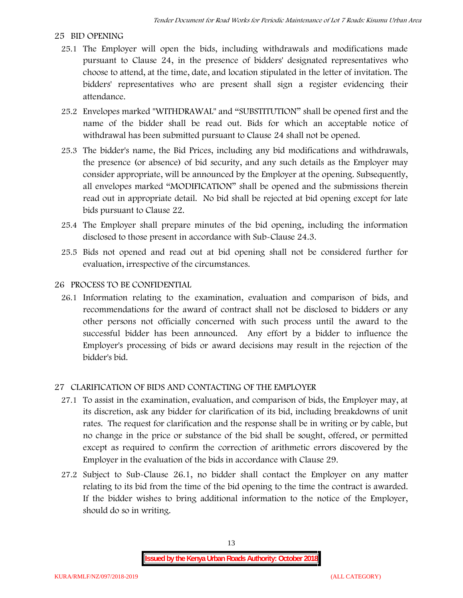## **25 BID OPENING**

- 25.1 The Employer will open the bids, including withdrawals and modifications made pursuant to Clause 24, in the presence of bidders' designated representatives who choose to attend, at the time, date, and location stipulated in the letter of invitation. The bidders' representatives who are present shall sign a register evidencing their attendance.
- 25.2 Envelopes marked "WITHDRAWAL" and "SUBSTITUTION" shall be opened first and the name of the bidder shall be read out. Bids for which an acceptable notice of withdrawal has been submitted pursuant to Clause 24 shall not be opened.
- 25.3 The bidder's name, the Bid Prices, including any bid modifications and withdrawals, the presence (or absence) of bid security, and any such details as the Employer may consider appropriate, will be announced by the Employer at the opening. Subsequently, all envelopes marked "MODIFICATION" shall be opened and the submissions therein read out in appropriate detail. No bid shall be rejected at bid opening except for late bids pursuant to Clause 22.
- 25.4 The Employer shall prepare minutes of the bid opening, including the information disclosed to those present in accordance with Sub-Clause 24.3.
- 25.5 Bids not opened and read out at bid opening shall not be considered further for evaluation, irrespective of the circumstances.

### **26 PROCESS TO BE CONFIDENTIAL**

26.1 Information relating to the examination, evaluation and comparison of bids, and recommendations for the award of contract shall not be disclosed to bidders or any other persons not officially concerned with such process until the award to the successful bidder has been announced. Any effort by a bidder to influence the Employer's processing of bids or award decisions may result in the rejection of the bidder's bid.

## **27 CLARIFICATION OF BIDS AND CONTACTING OF THE EMPLOYER**

- 27.1 To assist in the examination, evaluation, and comparison of bids, the Employer may, at its discretion, ask any bidder for clarification of its bid, including breakdowns of unit rates. The request for clarification and the response shall be in writing or by cable, but no change in the price or substance of the bid shall be sought, offered, or permitted except as required to confirm the correction of arithmetic errors discovered by the Employer in the evaluation of the bids in accordance with Clause 29.
- 27.2 Subject to Sub-Clause 26.1, no bidder shall contact the Employer on any matter relating to its bid from the time of the bid opening to the time the contract is awarded. If the bidder wishes to bring additional information to the notice of the Employer, should do so in writing.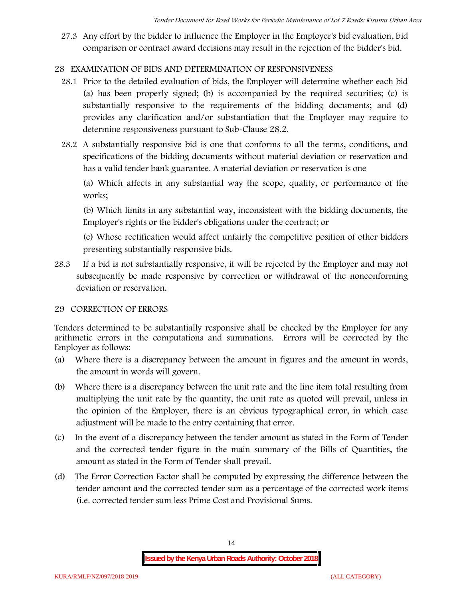27.3 Any effort by the bidder to influence the Employer in the Employer's bid evaluation, bid comparison or contract award decisions may result in the rejection of the bidder's bid.

## **28 EXAMINATION OF BIDS AND DETERMINATION OF RESPONSIVENESS**

- 28.1 Prior to the detailed evaluation of bids, the Employer will determine whether each bid (a) has been properly signed; (b) is accompanied by the required securities; (c) is substantially responsive to the requirements of the bidding documents; and (d) provides any clarification and/or substantiation that the Employer may require to determine responsiveness pursuant to Sub-Clause 28.2.
- 28.2 A substantially responsive bid is one that conforms to all the terms, conditions, and specifications of the bidding documents without material deviation or reservation and has a valid tender bank guarantee. A material deviation or reservation is one

(a) Which affects in any substantial way the scope, quality, or performance of the works;

(b) Which limits in any substantial way, inconsistent with the bidding documents, the Employer's rights or the bidder's obligations under the contract; or

(c) Whose rectification would affect unfairly the competitive position of other bidders presenting substantially responsive bids.

28.3 If a bid is not substantially responsive, it will be rejected by the Employer and may not subsequently be made responsive by correction or withdrawal of the nonconforming deviation or reservation.

### **29 CORRECTION OF ERRORS**

Tenders determined to be substantially responsive shall be checked by the Employer for any arithmetic errors in the computations and summations. Errors will be corrected by the Employer as follows:

- (a) Where there is a discrepancy between the amount in figures and the amount in words, the amount in words will govern.
- (b) Where there is a discrepancy between the unit rate and the line item total resulting from multiplying the unit rate by the quantity, the unit rate as quoted will prevail, unless in the opinion of the Employer, there is an obvious typographical error, in which case adjustment will be made to the entry containing that error.
- (c) In the event of a discrepancy between the tender amount as stated in the Form of Tender and the corrected tender figure in the main summary of the Bills of Quantities, the amount as stated in the Form of Tender shall prevail.
- (d) The Error Correction Factor shall be computed by expressing the difference between the tender amount and the corrected tender sum as a percentage of the corrected work items (i.e. corrected tender sum less Prime Cost and Provisional Sums.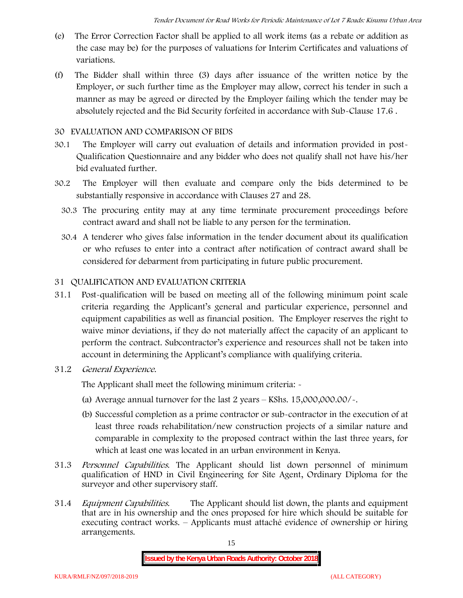- (e) The Error Correction Factor shall be applied to all work items (as a rebate or addition as the case may be) for the purposes of valuations for Interim Certificates and valuations of variations.
- (f) The Bidder shall within three (3) days after issuance of the written notice by the Employer, or such further time as the Employer may allow, correct his tender in such a manner as may be agreed or directed by the Employer failing which the tender may be absolutely rejected and the Bid Security forfeited in accordance with Sub-Clause 17.6 .

#### **30 EVALUATION AND COMPARISON OF BIDS**

- 30.1 The Employer will carry out evaluation of details and information provided in post- Qualification Questionnaire and any bidder who does not qualify shall not have his/her bid evaluated further.
- 30.2 The Employer will then evaluate and compare only the bids determined to be substantially responsive in accordance with Clauses 27 and 28.
	- 30.3 The procuring entity may at any time terminate procurement proceedings before contract award and shall not be liable to any person for the termination.
	- 30.4 A tenderer who gives false information in the tender document about its qualification or who refuses to enter into a contract after notification of contract award shall be considered for debarment from participating in future public procurement.

### **31 QUALIFICATION AND EVALUATION CRITERIA**

- 31.1 Post-qualification will be based on meeting all of the following minimum point scale criteria regarding the Applicant's general and particular experience, personnel and equipment capabilities as well as financial position. The Employer reserves the right to waive minor deviations, if they do not materially affect the capacity of an applicant to perform the contract. Subcontractor's experience and resources shall not be taken into account in determining the Applicant's compliance with qualifying criteria.
- **31.2** *General Experience***.**

The Applicant shall meet the following minimum criteria: -

- (a) Average annual turnover for the last 2 years **KShs. 15,000,000.00/-.**
- (b) Successful completion as a prime contractor or sub-contractor in the execution of at least three roads rehabilitation/new construction projects of a similar nature and comparable in complexity to the proposed contract within the last three years, for which at least one was located in an urban environment in Kenya.
- 31.3 *Personnel Capabilities***.** The Applicant should list down personnel of minimum qualification of HND in Civil Engineering for Site Agent, Ordinary Diploma for the surveyor and other supervisory staff.
- 31.4 *Equipment Capabilities.* The Applicant should list down, the plants and equipment that are in his ownership and the ones proposed for hire which should be suitable for executing contract works. – Applicants must attaché evidence of ownership or hiring arrangements.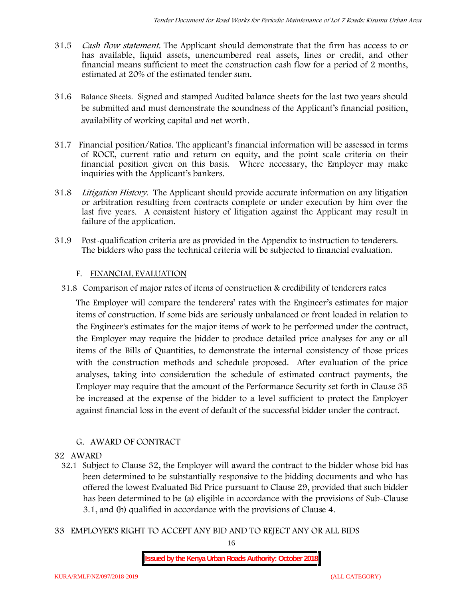- 31.5 *Cash flow statement.* The Applicant should demonstrate that the firm has access to or has available, liquid assets, unencumbered real assets, lines or credit, and other financial means sufficient to meet the construction cash flow for a period of 2 months, estimated at 20% of the estimated tender sum.
- 31.6 **Balance Sheets***.* Signed and stamped Audited balance sheets for the last two years should be submitted and must demonstrate the soundness of the Applicant's financial position, availability of working capital and net worth.
- 31.7 **Financial position/Ratios.** The applicant's financial information will be assessed in terms of ROCE, current ratio and return on equity, and the point scale criteria on their financial position given on this basis. Where necessary, the Employer may make inquiries with the Applicant's bankers.
- 31.8 *Litigation History.* The Applicant should provide accurate information on any litigation or arbitration resulting from contracts complete or under execution by him over the last five years. A consistent history of litigation against the Applicant may result in failure of the application.
- 31.9 Post-qualification criteria are as provided in the Appendix to instruction to tenderers. The bidders who pass the technical criteria will be subjected to financial evaluation.

### **F. FINANCIAL EVALUATION**

31.8 Comparison of major rates of items of construction & credibility of tenderers rates

The Employer will compare the tenderers' rates with the Engineer's estimates for major items of construction. If some bids are seriously unbalanced or front loaded in relation to the Engineer's estimates for the major items of work to be performed under the contract, the Employer may require the bidder to produce detailed price analyses for any or all items of the Bills of Quantities, to demonstrate the internal consistency of those prices with the construction methods and schedule proposed. After evaluation of the price analyses, taking into consideration the schedule of estimated contract payments, the Employer may require that the amount of the Performance Security set forth in Clause 35 be increased at the expense of the bidder to a level sufficient to protect the Employer against financial loss in the event of default of the successful bidder under the contract.

### **G. AWARD OF CONTRACT**

#### **32 AWARD**

- 32.1 Subject to Clause 32, the Employer will award the contract to the bidder whose bid has been determined to be substantially responsive to the bidding documents and who has offered the lowest Evaluated Bid Price pursuant to Clause 29, provided that such bidder has been determined to be (a) eligible in accordance with the provisions of Sub-Clause 3.1, and (b) qualified in accordance with the provisions of Clause 4.
- **33 EMPLOYER'S RIGHT TO ACCEPT ANY BID AND TO REJECT ANY OR ALL BIDS**

16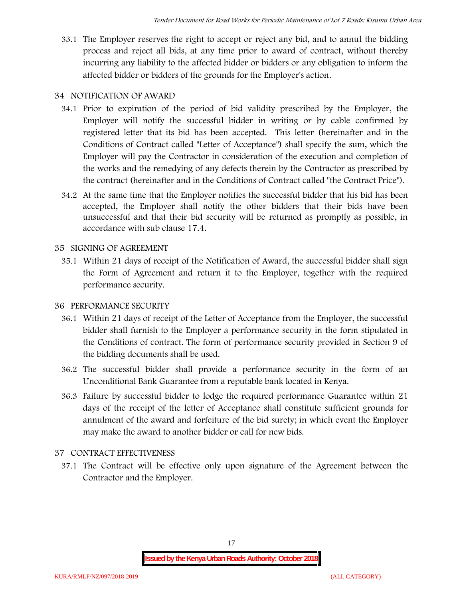33.1 The Employer reserves the right to accept or reject any bid, and to annul the bidding process and reject all bids, at any time prior to award of contract, without thereby incurring any liability to the affected bidder or bidders or any obligation to inform the affected bidder or bidders of the grounds for the Employer's action.

## **34 NOTIFICATION OF AWARD**

- 34.1 Prior to expiration of the period of bid validity prescribed by the Employer, the Employer will notify the successful bidder in writing or by cable confirmed by registered letter that its bid has been accepted. This letter (hereinafter and in the Conditions of Contract called "Letter of Acceptance") shall specify the sum, which the Employer will pay the Contractor in consideration of the execution and completion of the works and the remedying of any defects therein by the Contractor as prescribed by the contract (hereinafter and in the Conditions of Contract called "the Contract Price").
- 34.2 At the same time that the Employer notifies the successful bidder that his bid has been accepted, the Employer shall notify the other bidders that their bids have been unsuccessful and that their bid security will be returned as promptly as possible, in accordance with sub clause 17.4.

### **35 SIGNING OF AGREEMENT**

35.1 Within 21 days of receipt of the Notification of Award, the successful bidder shall sign the Form of Agreement and return it to the Employer, together with the required performance security.

## **36 PERFORMANCE SECURITY**

- 36.1 Within 21 days of receipt of the Letter of Acceptance from the Employer, the successful bidder shall furnish to the Employer a performance security in the form stipulated in the Conditions of contract. The form of performance security provided in Section 9 of the bidding documents shall be used.
- 36.2 The successful bidder shall provide a performance security in the form of an Unconditional Bank Guarantee from a reputable bank located in Kenya.
- 36.3 Failure by successful bidder to lodge the required performance Guarantee within 21 days of the receipt of the letter of Acceptance shall constitute sufficient grounds for annulment of the award and forfeiture of the bid surety; in which event the Employer may make the award to another bidder or call for new bids.

## **37 CONTRACT EFFECTIVENESS**

37.1 The Contract will be effective only upon signature of the Agreement between the Contractor and the Employer.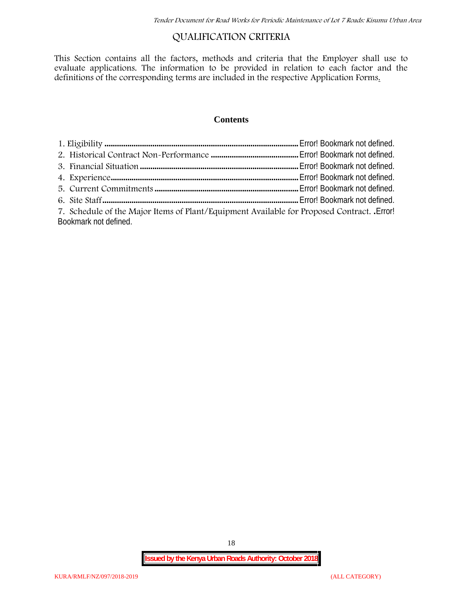# **QUALIFICATION CRITERIA**

This Section contains all the factors, methods and criteria that the Employer shall use to evaluate applications. The information to be provided in relation to each factor and the definitions of the corresponding terms are included in the respective Application Forms.

### **Contents**

| 7. Schedule of the Major Items of Plant/Equipment Available for Proposed Contract. Error! |  |
|-------------------------------------------------------------------------------------------|--|
| Bookmark not defined.                                                                     |  |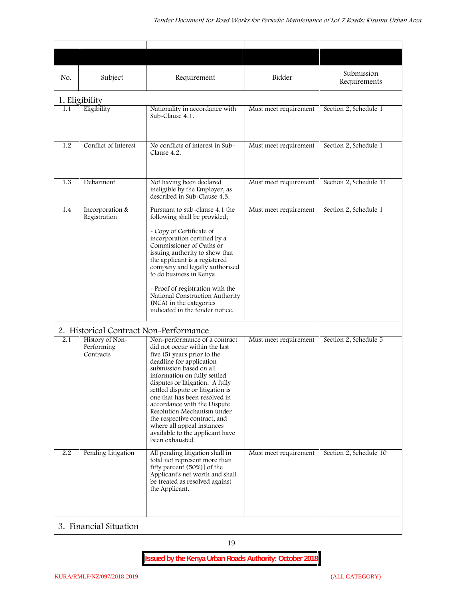| No. | Subject                                    | Requirement                                                                                                                                                                                                                                                                                                                                                                                                                                                                   | Bidder                | Submission<br>Requirements |
|-----|--------------------------------------------|-------------------------------------------------------------------------------------------------------------------------------------------------------------------------------------------------------------------------------------------------------------------------------------------------------------------------------------------------------------------------------------------------------------------------------------------------------------------------------|-----------------------|----------------------------|
|     | 1. Eligibility                             |                                                                                                                                                                                                                                                                                                                                                                                                                                                                               |                       |                            |
| 1.1 | Eligibility                                | Nationality in accordance with<br>Sub-Clause 4.1.                                                                                                                                                                                                                                                                                                                                                                                                                             | Must meet requirement | Section 2, Schedule 1      |
| 1.2 | Conflict of Interest                       | No conflicts of interest in Sub-<br>Clause 4.2.                                                                                                                                                                                                                                                                                                                                                                                                                               | Must meet requirement | Section 2, Schedule 1      |
| 1.3 | Debarment                                  | Not having been declared<br>ineligible by the Employer, as<br>described in Sub-Clause 4.3.                                                                                                                                                                                                                                                                                                                                                                                    | Must meet requirement | Section 2, Schedule 11     |
| 1.4 | Incorporation &<br>Registration            | Pursuant to sub-clause 4.1 the<br>following shall be provided;<br>- Copy of Certificate of<br>incorporation certified by a<br>Commissioner of Oaths or<br>issuing authority to show that<br>the applicant is a registered<br>company and legally authorised<br>to do business in Kenya<br>- Proof of registration with the<br>National Construction Authority<br>(NCA) in the categories<br>indicated in the tender notice.                                                   | Must meet requirement | Section 2, Schedule 1      |
|     | 2. Historical Contract Non-Performance     |                                                                                                                                                                                                                                                                                                                                                                                                                                                                               |                       |                            |
| 2.1 | History of Non-<br>Performing<br>Contracts | Non-performance of a contract<br>did not occur within the last<br>five (5) years prior to the<br>deadline for application<br>submission based on all<br>information on fully settled<br>disputes or litigation. A fully<br>settled dispute or litigation is<br>one that has been resolved in<br>accordance with the Dispute<br>Resolution Mechanism under<br>the respective contract, and<br>where all appeal instances<br>available to the applicant have<br>been exhausted. | Must meet requirement | Section 2, Schedule 5      |
| 2.2 | Pending Litigation                         | All pending litigation shall in<br>total not represent more than<br>fifty percent (50%)] of the<br>Applicant's net worth and shall<br>be treated as resolved against<br>the Applicant.                                                                                                                                                                                                                                                                                        | Must meet requirement | Section 2, Schedule 10     |
|     | 3. Financial Situation                     |                                                                                                                                                                                                                                                                                                                                                                                                                                                                               |                       |                            |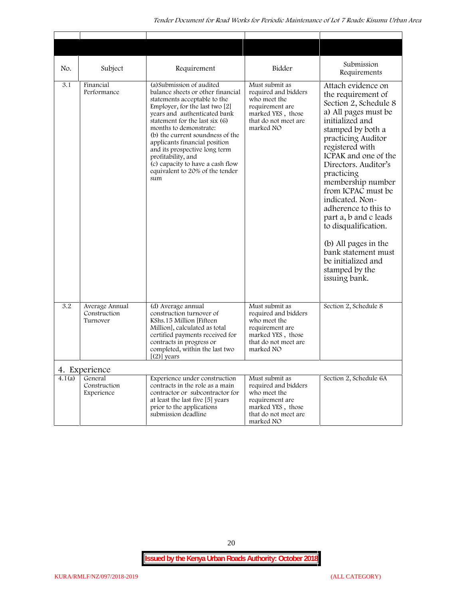| No.    | Subject                                    | Requirement                                                                                                                                                                                                                                                                                                                                                                                                                              | Bidder                                                                                                                              | Submission<br>Requirements                                                                                                                                                                                                                                                                                                                                                                                                                                                              |
|--------|--------------------------------------------|------------------------------------------------------------------------------------------------------------------------------------------------------------------------------------------------------------------------------------------------------------------------------------------------------------------------------------------------------------------------------------------------------------------------------------------|-------------------------------------------------------------------------------------------------------------------------------------|-----------------------------------------------------------------------------------------------------------------------------------------------------------------------------------------------------------------------------------------------------------------------------------------------------------------------------------------------------------------------------------------------------------------------------------------------------------------------------------------|
| 3.1    | Financial<br>Performance                   | (a) Submission of audited<br>balance sheets or other financial<br>statements acceptable to the<br>Employer, for the last two $[2]$<br>years and authenticated bank<br>statement for the last six (6)<br>months to demonstrate:<br>(b) the current soundness of the<br>applicants financial position<br>and its prospective long term<br>profitability, and<br>(c) capacity to have a cash flow<br>equivalent to 20% of the tender<br>sum | Must submit as<br>required and bidders<br>who meet the<br>requirement are<br>marked YES, those<br>that do not meet are<br>marked NO | Attach evidence on<br>the requirement of<br>Section 2, Schedule 8<br>a) All pages must be<br>initialized and<br>stamped by both a<br>practicing Auditor<br>registered with<br>ICPAK and one of the<br>Directors. Auditor's<br>practicing<br>membership number<br>from ICPAC must be<br>indicated. Non-<br>adherence to this to<br>part a, b and c leads<br>to disqualification.<br>(b) All pages in the<br>bank statement must<br>be initialized and<br>stamped by the<br>issuing bank. |
| 3.2    | Average Annual<br>Construction<br>Turnover | (d) Average annual<br>construction turnover of<br>KShs.15 Million [Fifteen]<br>Million], calculated as total<br>certified payments received for<br>contracts in progress or<br>completed, within the last two<br>$[2)]$ years                                                                                                                                                                                                            | Must submit as<br>required and bidders<br>who meet the<br>requirement are<br>marked YES, those<br>that do not meet are<br>marked NO | Section 2, Schedule 8                                                                                                                                                                                                                                                                                                                                                                                                                                                                   |
|        | 4. Experience                              |                                                                                                                                                                                                                                                                                                                                                                                                                                          |                                                                                                                                     |                                                                                                                                                                                                                                                                                                                                                                                                                                                                                         |
| 4.1(a) | General<br>Construction<br>Experience      | Experience under construction<br>contracts in the role as a main<br>contractor or subcontractor for<br>at least the last five [5] years<br>prior to the applications<br>submission deadline                                                                                                                                                                                                                                              | Must submit as<br>required and bidders<br>who meet the<br>requirement are<br>marked YES, those<br>that do not meet are<br>marked NO | Section 2, Schedule 6A                                                                                                                                                                                                                                                                                                                                                                                                                                                                  |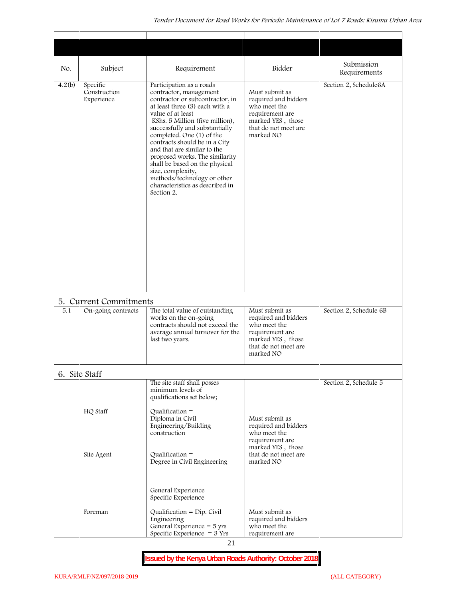| No.              | Subject                                | Requirement                                                                                                                                                                                                                                                                                                                                                                                                                                                                             | Bidder                                                                                                                              | Submission<br>Requirements |
|------------------|----------------------------------------|-----------------------------------------------------------------------------------------------------------------------------------------------------------------------------------------------------------------------------------------------------------------------------------------------------------------------------------------------------------------------------------------------------------------------------------------------------------------------------------------|-------------------------------------------------------------------------------------------------------------------------------------|----------------------------|
| 4.2(b)           | Specific<br>Construction<br>Experience | Participation as a roads<br>contractor, management<br>contractor or subcontractor, in<br>at least three (3) each with a<br>value of at least<br>KShs. 5 Million (five million),<br>successfully and substantially<br>completed. One (1) of the<br>contracts should be in a City<br>and that are similar to the<br>proposed works. The similarity<br>shall be based on the physical<br>size, complexity,<br>methods/technology or other<br>characteristics as described in<br>Section 2. | Must submit as<br>required and bidders<br>who meet the<br>requirement are<br>marked YES, those<br>that do not meet are<br>marked NO | Section 2, Schedule6A      |
| $\overline{5.1}$ | 5. Current Commitments                 | The total value of outstanding                                                                                                                                                                                                                                                                                                                                                                                                                                                          |                                                                                                                                     |                            |
|                  | On-going contracts                     | works on the on-going<br>contracts should not exceed the<br>average annual turnover for the<br>last two years.                                                                                                                                                                                                                                                                                                                                                                          | Must submit as<br>required and bidders<br>who meet the<br>requirement are<br>marked YES, those<br>that do not meet are<br>marked NO | Section 2, Schedule 6B     |
|                  | 6. Site Staff                          |                                                                                                                                                                                                                                                                                                                                                                                                                                                                                         |                                                                                                                                     |                            |
|                  |                                        | The site staff shall posses<br>minimum levels of                                                                                                                                                                                                                                                                                                                                                                                                                                        |                                                                                                                                     | Section 2, Schedule 5      |
|                  | HQ Staff                               | qualifications set below;<br>Qualification $=$<br>Diploma in Civil<br>Engineering/Building<br>construction                                                                                                                                                                                                                                                                                                                                                                              | Must submit as<br>required and bidders                                                                                              |                            |
|                  | Site Agent                             | Qualification $=$<br>Degree in Civil Engineering                                                                                                                                                                                                                                                                                                                                                                                                                                        | who meet the<br>requirement are<br>marked YES, those<br>that do not meet are<br>marked NO                                           |                            |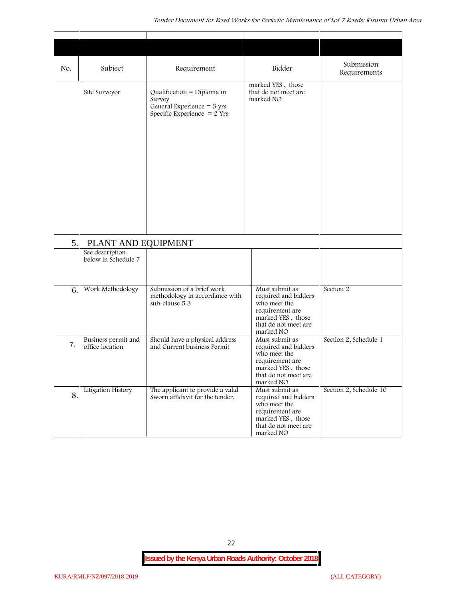| No. | Subject                                | Requirement                                                                                                   | Bidder                                                                                                                              | Submission<br>Requirements |
|-----|----------------------------------------|---------------------------------------------------------------------------------------------------------------|-------------------------------------------------------------------------------------------------------------------------------------|----------------------------|
|     | Site Surveyor                          | Qualification = Diploma in<br>Survey<br>General Experience = $3 \text{ yrs}$<br>Specific Experience $= 2$ Yrs | marked YES, those<br>that do not meet are<br>marked NO                                                                              |                            |
|     |                                        |                                                                                                               |                                                                                                                                     |                            |
| 5.  | PLANT AND EQUIPMENT<br>See description |                                                                                                               |                                                                                                                                     |                            |
|     | below in Schedule 7                    |                                                                                                               |                                                                                                                                     |                            |
| 6.  | Work Methodology                       | Submission of a brief work<br>methodology in accordance with<br>sub-clause 5.3                                | Must submit as<br>required and bidders<br>who meet the<br>requirement are<br>marked YES, those<br>that do not meet are<br>marked NO | Section 2                  |
| 7.  | Business permit and<br>office location | Should have a physical address<br>and Current business Permit                                                 | Must submit as<br>required and bidders<br>who meet the<br>requirement are<br>marked YES, those<br>that do not meet are<br>marked NO | Section 2, Schedule 1      |
| 8.  | Litigation History                     | The applicant to provide a valid<br>Sworn affidavit for the tender.                                           | Must submit as<br>required and bidders<br>who meet the<br>requirement are<br>marked YES, those<br>that do not meet are<br>marked NO | Section 2, Schedule 10     |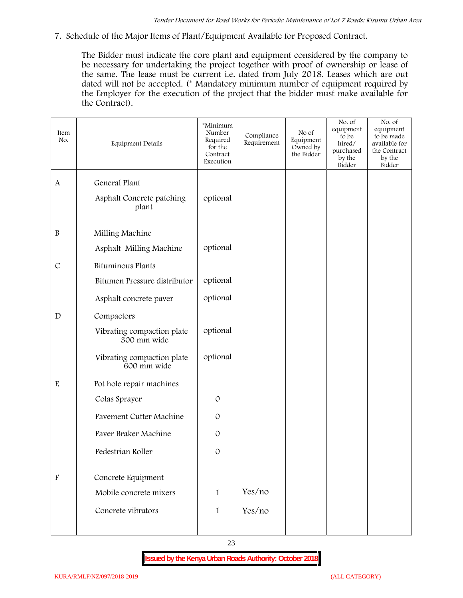**7. Schedule of the Major Items of Plant/Equipment Available for Proposed Contract.**

The Bidder must indicate the core plant and equipment considered by the company to be necessary for undertaking the project together with proof of ownership or lease of the same. The lease must be current i.e. dated from July 2018. Leases which are out dated will not be accepted. (\* Mandatory minimum number of equipment required by the Employer for the execution of the project that the bidder must make available for the Contract).

| Item<br>No.               | Equipment Details                         | *Minimum<br>Number<br>Required<br>for the<br>Contract<br>Execution | Compliance<br>Requirement | No of<br>Equipment<br>Owned by<br>the Bidder | No. of<br>equipment<br>to be<br>hired/<br>purchased<br>by the<br>Bidder | No. of<br>equipment<br>to be made<br>available for<br>the Contract<br>by the<br>Bidder |
|---------------------------|-------------------------------------------|--------------------------------------------------------------------|---------------------------|----------------------------------------------|-------------------------------------------------------------------------|----------------------------------------------------------------------------------------|
| $\mathbf{A}$              | General Plant                             |                                                                    |                           |                                              |                                                                         |                                                                                        |
|                           | Asphalt Concrete patching<br>plant        | optional                                                           |                           |                                              |                                                                         |                                                                                        |
| $\, {\bf B}$              | Milling Machine                           |                                                                    |                           |                                              |                                                                         |                                                                                        |
|                           | Asphalt Milling Machine                   | optional                                                           |                           |                                              |                                                                         |                                                                                        |
| $\mathcal{C}$             | Bituminous Plants                         |                                                                    |                           |                                              |                                                                         |                                                                                        |
|                           | Bitumen Pressure distributor              | optional                                                           |                           |                                              |                                                                         |                                                                                        |
|                           | Asphalt concrete paver                    | optional                                                           |                           |                                              |                                                                         |                                                                                        |
| $\mathbf D$               | Compactors                                |                                                                    |                           |                                              |                                                                         |                                                                                        |
|                           | Vibrating compaction plate<br>300 mm wide | optional                                                           |                           |                                              |                                                                         |                                                                                        |
|                           | Vibrating compaction plate<br>600 mm wide | optional                                                           |                           |                                              |                                                                         |                                                                                        |
| ${\bf E}$                 | Pot hole repair machines                  |                                                                    |                           |                                              |                                                                         |                                                                                        |
|                           | Colas Sprayer                             | $\mathcal{O}$                                                      |                           |                                              |                                                                         |                                                                                        |
|                           | Pavement Cutter Machine                   | $\mathcal{O}$                                                      |                           |                                              |                                                                         |                                                                                        |
|                           | Paver Braker Machine                      | $\mathcal{O}$                                                      |                           |                                              |                                                                         |                                                                                        |
|                           | Pedestrian Roller                         | $\mathcal{O}$                                                      |                           |                                              |                                                                         |                                                                                        |
|                           |                                           |                                                                    |                           |                                              |                                                                         |                                                                                        |
| $\boldsymbol{\mathrm{F}}$ | Concrete Equipment                        |                                                                    |                           |                                              |                                                                         |                                                                                        |
|                           | Mobile concrete mixers                    | $\mathbf{1}$                                                       | Yes/no                    |                                              |                                                                         |                                                                                        |
|                           | Concrete vibrators                        | $\mathbf{1}$                                                       | Yes/no                    |                                              |                                                                         |                                                                                        |
|                           |                                           |                                                                    |                           |                                              |                                                                         |                                                                                        |

23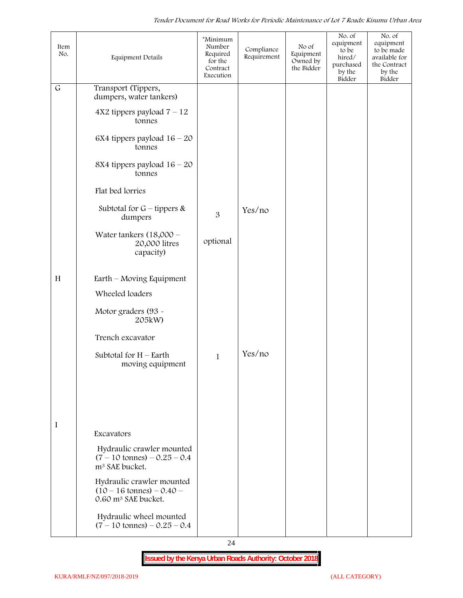| Item<br>No.  | <b>Equipment Details</b>                                                                          | *Minimum<br>Number<br>Required<br>for the<br>Contract<br>Execution | Compliance<br>Requirement | No of<br>Equipment<br>Owned by<br>the Bidder | No. of<br>equipment<br>to be<br>hired/<br>purchased<br>by the<br>Bidder | No. of<br>equipment<br>to be made<br>available for<br>the Contract<br>by the<br>Bidder |  |
|--------------|---------------------------------------------------------------------------------------------------|--------------------------------------------------------------------|---------------------------|----------------------------------------------|-------------------------------------------------------------------------|----------------------------------------------------------------------------------------|--|
| $\mathsf{G}$ | Transport (Tippers,<br>dumpers, water tankers)                                                    |                                                                    |                           |                                              |                                                                         |                                                                                        |  |
|              | $4X2$ tippers payload $7 - 12$<br>tonnes                                                          |                                                                    |                           |                                              |                                                                         |                                                                                        |  |
|              | 6X4 tippers payload $16 - 20$<br>tonnes                                                           |                                                                    |                           |                                              |                                                                         |                                                                                        |  |
|              | 8X4 tippers payload $16 - 20$<br>tonnes                                                           |                                                                    |                           |                                              |                                                                         |                                                                                        |  |
|              | Flat bed lorries                                                                                  |                                                                    |                           |                                              |                                                                         |                                                                                        |  |
|              | Subtotal for $G$ – tippers &<br>dumpers                                                           | 3                                                                  | Yes/no                    |                                              |                                                                         |                                                                                        |  |
|              | Water tankers $(18,000 -$<br>20,000 litres<br>capacity)                                           | optional                                                           |                           |                                              |                                                                         |                                                                                        |  |
| H            | Earth – Moving Equipment                                                                          |                                                                    |                           |                                              |                                                                         |                                                                                        |  |
|              | Wheeled loaders                                                                                   |                                                                    |                           |                                              |                                                                         |                                                                                        |  |
|              | Motor graders (93 -<br>205kW)                                                                     |                                                                    |                           |                                              |                                                                         |                                                                                        |  |
|              | Trench excavator                                                                                  |                                                                    |                           |                                              |                                                                         |                                                                                        |  |
|              | Subtotal for $H$ – Earth<br>moving equipment                                                      | $\mathbf{1}$                                                       | Yes/no                    |                                              |                                                                         |                                                                                        |  |
|              |                                                                                                   |                                                                    |                           |                                              |                                                                         |                                                                                        |  |
|              |                                                                                                   |                                                                    |                           |                                              |                                                                         |                                                                                        |  |
| I            | Excavators                                                                                        |                                                                    |                           |                                              |                                                                         |                                                                                        |  |
|              | Hydraulic crawler mounted<br>$(7 - 10 \text{ tonnes}) - 0.25 - 0.4$<br>m <sup>3</sup> SAE bucket. |                                                                    |                           |                                              |                                                                         |                                                                                        |  |
|              | Hydraulic crawler mounted<br>$(10 - 16 \text{ tonnes}) - 0.40$<br>0.60 m <sup>3</sup> SAE bucket. |                                                                    |                           |                                              |                                                                         |                                                                                        |  |
|              | Hydraulic wheel mounted<br>$(7 - 10 \text{ tonnes}) - 0.25 - 0.4$                                 |                                                                    |                           |                                              |                                                                         |                                                                                        |  |

24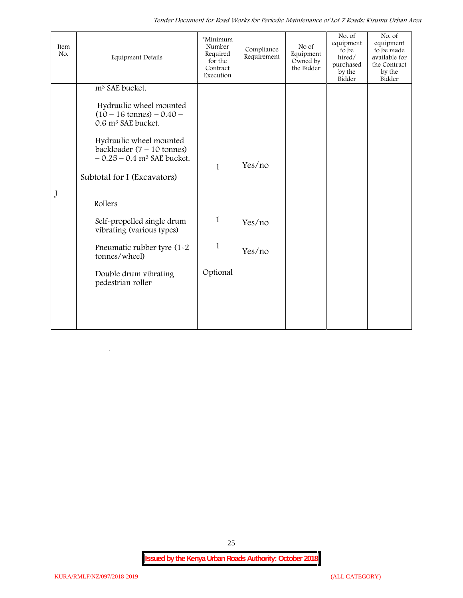*Tender Document for Road Works for Periodic Maintenance of Lot 7 Roads: Kisumu Urban Area*

| Item<br>No. | <b>Equipment Details</b>                                                                            | *Minimum<br>Number<br>Required<br>for the<br>Contract<br>Execution | Compliance<br>Requirement | No of<br>Equipment<br>Owned by<br>the Bidder | No. of<br>equipment<br>to be<br>hired/<br>purchased<br>by the<br>Bidder | No. of<br>equipment<br>to be made<br>available for<br>the Contract<br>by the<br>Bidder |
|-------------|-----------------------------------------------------------------------------------------------------|--------------------------------------------------------------------|---------------------------|----------------------------------------------|-------------------------------------------------------------------------|----------------------------------------------------------------------------------------|
|             | m <sup>3</sup> SAE bucket.                                                                          |                                                                    |                           |                                              |                                                                         |                                                                                        |
|             | Hydraulic wheel mounted<br>$(10 - 16 \text{ tonnes}) - 0.40 -$<br>0.6 m <sup>3</sup> SAE bucket.    |                                                                    |                           |                                              |                                                                         |                                                                                        |
|             | Hydraulic wheel mounted<br>backloader $(7 - 10$ tonnes)<br>$-0.25 - 0.4$ m <sup>3</sup> SAE bucket. | $\mathbf{1}$                                                       | Yes/no                    |                                              |                                                                         |                                                                                        |
|             | Subtotal for I (Excavators)                                                                         |                                                                    |                           |                                              |                                                                         |                                                                                        |
| J           | Rollers                                                                                             |                                                                    |                           |                                              |                                                                         |                                                                                        |
|             | Self-propelled single drum<br>vibrating (various types)                                             | $\mathbf{1}$                                                       | Yes/no                    |                                              |                                                                         |                                                                                        |
|             | Pneumatic rubber tyre (1-2<br>tonnes/wheel)                                                         | $\mathbf{1}$                                                       | Yes/no                    |                                              |                                                                         |                                                                                        |
|             | Double drum vibrating<br>pedestrian roller                                                          | Optional                                                           |                           |                                              |                                                                         |                                                                                        |
|             |                                                                                                     |                                                                    |                           |                                              |                                                                         |                                                                                        |
|             |                                                                                                     |                                                                    |                           |                                              |                                                                         |                                                                                        |

25

 $\overline{\phantom{a}}$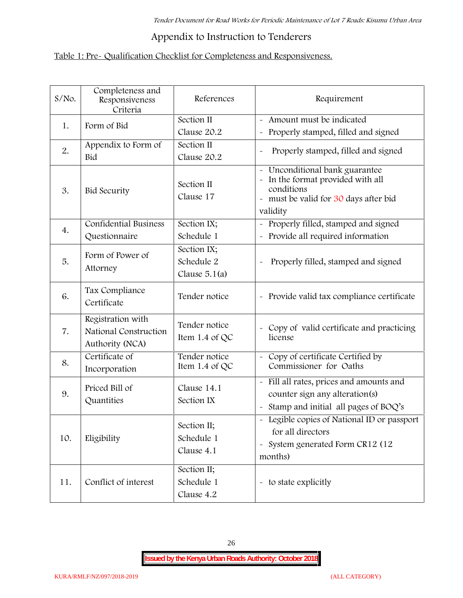# **Appendix to Instruction to Tenderers**

# **Table 1: Pre- Qualification Checklist for Completeness and Responsiveness.**

| $S/NO$ . | Completeness and<br>Responsiveness<br>Criteria                | References                                   | Requirement                                                                                                                        |
|----------|---------------------------------------------------------------|----------------------------------------------|------------------------------------------------------------------------------------------------------------------------------------|
| 1.       | Form of Bid                                                   | Section II<br>Clause 20.2                    | - Amount must be indicated<br>Properly stamped, filled and signed<br>$\tilde{\phantom{a}}$                                         |
| 2.       | Appendix to Form of<br>Bid                                    | Section II<br>Clause 20.2                    | Properly stamped, filled and signed                                                                                                |
| 3.       | <b>Bid Security</b>                                           | Section II<br>Clause 17                      | Unconditional bank guarantee<br>In the format provided with all<br>conditions<br>- must be valid for 30 days after bid<br>validity |
| 4.       | <b>Confidential Business</b><br>Questionnaire                 | Section IX;<br>Schedule 1                    | Properly filled, stamped and signed<br>Provide all required information                                                            |
| 5.       | Form of Power of<br>Attorney                                  | Section IX;<br>Schedule 2<br>Clause $5.1(a)$ | Properly filled, stamped and signed<br>$\tilde{}$                                                                                  |
| 6.       | Tax Compliance<br>Certificate                                 | Tender notice                                | - Provide valid tax compliance certificate                                                                                         |
| 7.       | Registration with<br>National Construction<br>Authority (NCA) | Tender notice<br>Item 1.4 of QC              | - Copy of valid certificate and practicing<br>license                                                                              |
| 8.       | Certificate of<br>Incorporation                               | Tender notice<br>Item 1.4 of $QC$            | Copy of certificate Certified by<br>$\widetilde{\phantom{m}}$<br>Commissioner for Oaths                                            |
| 9.       | Priced Bill of<br>Quantities                                  | Clause 14.1<br>Section IX                    | - Fill all rates, prices and amounts and<br>counter sign any alteration(s)<br>Stamp and initial all pages of BOQ's                 |
| 10.      | Eligibility                                                   | Section II;<br>Schedule 1<br>Clause 4.1      | - Legible copies of National ID or passport<br>for all directors<br>- System generated Form CR12 (12<br>months)                    |
| 11.      | Conflict of interest                                          | Section II;<br>Schedule 1<br>Clause 4.2      | - to state explicitly                                                                                                              |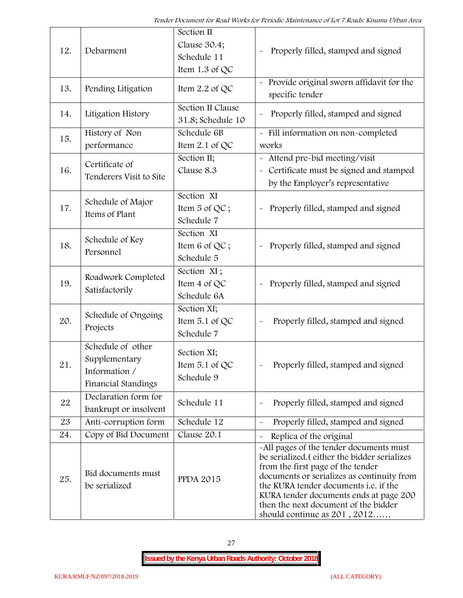| 12. | Debarment                                                                  | Section II<br>Clause 30.4;<br>Schedule 11<br>Item 1.3 of QC | Properly filled, stamped and signed                                                                                                                                                                                                                                                                                                     |
|-----|----------------------------------------------------------------------------|-------------------------------------------------------------|-----------------------------------------------------------------------------------------------------------------------------------------------------------------------------------------------------------------------------------------------------------------------------------------------------------------------------------------|
| 13. | Pending Litigation                                                         | Item 2.2 of QC                                              | Provide original sworn affidavit for the<br>specific tender                                                                                                                                                                                                                                                                             |
| 14. | Litigation History                                                         | Section II Clause<br>31.8; Schedule 10                      | Properly filled, stamped and signed                                                                                                                                                                                                                                                                                                     |
| 15. | History of Non<br>performance                                              | Schedule 6B<br>Item 2.1 of QC                               | - Fill information on non-completed<br>works                                                                                                                                                                                                                                                                                            |
| 16. | Certificate of<br>Tenderers Visit to Site                                  | Section II;<br>Clause 8.3                                   | Attend pre-bid meeting/visit<br>Certificate must be signed and stamped<br>$\widetilde{\phantom{m}}$<br>by the Employer's representative                                                                                                                                                                                                 |
| 17. | Schedule of Major<br>Items of Plant                                        | Section XI<br>Item 5 of QC;<br>Schedule 7                   | Properly filled, stamped and signed                                                                                                                                                                                                                                                                                                     |
| 18. | Schedule of Key<br>Personnel                                               | Section XI<br>Item 6 of QC;<br>Schedule 5                   | Properly filled, stamped and signed                                                                                                                                                                                                                                                                                                     |
| 19. | Roadwork Completed<br>Satisfactorily                                       | Section XI;<br>Item 4 of QC<br>Schedule 6A                  | Properly filled, stamped and signed<br>$\tilde{}$                                                                                                                                                                                                                                                                                       |
| 20. | Schedule of Ongoing<br>Projects                                            | Section XI;<br>Item 5.1 of QC<br>Schedule 7                 | Properly filled, stamped and signed                                                                                                                                                                                                                                                                                                     |
| 21  | Schedule of other<br>Supplementary<br>Information /<br>Financial Standings | Section XI;<br>Item 5.1 of QC<br>Schedule 9                 | Properly filled, stamped and signed                                                                                                                                                                                                                                                                                                     |
| 22  | Declaration form for<br>bankrupt or insolvent                              | Schedule 11                                                 | Properly filled, stamped and signed                                                                                                                                                                                                                                                                                                     |
| 23  | Anti-corruption form                                                       | Schedule 12                                                 | Properly filled, stamped and signed                                                                                                                                                                                                                                                                                                     |
| 24. | Copy of Bid Document                                                       | Clause 20.1                                                 | Replica of the original                                                                                                                                                                                                                                                                                                                 |
| 25. | Bid documents must<br>be serialized                                        | <b>PPDA 2015</b>                                            | -All pages of the tender documents must<br>be serialized. (either the bidder serializes<br>from the first page of the tender<br>documents or serializes as continuity from<br>the KURA tender documents i.e. if the<br>KURA tender documents ends at page 200<br>then the next document of the bidder<br>should continue as $201, 2012$ |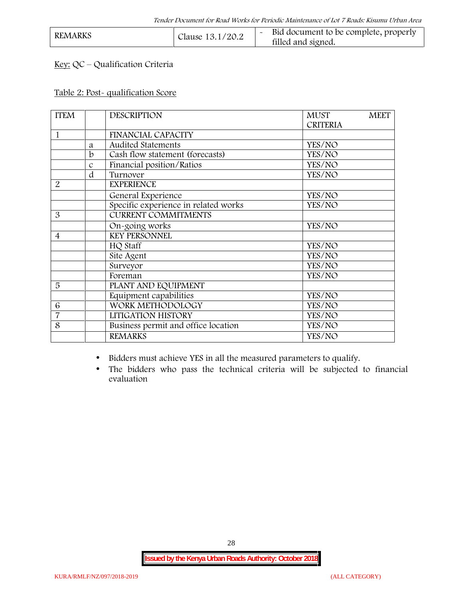| <b>REMARKS</b>   | Bid document to be complete, properly |
|------------------|---------------------------------------|
| Clause 13.1/20.2 | filled and signed.                    |

# **Key:** QC – Qualification Criteria

#### **Table 2: Post- qualification Score**

| <b>ITEM</b>    |               | <b>DESCRIPTION</b>                   | <b>MUST</b>     | <b>MEET</b> |
|----------------|---------------|--------------------------------------|-----------------|-------------|
|                |               |                                      | <b>CRITERIA</b> |             |
| 1              |               | <b>FINANCIAL CAPACITY</b>            |                 |             |
|                | a             | <b>Audited Statements</b>            | YES/NO          |             |
|                | b             | Cash flow statement (forecasts)      | YES/NO          |             |
|                | $\mathcal{C}$ | Financial position/Ratios            | YES/NO          |             |
|                | d             | Turnover                             | YES/NO          |             |
| $\overline{2}$ |               | <b>EXPERIENCE</b>                    |                 |             |
|                |               | General Experience                   | YES/NO          |             |
|                |               | Specific experience in related works | YES/NO          |             |
| 3              |               | <b>CURRENT COMMITMENTS</b>           |                 |             |
|                |               | On-going works                       | YES/NO          |             |
| $\overline{4}$ |               | <b>KEY PERSONNEL</b>                 |                 |             |
|                |               | HQ Staff                             | YES/NO          |             |
|                |               | Site Agent                           | YES/NO          |             |
|                |               | Surveyor                             | YES/NO          |             |
|                |               | Foreman                              | YES/NO          |             |
| 5              |               | PLANT AND EQUIPMENT                  |                 |             |
|                |               | Equipment capabilities               | YES/NO          |             |
| 6              |               | WORK METHODOLOGY                     | YES/NO          |             |
| $\overline{7}$ |               | LITIGATION HISTORY                   | YES/NO          |             |
| 8              |               | Business permit and office location  | YES/NO          |             |
|                |               | <b>REMARKS</b>                       | YES/NO          |             |
|                |               |                                      |                 |             |

Bidders must achieve YES in all the measured parameters to qualify.

 The bidders who pass the technical criteria will be subjected to financial evaluation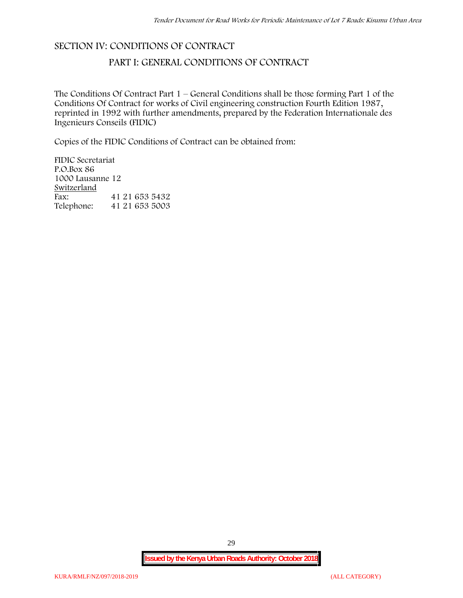### **SECTION IV: CONDITIONS OF CONTRACT**

## **PART I: GENERAL CONDITIONS OF CONTRACT**

The Conditions Of Contract Part 1 – General Conditions shall be those forming Part 1 of the Conditions Of Contract for works of Civil engineering construction Fourth Edition 1987, reprinted in 1992 with further amendments, prepared by the Federation Internationale des Ingenieurs Conseils (FIDIC)

Copies of the FIDIC Conditions of Contract can be obtained from:

FIDIC Secretariat P.O.Box 86 1000 Lausanne 12 **Switzerland** Fax: 41 21 653 5432 Telephone: 41 21 653 5003

29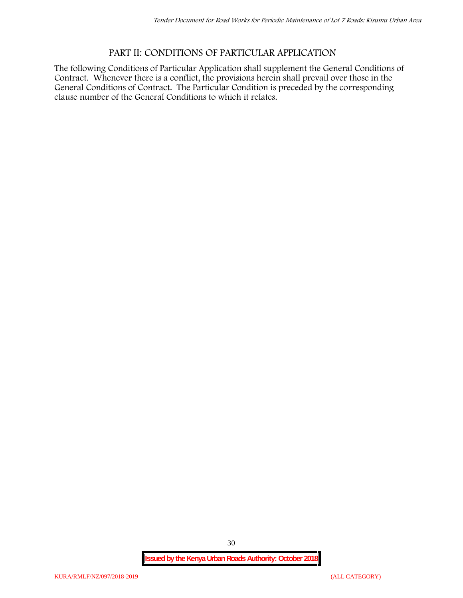# **PART II: CONDITIONS OF PARTICULAR APPLICATION**

The following Conditions of Particular Application shall supplement the General Conditions of Contract. Whenever there is a conflict, the provisions herein shall prevail over those in the General Conditions of Contract. The Particular Condition is preceded by the corresponding clause number of the General Conditions to which it relates.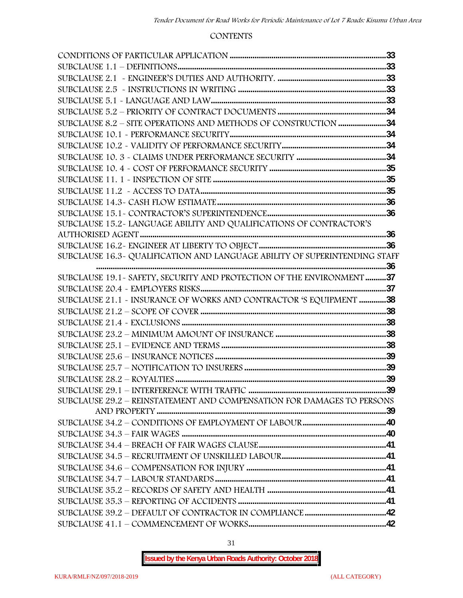#### **CONTENTS**

| SUBCLAUSE 15.2-LANGUAGE ABILITY AND QUALIFICATIONS OF CONTRACTOR'S         |  |
|----------------------------------------------------------------------------|--|
|                                                                            |  |
|                                                                            |  |
| SUBCLAUSE 16.3- QUALIFICATION AND LANGUAGE ABILITY OF SUPERINTENDING STAFF |  |
|                                                                            |  |
| SUBCLAUSE 19.1 - SAFETY, SECURITY AND PROTECTION OF THE ENVIRONMENT 37     |  |
|                                                                            |  |
| SUBCLAUSE 21.1 - INSURANCE OF WORKS AND CONTRACTOR 'S EQUIPMENT 38         |  |
|                                                                            |  |
|                                                                            |  |
|                                                                            |  |
|                                                                            |  |
|                                                                            |  |
|                                                                            |  |
|                                                                            |  |
|                                                                            |  |
| SUBCLAUSE 29.2 - REINSTATEMENT AND COMPENSATION FOR DAMAGES TO PERSONS     |  |
|                                                                            |  |
|                                                                            |  |
|                                                                            |  |
|                                                                            |  |
|                                                                            |  |
|                                                                            |  |
|                                                                            |  |
|                                                                            |  |
|                                                                            |  |
|                                                                            |  |
|                                                                            |  |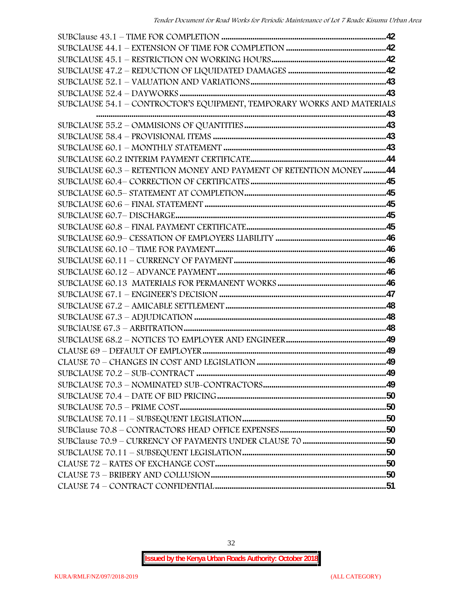| SUBCLAUSE 54.1 - CONTROCTOR'S EQUIPMENT, TEMPORARY WORKS AND MATERIALS |  |
|------------------------------------------------------------------------|--|
|                                                                        |  |
|                                                                        |  |
|                                                                        |  |
|                                                                        |  |
|                                                                        |  |
| SUBCLAUSE 60.3 - RETENTION MONEY AND PAYMENT OF RETENTION MONEY44      |  |
|                                                                        |  |
|                                                                        |  |
|                                                                        |  |
|                                                                        |  |
|                                                                        |  |
|                                                                        |  |
|                                                                        |  |
|                                                                        |  |
|                                                                        |  |
|                                                                        |  |
|                                                                        |  |
|                                                                        |  |
|                                                                        |  |
|                                                                        |  |
|                                                                        |  |
|                                                                        |  |
|                                                                        |  |
|                                                                        |  |
|                                                                        |  |
|                                                                        |  |
|                                                                        |  |
|                                                                        |  |
|                                                                        |  |
|                                                                        |  |
|                                                                        |  |
|                                                                        |  |
|                                                                        |  |
|                                                                        |  |

32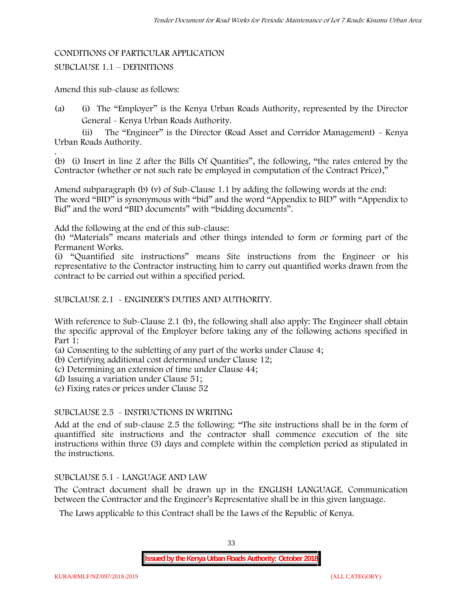#### CONDITIONS OF PARTICULAR APPLICATION

#### SUBCLAUSE 1.1 – DEFINITIONS

Amend this sub-clause as follows:

(a) (i) The "Employer" is the Kenya Urban Roads Authority, represented by the Director General - Kenya Urban Roads Authority.

(ii) The "Engineer" is the Director (Road Asset and Corridor Management) - Kenya Urban Roads Authority.

.(b) (i) Insert in line 2 after the Bills Of Quantities", the following, "the rates entered by the Contractor (whether or not such rate be employed in computation of the Contract Price),"

Amend subparagraph (b) (v) of Sub-Clause 1.1 by adding the following words at the end: The word "BID" is synonymous with "bid" and the word "Appendix to BID" with "Appendix to Bid" and the word "BID documents" with "bidding documents".

Add the following at the end of this sub-clause:

(h) "Materials" means materials and other things intended to form or forming part of the Permanent Works.

(i) "Quantified site instructions" means Site instructions from the Engineer or his representative to the Contractor instructing him to carry out quantified works drawn from the contract to be carried out within a specified period.

#### SUBCLAUSE 2.1 - ENGINEER'S DUTIES AND AUTHORITY.

With reference to Sub-Clause 2.1 (b), the following shall also apply: The Engineer shall obtain the specific approval of the Employer before taking any of the following actions specified in Part 1:

(a) Consenting to the subletting of any part of the works under Clause 4;

(b) Certifying additional cost determined under Clause 12;

(c) Determining an extension of time under Clause 44;

(d) Issuing a variation under Clause 51;

(e) Fixing rates or prices under Clause 52

#### SUBCLAUSE 2.5 - INSTRUCTIONS IN WRITING

Add at the end of sub-clause 2.5 the following: "The site instructions shall be in the form of quantiffied site instructions and the contractor shall commence execution of the site instructions within three (3) days and complete within the completion period as stipulated in the instructions.

### SUBCLAUSE 5.1 - LANGUAGE AND LAW

The Contract document shall be drawn up in the ENGLISH LANGUAGE. Communication between the Contractor and the Engineer's Representative shall be in this given language.

The Laws applicable to this Contract shall be the Laws of the Republic of Kenya.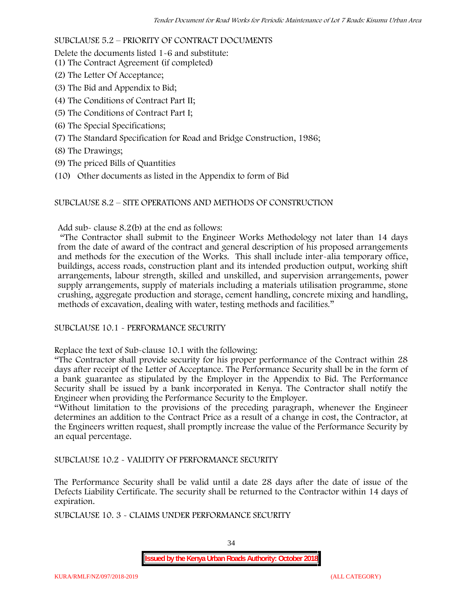### SUBCLAUSE 5.2 – PRIORITY OF CONTRACT DOCUMENTS

Delete the documents listed 1-6 and substitute:

- (1) The Contract Agreement (if completed)
- (2) The Letter Of Acceptance;
- (3) The Bid and Appendix to Bid;
- (4) The Conditions of Contract Part II;
- (5) The Conditions of Contract Part I;
- (6) The Special Specifications;
- (7) The Standard Specification for Road and Bridge Construction, 1986;
- (8) The Drawings;
- (9) The priced Bills of Quantities
- (10) Other documents as listed in the Appendix to form of Bid

### SUBCLAUSE 8.2 – SITE OPERATIONS AND METHODS OF CONSTRUCTION

Add sub- clause 8.2(b) at the end as follows:

"The Contractor shall submit to the Engineer Works Methodology not later than 14 days from the date of award of the contract and general description of his proposed arrangements and methods for the execution of the Works. This shall include inter-alia temporary office, buildings, access roads, construction plant and its intended production output, working shift arrangements, labour strength, skilled and unskilled, and supervision arrangements, power supply arrangements, supply of materials including a materials utilisation programme, stone crushing, aggregate production and storage, cement handling, concrete mixing and handling, methods of excavation, dealing with water, testing methods and facilities."

### SUBCLAUSE 10.1 - PERFORMANCE SECURITY

Replace the text of Sub-clause 10.1 with the following:

"The Contractor shall provide security for his proper performance of the Contract within 28 days after receipt of the Letter of Acceptance. The Performance Security shall be in the form of a bank guarantee as stipulated by the Employer in the Appendix to Bid. The Performance Security shall be issued by a bank incorporated in Kenya. The Contractor shall notify the Engineer when providing the Performance Security to the Employer.

"Without limitation to the provisions of the preceding paragraph, whenever the Engineer determines an addition to the Contract Price as a result of a change in cost, the Contractor, at the Engineers written request, shall promptly increase the value of the Performance Security by an equal percentage.

SUBCLAUSE 10.2 - VALIDITY OF PERFORMANCE SECURITY

The Performance Security shall be valid until a date 28 days after the date of issue of the Defects Liability Certificate. The security shall be returned to the Contractor within 14 days of expiration.

SUBCLAUSE 10. 3 - CLAIMS UNDER PERFORMANCE SECURITY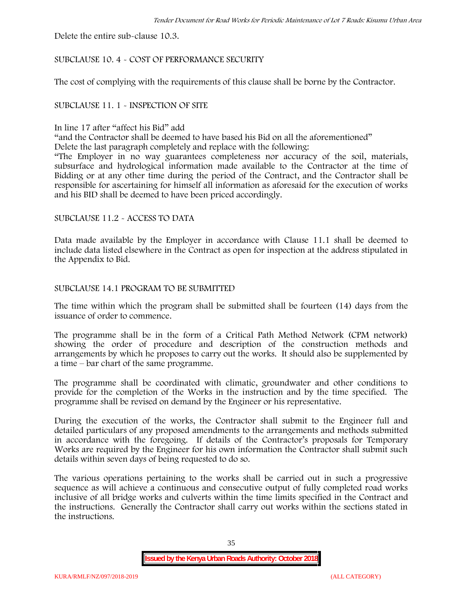Delete the entire sub-clause 10.3.

### SUBCLAUSE 10. 4 - COST OF PERFORMANCE SECURITY

The cost of complying with the requirements of this clause shall be borne by the Contractor.

#### SUBCLAUSE 11. 1 - INSPECTION OF SITE

#### In line 17 after "affect his Bid" add

"and the Contractor shall be deemed to have based his Bid on all the aforementioned"

Delete the last paragraph completely and replace with the following:

"The Employer in no way guarantees completeness nor accuracy of the soil, materials, subsurface and hydrological information made available to the Contractor at the time of Bidding or at any other time during the period of the Contract, and the Contractor shall be responsible for ascertaining for himself all information as aforesaid for the execution of works and his BID shall be deemed to have been priced accordingly.

#### SUBCLAUSE 11.2 - ACCESS TO DATA

Data made available by the Employer in accordance with Clause 11.1 shall be deemed to include data listed elsewhere in the Contract as open for inspection at the address stipulated in the Appendix to Bid.

#### SUBCLAUSE 14.1 PROGRAM TO BE SUBMITTED

The time within which the program shall be submitted shall be fourteen (14) days from the issuance of order to commence**.**

The programme shall be in the form of a Critical Path Method Network (CPM network) showing the order of procedure and description of the construction methods and arrangements by which he proposes to carry out the works. It should also be supplemented by a time – bar chart of the same programme.

The programme shall be coordinated with climatic, groundwater and other conditions to provide for the completion of the Works in the instruction and by the time specified. The programme shall be revised on demand by the Engineer or his representative.

During the execution of the works, the Contractor shall submit to the Engineer full and detailed particulars of any proposed amendments to the arrangements and methods submitted in accordance with the foregoing. If details of the Contractor's proposals for Temporary Works are required by the Engineer for his own information the Contractor shall submit such details within seven days of being requested to do so.

The various operations pertaining to the works shall be carried out in such a progressive sequence as will achieve a continuous and consecutive output of fully completed road works inclusive of all bridge works and culverts within the time limits specified in the Contract and the instructions. Generally the Contractor shall carry out works within the sections stated in the instructions.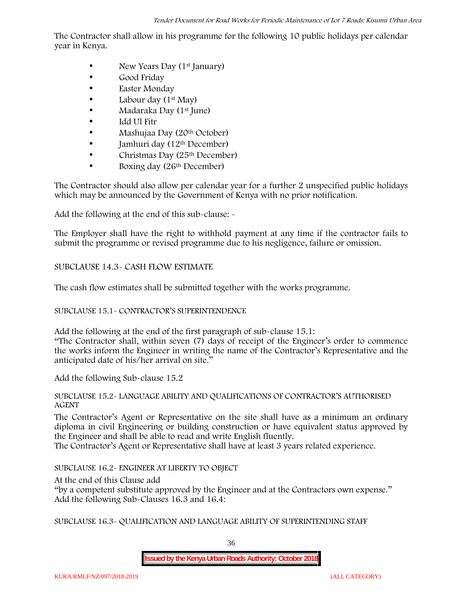The Contractor shall allow in his programme for the following 10 public holidays per calendar year in Kenya.

- New Years Day  $(1<sup>st</sup>$  January)
- Good Friday
- Easter Monday
- Labour day (1<sup>st</sup> May)
- Madaraka Day (1<sup>st</sup> June)
- Idd Ul Fitr
- Mashujaa Day (20<sup>th</sup> October)
- Jamhuri day (12<sup>th</sup> December)
- $\bullet$  Christmas Day (25<sup>th</sup> December)
- Boxing day (26<sup>th</sup> December)

The Contractor should also allow per calendar year for a further 2 unspecified public holidays which may be announced by the Government of Kenya with no prior notification.

Add the following at the end of this sub-clause: -

The Employer shall have the right to withhold payment at any time if the contractor fails to submit the programme or revised programme due to his negligence, failure or omission.

## SUBCLAUSE 14.3- CASH FLOW ESTIMATE

The cash flow estimates shall be submitted together with the works programme.

## SUBCLAUSE 15.1- CONTRACTOR'S SUPERINTENDENCE

Add the following at the end of the first paragraph of sub-clause 15.1: "The Contractor shall, within seven (7) days of receipt of the Engineer's order to commence the works inform the Engineer in writing the name of the Contractor's Representative and the anticipated date of his/her arrival on site."

Add the following Sub-clause 15.2

## SUBCLAUSE 15.2- LANGUAGE ABILITY AND QUALIFICATIONS OF CONTRACTOR'S AUTHORISED AGENT

The Contractor's Agent or Representative on the site shall have as a minimum an ordinary diploma in civil Engineering or building construction or have equivalent status approved by the Engineer and shall be able to read and write English fluently.

The Contractor's Agent or Representative shall have at least 3 years related experience.

SUBCLAUSE 16.2- ENGINEER AT LIBERTY TO OBJECT

At the end of this Clause add

"by a competent substitute approved by the Engineer and at the Contractors own expense." Add the following Sub-Clauses 16.3 and 16.4:

SUBCLAUSE 16.3- QUALIFICATION AND LANGUAGE ABILITY OF SUPERINTENDING STAFF

36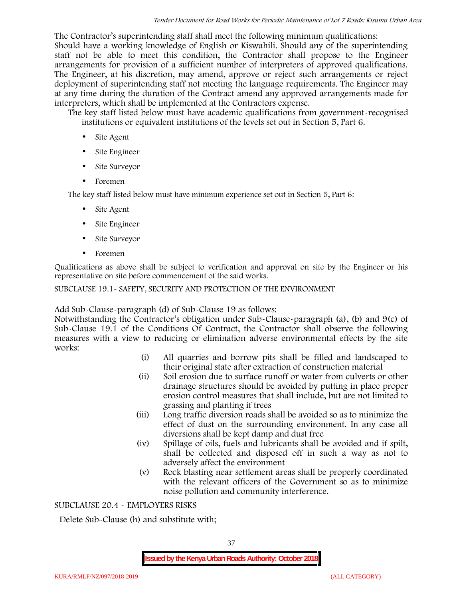The Contractor's superintending staff shall meet the following minimum qualifications: Should have a working knowledge of English or Kiswahili. Should any of the superintending staff not be able to meet this condition, the Contractor shall propose to the Engineer arrangements for provision of a sufficient number of interpreters of approved qualifications. The Engineer, at his discretion, may amend, approve or reject such arrangements or reject deployment of superintending staff not meeting the language requirements. The Engineer may at any time during the duration of the Contract amend any approved arrangements made for interpreters, which shall be implemented at the Contractors expense.

The key staff listed below must have academic qualifications from government-recognised institutions or equivalent institutions of the levels set out in Section 5, Part 6.

- Site Agent
- Site Engineer
- Site Surveyor
- Foremen

The key staff listed below must have minimum experience set out in Section 5, Part 6:

- Site Agent
- Site Engineer
- Site Surveyor
- Foremen

Qualifications as above shall be subject to verification and approval on site by the Engineer or his representative on site before commencement of the said works.

## SUBCLAUSE 19.1- SAFETY, SECURITY AND PROTECTION OF THE ENVIRONMENT

Add Sub-Clause-paragraph (d) of Sub-Clause 19 as follows:

Notwithstanding the Contractor's obligation under Sub-Clause-paragraph (a), (b) and 9(c) of Sub-Clause 19.1 of the Conditions Of Contract, the Contractor shall observe the following measures with a view to reducing or elimination adverse environmental effects by the site works:

- (i) All quarries and borrow pits shall be filled and landscaped to their original state after extraction of construction material
- (ii) Soil erosion due to surface runoff or water from culverts or other drainage structures should be avoided by putting in place proper erosion control measures that shall include, but are not limited to grassing and planting if trees
- (iii) Long traffic diversion roads shall be avoided so as to minimize the effect of dust on the surrounding environment. In any case all diversions shall be kept damp and dust free
- (iv) Spillage of oils, fuels and lubricants shall be avoided and if spilt, shall be collected and disposed off in such a way as not to adversely affect the environment
- (v) Rock blasting near settlement areas shall be properly coordinated with the relevant officers of the Government so as to minimize noise pollution and community interference.

## SUBCLAUSE 20.4 - EMPLOYERS RISKS

Delete Sub-Clause (h) and substitute with;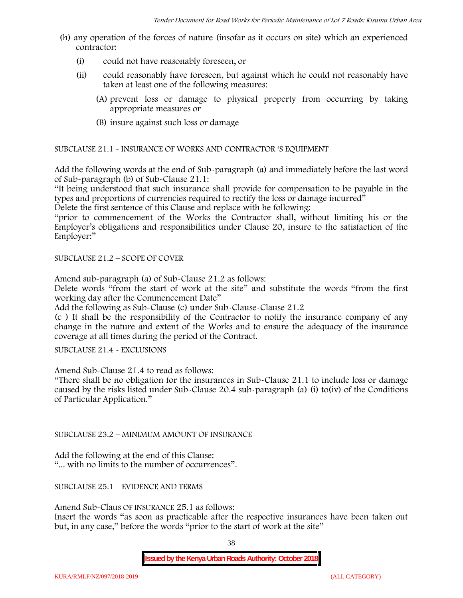- (h) any operation of the forces of nature (insofar as it occurs on site) which an experienced contractor:
	- (i) could not have reasonably foreseen, or
	- (ii) could reasonably have foreseen, but against which he could not reasonably have taken at least one of the following measures:
		- (A) prevent loss or damage to physical property from occurring by taking appropriate measures or
		- (B) insure against such loss or damage

SUBCLAUSE 21.1 - INSURANCE OF WORKS AND CONTRACTOR 'S EQUIPMENT

Add the following words at the end of Sub-paragraph (a) and immediately before the last word of Sub-paragraph (b) of Sub-Clause 21.1:

"It being understood that such insurance shall provide for compensation to be payable in the types and proportions of currencies required to rectify the loss or damage incurred"

Delete the first sentence of this Clause and replace with he following:

"prior to commencement of the Works the Contractor shall, without limiting his or the Employer's obligations and responsibilities under Clause 20, insure to the satisfaction of the Employer:"

SUBCLAUSE 21.2 – SCOPE OF COVER

Amend sub-paragraph (a) of Sub-Clause 21.2 as follows:

Delete words "from the start of work at the site" and substitute the words "from the first working day after the Commencement Date"

Add the following as Sub-Clause (c) under Sub-Clause-Clause 21.2

(c ) It shall be the responsibility of the Contractor to notify the insurance company of any change in the nature and extent of the Works and to ensure the adequacy of the insurance coverage at all times during the period of the Contract.

SUBCLAUSE 21.4 - EXCLUSIONS

Amend Sub-Clause 21.4 to read as follows:

"There shall be no obligation for the insurances in Sub-Clause 21.1 to include loss or damage caused by the risks listed under Sub-Clause 20.4 sub-paragraph (a) (i) to(iv) of the Conditions of Particular Application."

SUBCLAUSE 23.2 – MINIMUM AMOUNT OF INSURANCE

Add the following at the end of this Clause: "... with no limits to the number of occurrences".

SUBCLAUSE 25.1 – EVIDENCE AND TERMS

Amend Sub-Claus OF INSURANCE 25.1 as follows:

Insert the words "as soon as practicable after the respective insurances have been taken out but, in any case," before the words "prior to the start of work at the site"

38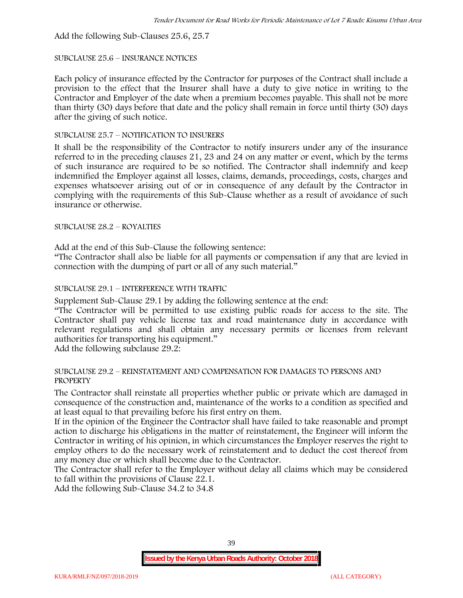Add the following Sub-Clauses 25.6, 25.7

#### SUBCLAUSE 25.6 – INSURANCE NOTICES

Each policy of insurance effected by the Contractor for purposes of the Contract shall include a provision to the effect that the Insurer shall have a duty to give notice in writing to the Contractor and Employer of the date when a premium becomes payable. This shall not be more than thirty (30) days before that date and the policy shall remain in force until thirty (30) days after the giving of such notice.

### SUBCLAUSE 25.7 – NOTIFICATION TO INSURERS

It shall be the responsibility of the Contractor to notify insurers under any of the insurance referred to in the preceding clauses 21, 23 and 24 on any matter or event, which by the terms of such insurance are required to be so notified. The Contractor shall indemnify and keep indemnified the Employer against all losses, claims, demands, proceedings, costs, charges and expenses whatsoever arising out of or in consequence of any default by the Contractor in complying with the requirements of this Sub-Clause whether as a result of avoidance of such insurance or otherwise.

## SUBCLAUSE 28.2 – ROYALTIES

Add at the end of this Sub-Clause the following sentence:

"The Contractor shall also be liable for all payments or compensation if any that are levied in connection with the dumping of part or all of any such material."

## SUBCLAUSE 29.1 – INTERFERENCE WITH TRAFFIC

Supplement Sub-Clause 29.1 by adding the following sentence at the end:

"The Contractor will be permitted to use existing public roads for access to the site. The Contractor shall pay vehicle license tax and road maintenance duty in accordance with relevant regulations and shall obtain any necessary permits or licenses from relevant authorities for transporting his equipment."

Add the following subclause 29.2:

#### SUBCLAUSE 29.2 – REINSTATEMENT AND COMPENSATION FOR DAMAGES TO PERSONS AND PROPERTY

The Contractor shall reinstate all properties whether public or private which are damaged in consequence of the construction and, maintenance of the works to a condition as specified and at least equal to that prevailing before his first entry on them.

If in the opinion of the Engineer the Contractor shall have failed to take reasonable and prompt action to discharge his obligations in the matter of reinstatement, the Engineer will inform the Contractor in writing of his opinion, in which circumstances the Employer reserves the right to employ others to do the necessary work of reinstatement and to deduct the cost thereof from any money due or which shall become due to the Contractor.

The Contractor shall refer to the Employer without delay all claims which may be considered to fall within the provisions of Clause 22.1.

Add the following Sub-Clause 34.2 to 34.8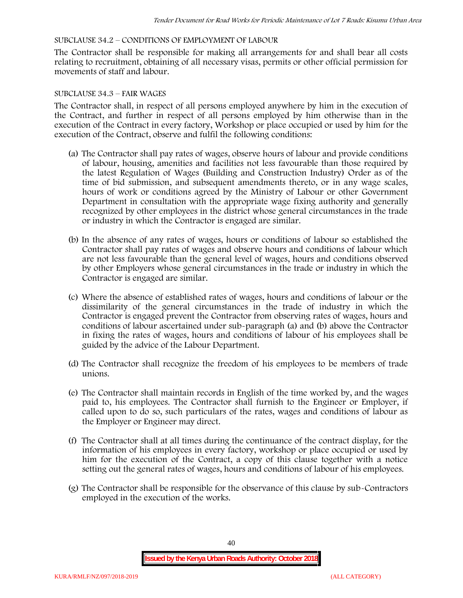### SUBCLAUSE 34.2 – CONDITIONS OF EMPLOYMENT OF LABOUR

The Contractor shall be responsible for making all arrangements for and shall bear all costs relating to recruitment, obtaining of all necessary visas, permits or other official permission for movements of staff and labour.

#### SUBCLAUSE 34.3 – FAIR WAGES

The Contractor shall, in respect of all persons employed anywhere by him in the execution of the Contract, and further in respect of all persons employed by him otherwise than in the execution of the Contract in every factory, Workshop or place occupied or used by him for the execution of the Contract, observe and fulfil the following conditions:

- (a) The Contractor shall pay rates of wages, observe hours of labour and provide conditions of labour, housing, amenities and facilities not less favourable than those required by the latest Regulation of Wages (Building and Construction Industry) Order as of the time of bid submission, and subsequent amendments thereto, or in any wage scales, hours of work or conditions agreed by the Ministry of Labour or other Government Department in consultation with the appropriate wage fixing authority and generally recognized by other employees in the district whose general circumstances in the trade or industry in which the Contractor is engaged are similar.
- (b) In the absence of any rates of wages, hours or conditions of labour so established the Contractor shall pay rates of wages and observe hours and conditions of labour which are not less favourable than the general level of wages, hours and conditions observed by other Employers whose general circumstances in the trade or industry in which the Contractor is engaged are similar.
- (c) Where the absence of established rates of wages, hours and conditions of labour or the dissimilarity of the general circumstances in the trade of industry in which the Contractor is engaged prevent the Contractor from observing rates of wages, hours and conditions of labour ascertained under sub-paragraph (a) and (b) above the Contractor in fixing the rates of wages, hours and conditions of labour of his employees shall be guided by the advice of the Labour Department.
- (d) The Contractor shall recognize the freedom of his employees to be members of trade unions.
- (e) The Contractor shall maintain records in English of the time worked by, and the wages paid to, his employees. The Contractor shall furnish to the Engineer or Employer, if called upon to do so, such particulars of the rates, wages and conditions of labour as the Employer or Engineer may direct.
- (f) The Contractor shall at all times during the continuance of the contract display, for the information of his employees in every factory, workshop or place occupied or used by him for the execution of the Contract, a copy of this clause together with a notice setting out the general rates of wages, hours and conditions of labour of his employees.
- (g) The Contractor shall be responsible for the observance of this clause by sub-Contractors employed in the execution of the works.

40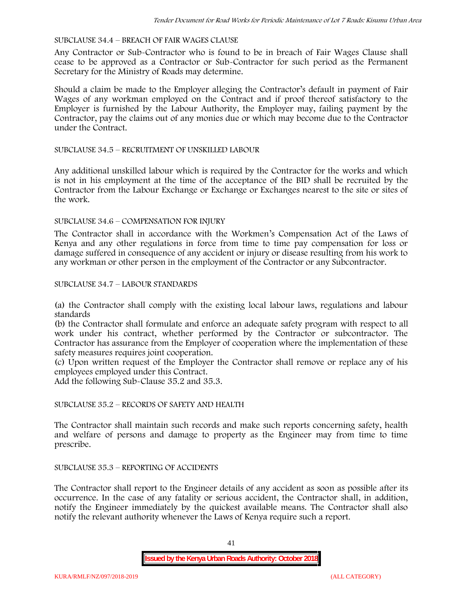#### SUBCLAUSE 34.4 – BREACH OF FAIR WAGES CLAUSE

Any Contractor or Sub-Contractor who is found to be in breach of Fair Wages Clause shall cease to be approved as a Contractor or Sub-Contractor for such period as the Permanent Secretary for the Ministry of Roads may determine.

Should a claim be made to the Employer alleging the Contractor's default in payment of Fair Wages of any workman employed on the Contract and if proof thereof satisfactory to the Employer is furnished by the Labour Authority, the Employer may, failing payment by the Contractor, pay the claims out of any monies due or which may become due to the Contractor under the Contract.

#### SUBCLAUSE 34.5 – RECRUITMENT OF UNSKILLED LABOUR

Any additional unskilled labour which is required by the Contractor for the works and which is not in his employment at the time of the acceptance of the BID shall be recruited by the Contractor from the Labour Exchange or Exchange or Exchanges nearest to the site or sites of the work.

#### SUBCLAUSE 34.6 – COMPENSATION FOR INJURY

The Contractor shall in accordance with the Workmen's Compensation Act of the Laws of Kenya and any other regulations in force from time to time pay compensation for loss or damage suffered in consequence of any accident or injury or disease resulting from his work to any workman or other person in the employment of the Contractor or any Subcontractor.

#### SUBCLAUSE 34.7 – LABOUR STANDARDS

(a) the Contractor shall comply with the existing local labour laws, regulations and labour standards

(b) the Contractor shall formulate and enforce an adequate safety program with respect to all work under his contract, whether performed by the Contractor or subcontractor. The Contractor has assurance from the Employer of cooperation where the implementation of these safety measures requires joint cooperation.

(c) Upon written request of the Employer the Contractor shall remove or replace any of his employees employed under this Contract.

Add the following Sub-Clause 35.2 and 35.3.

## SUBCLAUSE 35.2 – RECORDS OF SAFETY AND HEALTH

The Contractor shall maintain such records and make such reports concerning safety, health and welfare of persons and damage to property as the Engineer may from time to time prescribe.

#### SUBCLAUSE 35.3 – REPORTING OF ACCIDENTS

The Contractor shall report to the Engineer details of any accident as soon as possible after its occurrence. In the case of any fatality or serious accident, the Contractor shall, in addition, notify the Engineer immediately by the quickest available means. The Contractor shall also notify the relevant authority whenever the Laws of Kenya require such a report.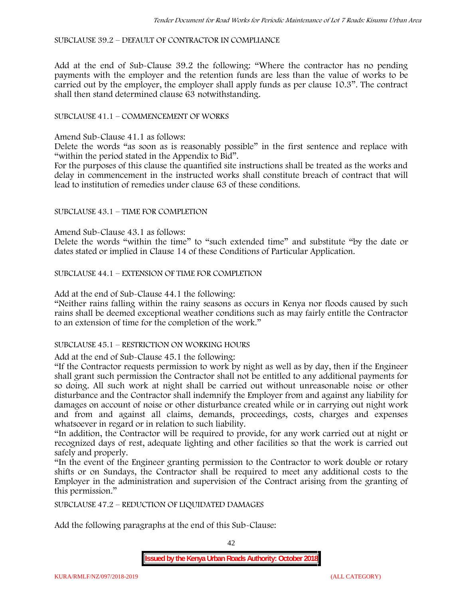SUBCLAUSE 39.2 – DEFAULT OF CONTRACTOR IN COMPLIANCE

Add at the end of Sub-Clause 39.2 the following: "Where the contractor has no pending payments with the employer and the retention funds are less than the value of works to be carried out by the employer, the employer shall apply funds as per clause 10.3". The contract shall then stand determined clause 63 notwithstanding.

## SUBCLAUSE 41.1 – COMMENCEMENT OF WORKS

Amend Sub-Clause 41.1 as follows:

Delete the words "as soon as is reasonably possible" in the first sentence and replace with "within the period stated in the Appendix to Bid".

For the purposes of this clause the quantified site instructions shall be treated as the works and delay in commencement in the instructed works shall constitute breach of contract that will lead to institution of remedies under clause 63 of these conditions.

### SUBCLAUSE 43.1 – TIME FOR COMPLETION

Amend Sub-Clause 43.1 as follows:

Delete the words "within the time" to "such extended time" and substitute "by the date or dates stated or implied in Clause 14 of these Conditions of Particular Application.

SUBCLAUSE 44.1 – EXTENSION OF TIME FOR COMPLETION

Add at the end of Sub-Clause 44.1 the following:

"Neither rains falling within the rainy seasons as occurs in Kenya nor floods caused by such rains shall be deemed exceptional weather conditions such as may fairly entitle the Contractor to an extension of time for the completion of the work."

#### SUBCLAUSE 45.1 – RESTRICTION ON WORKING HOURS

Add at the end of Sub-Clause 45.1 the following:

"If the Contractor requests permission to work by night as well as by day, then if the Engineer shall grant such permission the Contractor shall not be entitled to any additional payments for so doing. All such work at night shall be carried out without unreasonable noise or other disturbance and the Contractor shall indemnify the Employer from and against any liability for damages on account of noise or other disturbance created while or in carrying out night work and from and against all claims, demands, proceedings, costs, charges and expenses whatsoever in regard or in relation to such liability.

"In addition, the Contractor will be required to provide, for any work carried out at night or recognized days of rest, adequate lighting and other facilities so that the work is carried out safely and properly.

"In the event of the Engineer granting permission to the Contractor to work double or rotary shifts or on Sundays, the Contractor shall be required to meet any additional costs to the Employer in the administration and supervision of the Contract arising from the granting of this permission."

SUBCLAUSE 47.2 – REDUCTION OF LIQUIDATED DAMAGES

Add the following paragraphs at the end of this Sub-Clause:

42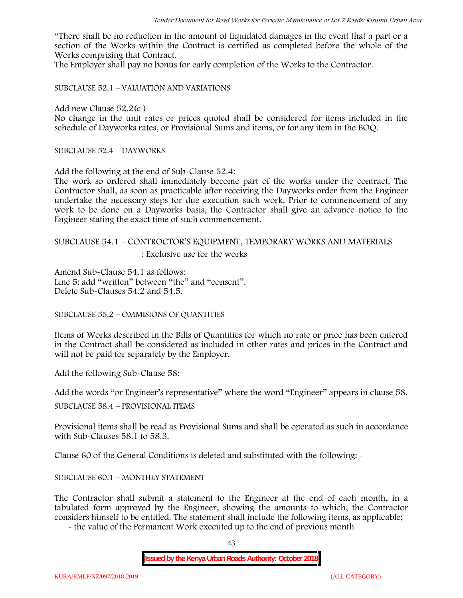"There shall be no reduction in the amount of liquidated damages in the event that a part or a section of the Works within the Contract is certified as completed before the whole of the Works comprising that Contract.

The Employer shall pay no bonus for early completion of the Works to the Contractor.

SUBCLAUSE 52.1 – VALUATION AND VARIATIONS

Add new Clause 52.2(c )

No change in the unit rates or prices quoted shall be considered for items included in the schedule of Dayworks rates, or Provisional Sums and items, or for any item in the BOQ.

SUBCLAUSE 52.4 – DAYWORKS

Add the following at the end of Sub-Clause 52.4:

The work so ordered shall immediately become part of the works under the contract. The Contractor shall, as soon as practicable after receiving the Dayworks order from the Engineer undertake the necessary steps for due execution such work. Prior to commencement of any work to be done on a Dayworks basis, the Contractor shall give an advance notice to the Engineer stating the exact time of such commencement.

## SUBCLAUSE 54.1 – CONTROCTOR'S EQUIPMENT, TEMPORARY WORKS AND MATERIALS

: Exclusive use for the works

Amend Sub-Clause 54.1 as follows: Line 5: add "written" between "the" and "consent". Delete Sub-Clauses 54.2 and 54.5.

SUBCLAUSE 55.2 – OMMISIONS OF QUANTITIES

Items of Works described in the Bills of Quantities for which no rate or price has been entered in the Contract shall be considered as included in other rates and prices in the Contract and will not be paid for separately by the Employer.

Add the following Sub-Clause 58:

Add the words "or Engineer's representative" where the word "Engineer" appears in clause 58.

SUBCLAUSE 58.4 – PROVISIONAL ITEMS

Provisional items shall be read as Provisional Sums and shall be operated as such in accordance with Sub-Clauses 58.1 to 58.3.

Clause 60 of the General Conditions is deleted and substituted with the following: -

#### SUBCLAUSE 60.1 – MONTHLY STATEMENT

The Contractor shall submit a statement to the Engineer at the end of each month, in a tabulated form approved by the Engineer, showing the amounts to which, the Contractor considers himself to be entitled. The statement shall include the following items, as applicable;

- the value of the Permanent Work executed up to the end of previous month

43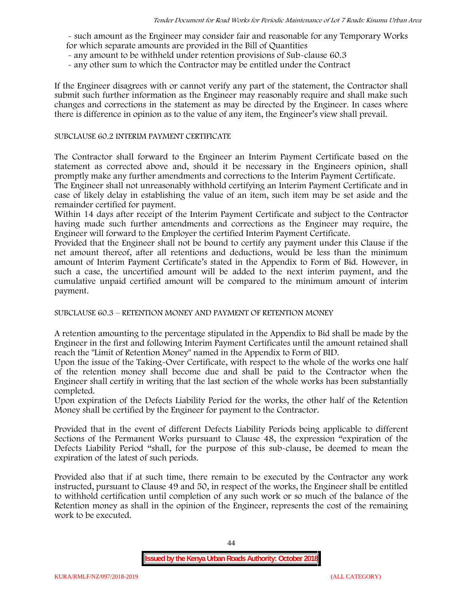- such amount as the Engineer may consider fair and reasonable for any Temporary Works for which separate amounts are provided in the Bill of Quantities

- any amount to be withheld under retention provisions of Sub-clause 60.3
- any other sum to which the Contractor may be entitled under the Contract

If the Engineer disagrees with or cannot verify any part of the statement, the Contractor shall submit such further information as the Engineer may reasonably require and shall make such changes and corrections in the statement as may be directed by the Engineer. In cases where there is difference in opinion as to the value of any item, the Engineer's view shall prevail.

#### SUBCLAUSE 60.2 INTERIM PAYMENT CERTIFICATE

The Contractor shall forward to the Engineer an Interim Payment Certificate based on the statement as corrected above and, should it be necessary in the Engineers opinion, shall promptly make any further amendments and corrections to the Interim Payment Certificate.

The Engineer shall not unreasonably withhold certifying an Interim Payment Certificate and in case of likely delay in establishing the value of an item, such item may be set aside and the remainder certified for payment.

Within 14 days after receipt of the Interim Payment Certificate and subject to the Contractor having made such further amendments and corrections as the Engineer may require, the Engineer will forward to the Employer the certified Interim Payment Certificate.

Provided that the Engineer shall not be bound to certify any payment under this Clause if the net amount thereof, after all retentions and deductions, would be less than the minimum amount of Interim Payment Certificate's stated in the Appendix to Form of Bid. However, in such a case, the uncertified amount will be added to the next interim payment, and the cumulative unpaid certified amount will be compared to the minimum amount of interim payment.

SUBCLAUSE 60.3 – RETENTION MONEY AND PAYMENT OF RETENTION MONEY

A retention amounting to the percentage stipulated in the Appendix to Bid shall be made by the Engineer in the first and following Interim Payment Certificates until the amount retained shall reach the "Limit of Retention Money" named in the Appendix to Form of BID.

Upon the issue of the Taking-Over Certificate, with respect to the whole of the works one half of the retention money shall become due and shall be paid to the Contractor when the Engineer shall certify in writing that the last section of the whole works has been substantially completed.

Upon expiration of the Defects Liability Period for the works, the other half of the Retention Money shall be certified by the Engineer for payment to the Contractor.

Provided that in the event of different Defects Liability Periods being applicable to different Sections of the Permanent Works pursuant to Clause 48, the expression "expiration of the Defects Liability Period "shall, for the purpose of this sub-clause, be deemed to mean the expiration of the latest of such periods.

Provided also that if at such time, there remain to be executed by the Contractor any work instructed, pursuant to Clause 49 and 50, in respect of the works, the Engineer shall be entitled to withhold certification until completion of any such work or so much of the balance of the Retention money as shall in the opinion of the Engineer, represents the cost of the remaining work to be executed.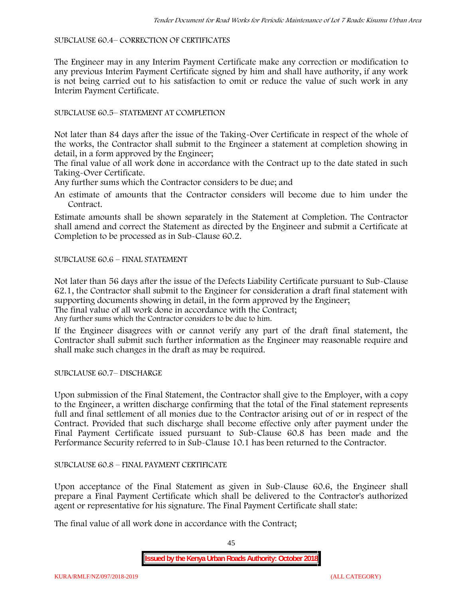#### SUBCLAUSE 60.4– CORRECTION OF CERTIFICATES

The Engineer may in any Interim Payment Certificate make any correction or modification to any previous Interim Payment Certificate signed by him and shall have authority, if any work is not being carried out to his satisfaction to omit or reduce the value of such work in any Interim Payment Certificate.

## SUBCLAUSE 60.5– STATEMENT AT COMPLETION

Not later than 84 days after the issue of the Taking-Over Certificate in respect of the whole of the works, the Contractor shall submit to the Engineer a statement at completion showing in detail, in a form approved by the Engineer;

The final value of all work done in accordance with the Contract up to the date stated in such Taking-Over Certificate.

Any further sums which the Contractor considers to be due; and

An estimate of amounts that the Contractor considers will become due to him under the Contract.

Estimate amounts shall be shown separately in the Statement at Completion. The Contractor shall amend and correct the Statement as directed by the Engineer and submit a Certificate at Completion to be processed as in Sub-Clause 60.2.

## SUBCLAUSE 60.6 – FINAL STATEMENT

Not later than 56 days after the issue of the Defects Liability Certificate pursuant to Sub-Clause 62.1, the Contractor shall submit to the Engineer for consideration a draft final statement with supporting documents showing in detail, in the form approved by the Engineer; The final value of all work done in accordance with the Contract;

Any further sums which the Contractor considers to be due to him.

If the Engineer disagrees with or cannot verify any part of the draft final statement, the Contractor shall submit such further information as the Engineer may reasonable require and shall make such changes in the draft as may be required.

SUBCLAUSE 60.7– DISCHARGE

Upon submission of the Final Statement, the Contractor shall give to the Employer, with a copy to the Engineer, a written discharge confirming that the total of the Final statement represents full and final settlement of all monies due to the Contractor arising out of or in respect of the Contract. Provided that such discharge shall become effective only after payment under the Final Payment Certificate issued pursuant to Sub-Clause 60.8 has been made and the Performance Security referred to in Sub-Clause 10.1 has been returned to the Contractor.

## SUBCLAUSE 60.8 – FINAL PAYMENT CERTIFICATE

Upon acceptance of the Final Statement as given in Sub-Clause 60.6, the Engineer shall prepare a Final Payment Certificate which shall be delivered to the Contractor's authorized agent or representative for his signature. The Final Payment Certificate shall state:

The final value of all work done in accordance with the Contract;

45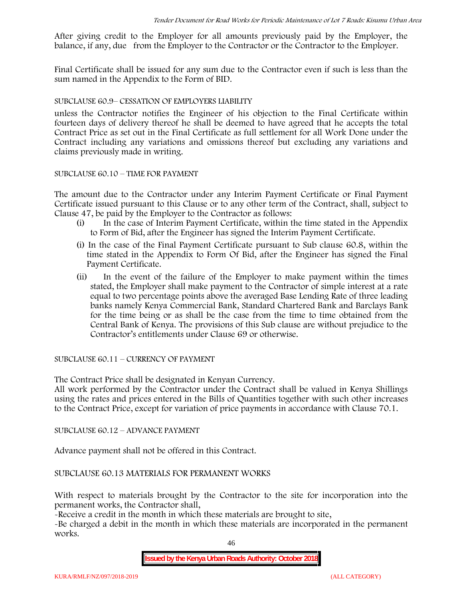After giving credit to the Employer for all amounts previously paid by the Employer, the balance, if any, due from the Employer to the Contractor or the Contractor to the Employer.

Final Certificate shall be issued for any sum due to the Contractor even if such is less than the sum named in the Appendix to the Form of BID.

## SUBCLAUSE 60.9– CESSATION OF EMPLOYERS LIABILITY

unless the Contractor notifies the Engineer of his objection to the Final Certificate within fourteen days of delivery thereof he shall be deemed to have agreed that he accepts the total Contract Price as set out in the Final Certificate as full settlement for all Work Done under the Contract including any variations and omissions thereof but excluding any variations and claims previously made in writing.

#### SUBCLAUSE 60.10 – TIME FOR PAYMENT

The amount due to the Contractor under any Interim Payment Certificate or Final Payment Certificate issued pursuant to this Clause or to any other term of the Contract, shall, subject to Clause 47, be paid by the Employer to the Contractor as follows:

- (i) In the case of Interim Payment Certificate, within the time stated in the Appendix to Form of Bid, after the Engineer has signed the Interim Payment Certificate.
- (i) In the case of the Final Payment Certificate pursuant to Sub clause 60.8, within the time stated in the Appendix to Form Of Bid, after the Engineer has signed the Final Payment Certificate.
- (ii) In the event of the failure of the Employer to make payment within the times stated, the Employer shall make payment to the Contractor of simple interest at a rate equal to two percentage points above the averaged Base Lending Rate of three leading banks namely Kenya Commercial Bank, Standard Chartered Bank and Barclays Bank for the time being or as shall be the case from the time to time obtained from the Central Bank of Kenya. The provisions of this Sub clause are without prejudice to the Contractor's entitlements under Clause 69 or otherwise.

SUBCLAUSE 60.11 – CURRENCY OF PAYMENT

The Contract Price shall be designated in Kenyan Currency.

All work performed by the Contractor under the Contract shall be valued in Kenya Shillings using the rates and prices entered in the Bills of Quantities together with such other increases to the Contract Price, except for variation of price payments in accordance with Clause 70.1.

SUBCLAUSE 60.12 – ADVANCE PAYMENT

Advance payment shall not be offered in this Contract.

SUBCLAUSE 60.13 MATERIALS FOR PERMANENT WORKS

With respect to materials brought by the Contractor to the site for incorporation into the permanent works, the Contractor shall,

-Receive a credit in the month in which these materials are brought to site,

-Be charged a debit in the month in which these materials are incorporated in the permanent works.

46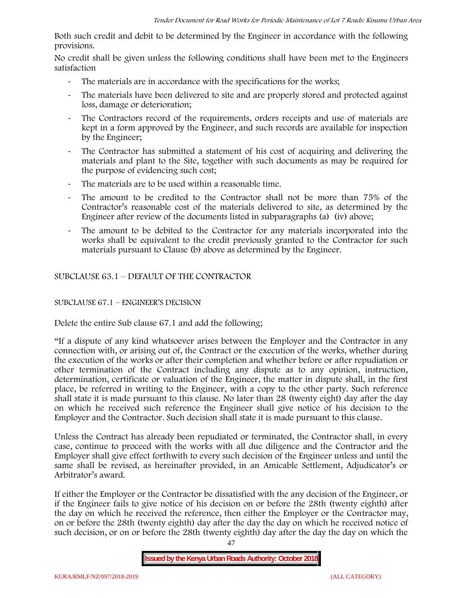Both such credit and debit to be determined by the Engineer in accordance with the following provisions.

No credit shall be given unless the following conditions shall have been met to the Engineers satisfaction

- The materials are in accordance with the specifications for the works;
- The materials have been delivered to site and are properly stored and protected against loss, damage or deterioration;
- The Contractors record of the requirements, orders receipts and use of materials are kept in a form approved by the Engineer, and such records are available for inspection by the Engineer;
- The Contractor has submitted a statement of his cost of acquiring and delivering the materials and plant to the Site, together with such documents as may be required for the purpose of evidencing such cost;
- The materials are to be used within a reasonable time.
- The amount to be credited to the Contractor shall not be more than 75% of the Contractor's reasonable cost of the materials delivered to site, as determined by the Engineer after review of the documents listed in subparagraphs (a) (iv) above;
- The amount to be debited to the Contractor for any materials incorporated into the works shall be equivalent to the credit previously granted to the Contractor for such materials pursuant to Clause (b) above as determined by the Engineer.

## SUBCLAUSE 63.1 – DEFAULT OF THE CONTRACTOR

## SUBCLAUSE 67.1 – ENGINEER'S DECISION

Delete the entire Sub clause 67.1 and add the following;

"If a dispute of any kind whatsoever arises between the Employer and the Contractor in any connection with, or arising out of, the Contract or the execution of the works, whether during the execution of the works or after their completion and whether before or after repudiation or other termination of the Contract including any dispute as to any opinion, instruction, determination, certificate or valuation of the Engineer, the matter in dispute shall, in the first place, be referred in writing to the Engineer, with a copy to the other party. Such reference shall state it is made pursuant to this clause. No later than 28 (twenty eight) day after the day on which he received such reference the Engineer shall give notice of his decision to the Employer and the Contractor. Such decision shall state it is made pursuant to this clause.

Unless the Contract has already been repudiated or terminated, the Contractor shall, in every case, continue to proceed with the works with all due diligence and the Contractor and the Employer shall give effect forthwith to every such decision of the Engineer unless and until the same shall be revised, as hereinafter provided, in an Amicable Settlement, Adjudicator's or Arbitrator's award.

If either the Employer or the Contractor be dissatisfied with the any decision of the Engineer, or if the Engineer fails to give notice of his decision on or before the 28th (twenty eighth) after the day on which he received the reference, then either the Employer or the Contractor may, on or before the 28th (twenty eighth) day after the day the day on which he received notice of such decision, or on or before the 28th (twenty eighth) day after the day the day on which the

**Issued by the Kenya Urban Roads Authority: October 2018**

47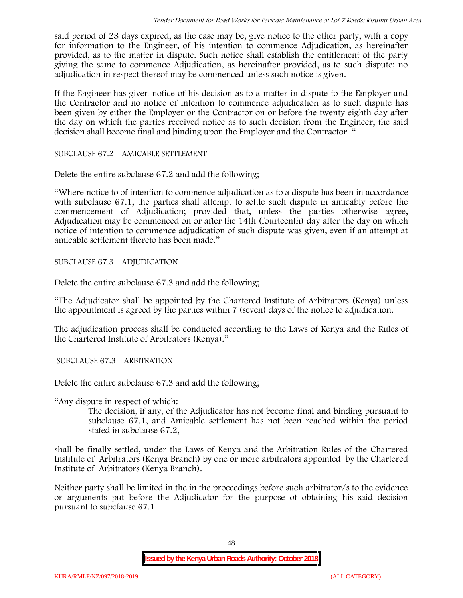said period of 28 days expired, as the case may be, give notice to the other party, with a copy for information to the Engineer, of his intention to commence Adjudication, as hereinafter provided, as to the matter in dispute. Such notice shall establish the entitlement of the party giving the same to commence Adjudication, as hereinafter provided, as to such dispute; no adjudication in respect thereof may be commenced unless such notice is given.

If the Engineer has given notice of his decision as to a matter in dispute to the Employer and the Contractor and no notice of intention to commence adjudication as to such dispute has been given by either the Employer or the Contractor on or before the twenty eighth day after the day on which the parties received notice as to such decision from the Engineer, the said decision shall become final and binding upon the Employer and the Contractor. "

SUBCLAUSE 67.2 – AMICABLE SETTLEMENT

Delete the entire subclause 67.2 and add the following;

"Where notice to of intention to commence adjudication as to a dispute has been in accordance with subclause 67.1, the parties shall attempt to settle such dispute in amicably before the commencement of Adjudication; provided that, unless the parties otherwise agree, Adjudication may be commenced on or after the 14th (fourteenth) day after the day on which notice of intention to commence adjudication of such dispute was given, even if an attempt at amicable settlement thereto has been made."

SUBCLAUSE 67.3 – ADJUDICATION

Delete the entire subclause 67.3 and add the following;

"The Adjudicator shall be appointed by the Chartered Institute of Arbitrators (Kenya) unless the appointment is agreed by the parties within 7 (seven) days of the notice to adjudication.

The adjudication process shall be conducted according to the Laws of Kenya and the Rules of the Chartered Institute of Arbitrators (Kenya)."

SUBCLAUSE 67.3 – ARBITRATION

Delete the entire subclause 67.3 and add the following;

"Any dispute in respect of which:

The decision, if any, of the Adjudicator has not become final and binding pursuant to subclause 67.1, and Amicable settlement has not been reached within the period stated in subclause 67.2,

shall be finally settled, under the Laws of Kenya and the Arbitration Rules of the Chartered Institute of Arbitrators (Kenya Branch) by one or more arbitrators appointed by the Chartered Institute of Arbitrators (Kenya Branch).

Neither party shall be limited in the in the proceedings before such arbitrator/s to the evidence or arguments put before the Adjudicator for the purpose of obtaining his said decision pursuant to subclause 67.1.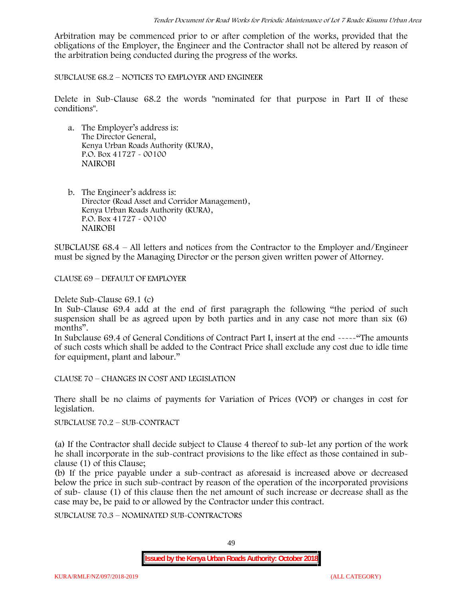Arbitration may be commenced prior to or after completion of the works, provided that the obligations of the Employer, the Engineer and the Contractor shall not be altered by reason of the arbitration being conducted during the progress of the works.

SUBCLAUSE 68.2 – NOTICES TO EMPLOYER AND ENGINEER

Delete in Sub-Clause 68.2 the words "nominated for that purpose in Part II of these conditions".

- a. The Employer's address is: The Director General, Kenya Urban Roads Authority (KURA), P.O. Box 41727 - 00100 **NAIROBI**
- b. The Engineer's address is: Director (Road Asset and Corridor Management), Kenya Urban Roads Authority (KURA), P.O. Box 41727 - 00100 **NAIROBI**

SUBCLAUSE 68.4 – All letters and notices from the Contractor to the Employer and/Engineer must be signed by the Managing Director or the person given written power of Attorney.

CLAUSE 69 – DEFAULT OF EMPLOYER

Delete Sub-Clause 69.1 (c)

In Sub-Clause 69.4 add at the end of first paragraph the following "the period of such suspension shall be as agreed upon by both parties and in any case not more than six (6) months".

In Subclause 69.4 of General Conditions of Contract Part I, insert at the end -----"The amounts of such costs which shall be added to the Contract Price shall exclude any cost due to idle time for equipment, plant and labour."

CLAUSE 70 – CHANGES IN COST AND LEGISLATION

There shall be no claims of payments for Variation of Prices (VOP) or changes in cost for legislation.

SUBCLAUSE 70.2 – SUB-CONTRACT

(a) If the Contractor shall decide subject to Clause 4 thereof to sub-let any portion of the work he shall incorporate in the sub-contract provisions to the like effect as those contained in sub clause (1) of this Clause;

(b) If the price payable under a sub-contract as aforesaid is increased above or decreased below the price in such sub-contract by reason of the operation of the incorporated provisions of sub- clause (1) of this clause then the net amount of such increase or decrease shall as the case may be, be paid to or allowed by the Contractor under this contract.

SUBCLAUSE 70.3 – NOMINATED SUB-CONTRACTORS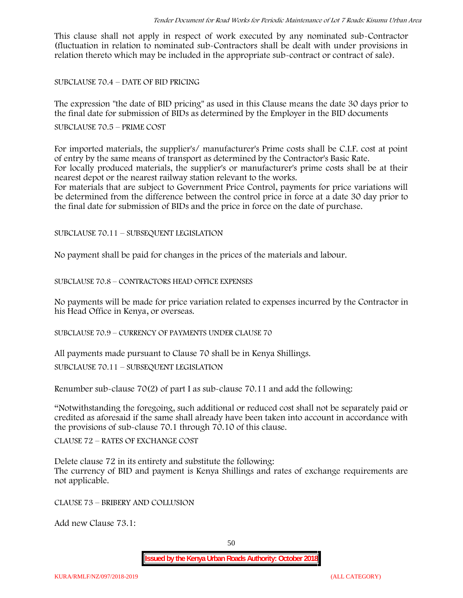This clause shall not apply in respect of work executed by any nominated sub-Contractor (fluctuation in relation to nominated sub-Contractors shall be dealt with under provisions in relation thereto which may be included in the appropriate sub-contract or contract of sale).

SUBCLAUSE 70.4 – DATE OF BID PRICING

The expression "the date of BID pricing" as used in this Clause means the date 30 days prior to the final date for submission of BIDs as determined by the Employer in the BID documents

SUBCLAUSE 70.5 – PRIME COST

For imported materials, the supplier's/ manufacturer's Prime costs shall be C.I.F. cost at point of entry by the same means of transport as determined by the Contractor's Basic Rate. For locally produced materials, the supplier's or manufacturer's prime costs shall be at their nearest depot or the nearest railway station relevant to the works.

For materials that are subject to Government Price Control, payments for price variations will be determined from the difference between the control price in force at a date 30 day prior to the final date for submission of BIDs and the price in force on the date of purchase.

SUBCLAUSE 70.11 – SUBSEQUENT LEGISLATION

No payment shall be paid for changes in the prices of the materials and labour.

SUBCLAUSE 70.8 – CONTRACTORS HEAD OFFICE EXPENSES

No payments will be made for price variation related to expenses incurred by the Contractor in his Head Office in Kenya, or overseas.

SUBCLAUSE 70.9 – CURRENCY OF PAYMENTS UNDER CLAUSE 70

All payments made pursuant to Clause 70 shall be in Kenya Shillings.

SUBCLAUSE 70.11 – SUBSEQUENT LEGISLATION

Renumber sub-clause 70(2) of part I as sub-clause 70.11 and add the following:

"Notwithstanding the foregoing, such additional or reduced cost shall not be separately paid or credited as aforesaid if the same shall already have been taken into account in accordance with the provisions of sub-clause 70.1 through 70.10 of this clause.

CLAUSE 72 – RATES OF EXCHANGE COST

Delete clause 72 in its entirety and substitute the following: The currency of BID and payment is Kenya Shillings and rates of exchange requirements are not applicable.

CLAUSE 73 – BRIBERY AND COLLUSION

Add new Clause 73.1: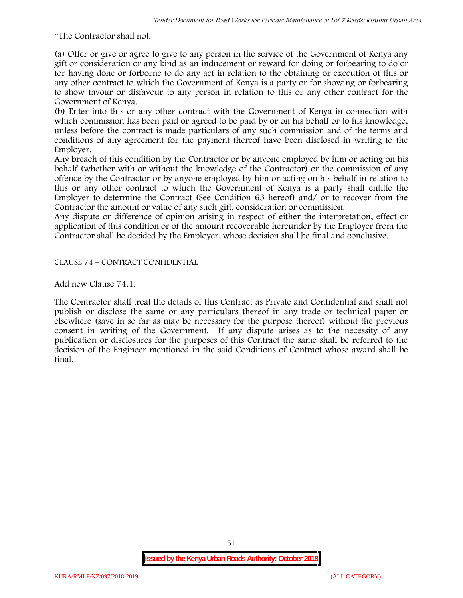"The Contractor shall not:

(a) Offer or give or agree to give to any person in the service of the Government of Kenya any gift or consideration or any kind as an inducement or reward for doing or forbearing to do or for having done or forborne to do any act in relation to the obtaining or execution of this or any other contract to which the Government of Kenya is a party or for showing or forbearing to show favour or disfavour to any person in relation to this or any other contract for the Government of Kenya.

(b) Enter into this or any other contract with the Government of Kenya in connection with which commission has been paid or agreed to be paid by or on his behalf or to his knowledge, unless before the contract is made particulars of any such commission and of the terms and conditions of any agreement for the payment thereof have been disclosed in writing to the Employer.

Any breach of this condition by the Contractor or by anyone employed by him or acting on his behalf (whether with or without the knowledge of the Contractor) or the commission of any offence by the Contractor or by anyone employed by him or acting on his behalf in relation to this or any other contract to which the Government of Kenya is a party shall entitle the Employer to determine the Contract (See Condition 63 hereof) and/ or to recover from the Contractor the amount or value of any such gift, consideration or commission.

Any dispute or difference of opinion arising in respect of either the interpretation, effect or application of this condition or of the amount recoverable hereunder by the Employer from the Contractor shall be decided by the Employer, whose decision shall be final and conclusive.

CLAUSE 74 – CONTRACT CONFIDENTIAL

Add new Clause 74.1:

The Contractor shall treat the details of this Contract as Private and Confidential and shall not publish or disclose the same or any particulars thereof in any trade or technical paper or elsewhere (save in so far as may be necessary for the purpose thereof) without the previous consent in writing of the Government. If any dispute arises as to the necessity of any publication or disclosures for the purposes of this Contract the same shall be referred to the decision of the Engineer mentioned in the said Conditions of Contract whose award shall be final.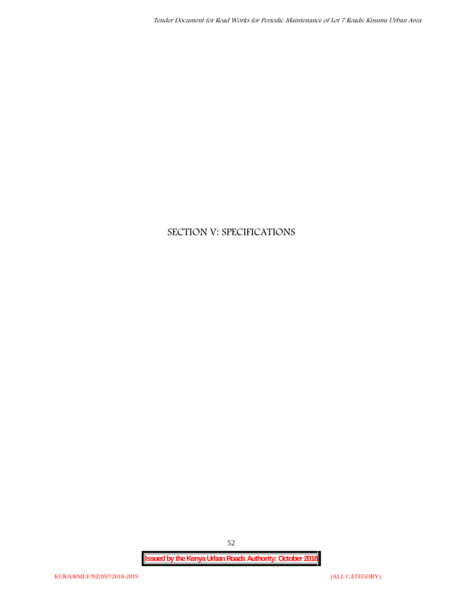# **SECTION V: SPECIFICATIONS**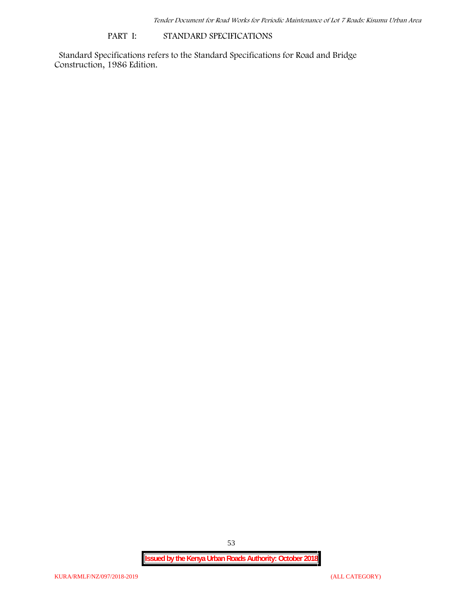#### **PART I: STANDARD SPECIFICATIONS**

Standard Specifications refers to the Standard Specifications for Road and Bridge Construction, 1986 Edition.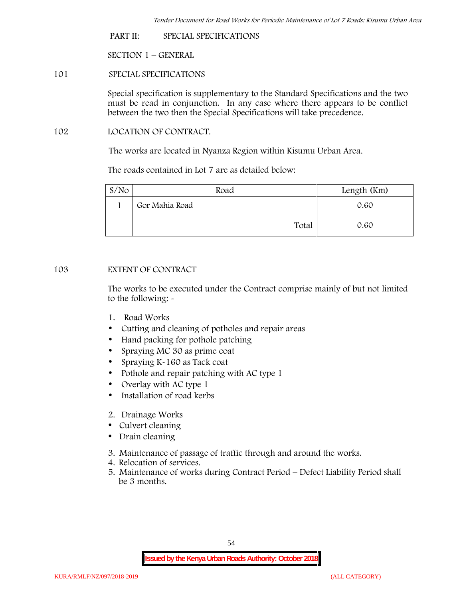**PART II: SPECIAL SPECIFICATIONS**

**SECTION 1 – GENERAL**

**101 SPECIAL SPECIFICATIONS**

Special specification is supplementary to the Standard Specifications and the two must be read in conjunction. In any case where there appears to be conflict between the two then the Special Specifications will take precedence.

**102 LOCATION OF CONTRACT.**

The works are located in Nyanza Region within Kisumu Urban Area.

The roads contained in Lot 7 are as detailed below:

| $S/N$ o | Road           | Length (Km) |
|---------|----------------|-------------|
|         | Gor Mahia Road | 0.60        |
|         | Total          | 0.60        |

## **103 EXTENT OF CONTRACT**

The works to be executed under the Contract comprise mainly of but not limited to the following: -

- **1. Road Works**
- Cutting and cleaning of potholes and repair areas
- Hand packing for pothole patching
- Spraying MC 30 as prime coat
- Spraying K-160 as Tack coat
- Pothole and repair patching with AC type 1
- Overlay with AC type 1
- Installation of road kerbs
- **2. Drainage Works**
- Culvert cleaning
- Drain cleaning
- **3. Maintenance of passage of traffic through and around the works.**
- **4. Relocation of services.**
- **5. Maintenance of works during Contract Period – Defect Liability Period shall be 3 months.**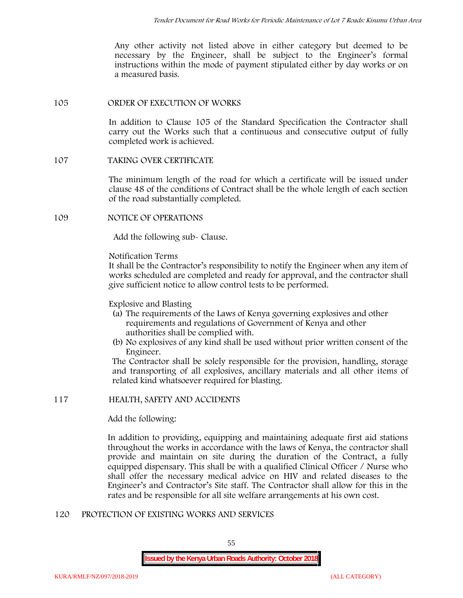Any other activity not listed above in either category but deemed to be necessary by the Engineer, shall be subject to the Engineer's formal instructions within the mode of payment stipulated either by day works or on a measured basis.

#### **105 ORDER OF EXECUTION OF WORKS**

In addition to Clause 105 of the Standard Specification the Contractor shall carry out the Works such that a continuous and consecutive output of fully completed work is achieved.

## **107 TAKING OVER CERTIFICATE**

The minimum length of the road for which a certificate will be issued under clause 48 of the conditions of Contract shall be the whole length of each section of the road substantially completed.

#### **109 NOTICE OF OPERATIONS**

Add the following sub- Clause.

#### Notification Terms

It shall be the Contractor's responsibility to notify the Engineer when any item of works scheduled are completed and ready for approval, and the contractor shall give sufficient notice to allow control tests to be performed.

### Explosive and Blasting

- (a) The requirements of the Laws of Kenya governing explosives and other requirements and regulations of Government of Kenya and other authorities shall be complied with.
- (b) No explosives of any kind shall be used without prior written consent of the Engineer.

The Contractor shall be solely responsible for the provision, handling, storage and transporting of all explosives, ancillary materials and all other items of related kind whatsoever required for blasting.

## **117 HEALTH, SAFETY AND ACCIDENTS**

Add the following:

In addition to providing, equipping and maintaining adequate first aid stations throughout the works in accordance with the laws of Kenya, the contractor shall provide and maintain on site during the duration of the Contract, a fully equipped dispensary. This shall be with a qualified Clinical Officer / Nurse who shall offer the necessary medical advice on HIV and related diseases to the Engineer's and Contractor's Site staff. The Contractor shall allow for this in the rates and be responsible for all site welfare arrangements at his own cost.

## **120 PROTECTION OF EXISTING WORKS AND SERVICES**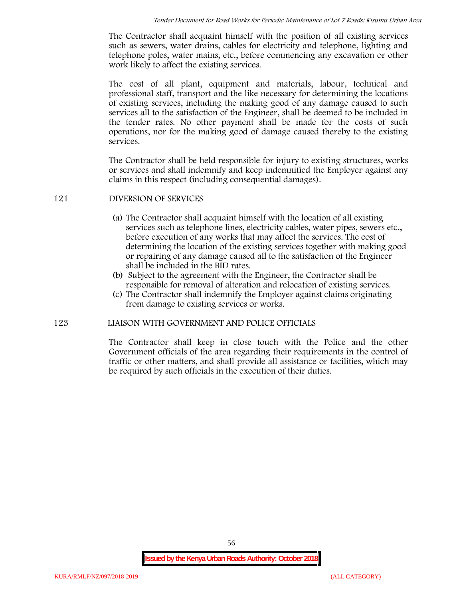The Contractor shall acquaint himself with the position of all existing services such as sewers, water drains, cables for electricity and telephone, lighting and telephone poles, water mains, etc., before commencing any excavation or other work likely to affect the existing services.

The cost of all plant, equipment and materials, labour, technical and professional staff, transport and the like necessary for determining the locations of existing services, including the making good of any damage caused to such services all to the satisfaction of the Engineer, shall be deemed to be included in the tender rates. No other payment shall be made for the costs of such operations, nor for the making good of damage caused thereby to the existing services.

The Contractor shall be held responsible for injury to existing structures, works or services and shall indemnify and keep indemnified the Employer against any claims in this respect (including consequential damages).

## **121 DIVERSION OF SERVICES**

- (a) The Contractor shall acquaint himself with the location of all existing services such as telephone lines, electricity cables, water pipes, sewers etc., before execution of any works that may affect the services. The cost of determining the location of the existing services together with making good or repairing of any damage caused all to the satisfaction of the Engineer shall be included in the BID rates.
- (b) Subject to the agreement with the Engineer, the Contractor shall be responsible for removal of alteration and relocation of existing services.
- (c) The Contractor shall indemnify the Employer against claims originating from damage to existing services or works.

#### **123 LIAISON WITH GOVERNMENT AND POLICE OFFICIALS**

The Contractor shall keep in close touch with the Police and the other Government officials of the area regarding their requirements in the control of traffic or other matters, and shall provide all assistance or facilities, which may be required by such officials in the execution of their duties.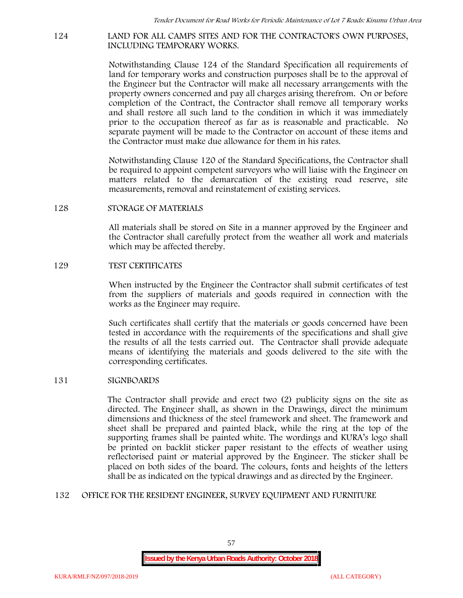#### **124 LAND FOR ALL CAMPS SITES AND FOR THE CONTRACTOR'S OWN PURPOSES, INCLUDING TEMPORARY WORKS.**

Notwithstanding Clause 124 of the Standard Specification all requirements of land for temporary works and construction purposes shall be to the approval of the Engineer but the Contractor will make all necessary arrangements with the property owners concerned and pay all charges arising therefrom. On or before completion of the Contract, the Contractor shall remove all temporary works and shall restore all such land to the condition in which it was immediately prior to the occupation thereof as far as is reasonable and practicable. No separate payment will be made to the Contractor on account of these items and the Contractor must make due allowance for them in his rates.

Notwithstanding Clause 120 of the Standard Specifications, the Contractor shall be required to appoint competent surveyors who will liaise with the Engineer on matters related to the demarcation of the existing road reserve, site measurements, removal and reinstatement of existing services.

#### **128 STORAGE OF MATERIALS**

All materials shall be stored on Site in a manner approved by the Engineer and the Contractor shall carefully protect from the weather all work and materials which may be affected thereby.

#### **129 TEST CERTIFICATES**

When instructed by the Engineer the Contractor shall submit certificates of test from the suppliers of materials and goods required in connection with the works as the Engineer may require.

Such certificates shall certify that the materials or goods concerned have been tested in accordance with the requirements of the specifications and shall give the results of all the tests carried out. The Contractor shall provide adequate means of identifying the materials and goods delivered to the site with the corresponding certificates.

## **131 SIGNBOARDS**

The Contractor shall provide and erect two (2) publicity signs on the site as directed. The Engineer shall, as shown in the Drawings, direct the minimum dimensions and thickness of the steel framework and sheet. The framework and sheet shall be prepared and painted black, while the ring at the top of the supporting frames shall be painted white. The wordings and KURA's logo shall be printed on backlit sticker paper resistant to the effects of weather using reflectorised paint or material approved by the Engineer. The sticker shall be placed on both sides of the board. The colours, fonts and heights of the letters shall be as indicated on the typical drawings and as directed by the Engineer.

## **132 OFFICE FOR THE RESIDENT ENGINEER, SURVEY EQUIPMENT AND FURNITURE**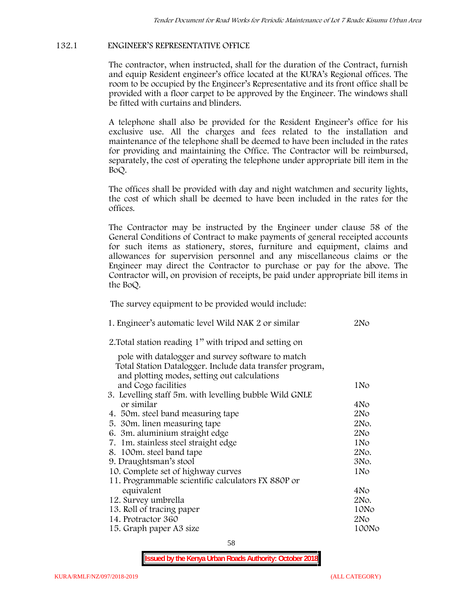## **132.1 ENGINEER'S REPRESENTATIVE OFFICE**

The contractor, when instructed, shall for the duration of the Contract, furnish and equip Resident engineer's office located at the KURA's Regional offices. The room to be occupied by the Engineer's Representative and its front office shall be provided with a floor carpet to be approved by the Engineer. The windows shall be fitted with curtains and blinders.

A telephone shall also be provided for the Resident Engineer's office for his exclusive use. All the charges and fees related to the installation and maintenance of the telephone shall be deemed to have been included in the rates for providing and maintaining the Office. The Contractor will be reimbursed, separately, the cost of operating the telephone under appropriate bill item in the BoQ.

The offices shall be provided with day and night watchmen and security lights, the cost of which shall be deemed to have been included in the rates for the offices.

The Contractor may be instructed by the Engineer under clause 58 of the General Conditions of Contract to make payments of general receipted accounts for such items as stationery, stores, furniture and equipment, claims and allowances for supervision personnel and any miscellaneous claims or the Engineer may direct the Contractor to purchase or pay for the above. The Contractor will, on provision of receipts, be paid under appropriate bill items in the BoQ.

**The survey equipment to be provided would include:**

| 1. Engineer's automatic level Wild NAK 2 or similar                 | 2N <sub>O</sub> |
|---------------------------------------------------------------------|-----------------|
| 2. Total station reading 1" with tripod and setting on              |                 |
| pole with datalogger and survey software to match                   |                 |
| Total Station Datalogger. Include data transfer program,            |                 |
| and plotting modes, setting out calculations<br>and Cogo facilities | 1No             |
| 3. Levelling staff 5m. with levelling bubble Wild GNLE              |                 |
| or similar                                                          | 4No             |
| 4. 50 m. steel band measuring tape                                  | 2No             |
| 5. 30 m. linen measuring tape                                       | 2No.            |
| 6. 3m. aluminium straight edge                                      | 2N <sub>O</sub> |
| 7. 1m. stainless steel straight edge                                | 1N <sub>o</sub> |
| 8. 100m. steel band tape                                            | 2No.            |
| 9. Draughtsman's stool                                              | 3No.            |
| 10. Complete set of highway curves                                  | 1N <sub>o</sub> |
| 11. Programmable scientific calculators FX 880P or                  |                 |
| equivalent                                                          | 4No             |
| 12. Survey umbrella                                                 | 2No.            |
| 13. Roll of tracing paper                                           | 10No            |
| 14. Protractor 360                                                  | 2N <sub>O</sub> |
| 15. Graph paper A3 size                                             | 100No           |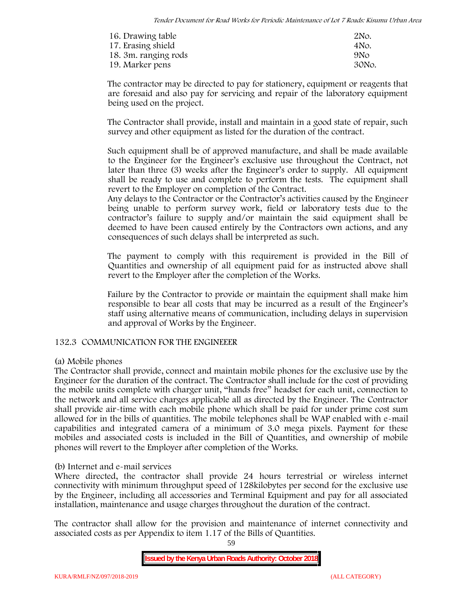| 16. Drawing table    | 2No.            |
|----------------------|-----------------|
| 17. Erasing shield   | 4No.            |
| 18. 3m. ranging rods | 9N <sub>O</sub> |
| 19. Marker pens      | 30No.           |

The contractor may be directed to pay for stationery, equipment or reagents that are foresaid and also pay for servicing and repair of the laboratory equipment being used on the project.

The Contractor shall provide, install and maintain in a good state of repair, such survey and other equipment as listed for the duration of the contract.

Such equipment shall be of approved manufacture, and shall be made available to the Engineer for the Engineer's exclusive use throughout the Contract, not later than three (3) weeks after the Engineer's order to supply. All equipment shall be ready to use and complete to perform the tests. The equipment shall revert to the Employer on completion of the Contract.

Any delays to the Contractor or the Contractor's activities caused by the Engineer being unable to perform survey work, field or laboratory tests due to the contractor's failure to supply and/or maintain the said equipment shall be deemed to have been caused entirely by the Contractors own actions, and any consequences of such delays shall be interpreted as such.

The payment to comply with this requirement is provided in the Bill of Quantities and ownership of all equipment paid for as instructed above shall revert to the Employer after the completion of the Works.

Failure by the Contractor to provide or maintain the equipment shall make him responsible to bear all costs that may be incurred as a result of the Engineer's staff using alternative means of communication, including delays in supervision and approval of Works by the Engineer.

## **132.3 COMMUNICATION FOR THE ENGINEEER**

## **(a) Mobile phones**

The Contractor shall provide, connect and maintain mobile phones for the exclusive use by the Engineer for the duration of the contract. The Contractor shall include for the cost of providing the mobile units complete with charger unit, "hands free" headset for each unit, connection to the network and all service charges applicable all as directed by the Engineer. The Contractor shall provide air-time with each mobile phone which shall be paid for under prime cost sum allowed for in the bills of quantities. The mobile telephones shall be WAP enabled with e-mail capabilities and integrated camera of a minimum of 3.0 mega pixels. Payment for these mobiles and associated costs is included in the Bill of Quantities, and ownership of mobile phones will revert to the Employer after completion of the Works.

## **(b) Internet and e-mail services**

Where directed, the contractor shall provide 24 hours terrestrial or wireless internet connectivity with minimum throughput speed of 128kilobytes per second for the exclusive use by the Engineer, including all accessories and Terminal Equipment and pay for all associated installation, maintenance and usage charges throughout the duration of the contract.

The contractor shall allow for the provision and maintenance of internet connectivity and associated costs as per Appendix to item 1.17 of the Bills of Quantities.

59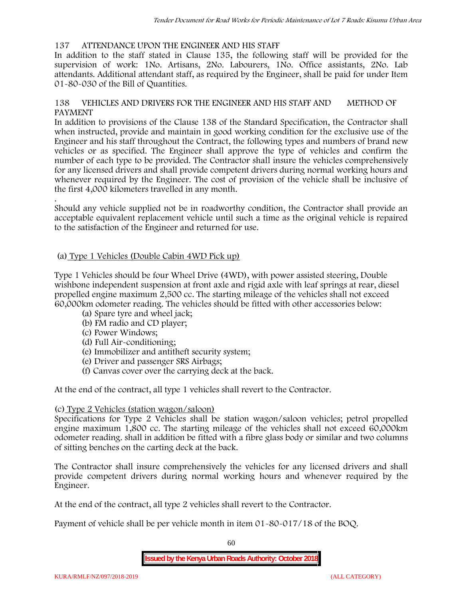## **137 ATTENDANCE UPON THE ENGINEER AND HIS STAFF**

In addition to the staff stated in Clause 135, the following staff will be provided for the supervision of work: 1No. Artisans, 2No. Labourers, 1No. Office assistants, 2No. Lab attendants. Additional attendant staff, as required by the Engineer, shall be paid for under Item 01-80-030 of the Bill of Quantities.

## **138 VEHICLES AND DRIVERS FOR THE ENGINEER AND HIS STAFF AND METHOD OF PAYMENT**

In addition to provisions of the Clause 138 of the Standard Specification, the Contractor shall when instructed, provide and maintain in good working condition for the exclusive use of the Engineer and his staff throughout the Contract, the following types and numbers of brand new vehicles or as specified. The Engineer shall approve the type of vehicles and confirm the number of each type to be provided. The Contractor shall insure the vehicles comprehensively for any licensed drivers and shall provide competent drivers during normal working hours and whenever required by the Engineer. The cost of provision of the vehicle shall be inclusive of the first 4,000 kilometers travelled in any month.

.Should any vehicle supplied not be in roadworthy condition, the Contractor shall provide an acceptable equivalent replacement vehicle until such a time as the original vehicle is repaired to the satisfaction of the Engineer and returned for use.

## **(a) Type 1 Vehicles (Double Cabin 4WD Pick up)**

Type 1 Vehicles should be four Wheel Drive (4WD), with power assisted steering, Double wishbone independent suspension at front axle and rigid axle with leaf springs at rear, diesel propelled engine maximum 2,500 cc. The starting mileage of the vehicles shall not exceed 60,000km odometer reading. The vehicles should be fitted with other accessories below:

- (a) Spare tyre and wheel jack;
- (b) FM radio and CD player;
- (c) Power Windows;
- (d) Full Air-conditioning;
- (e) Immobilizer and antitheft security system;
- (e) Driver and passenger SRS Airbags;
- (f) Canvas cover over the carrying deck at the back.

At the end of the contract, all type 1 vehicles shall revert to the Contractor.

## **(c) Type 2 Vehicles (station wagon/saloon)**

Specifications for Type 2 Vehicles shall be station wagon/saloon vehicles; petrol propelled engine maximum 1,800 cc. The starting mileage of the vehicles shall not exceed 60,000km odometer reading. shall in addition be fitted with a fibre glass body or similar and two columns of sitting benches on the carting deck at the back.

The Contractor shall insure comprehensively the vehicles for any licensed drivers and shall provide competent drivers during normal working hours and whenever required by the Engineer.

At the end of the contract, all type 2 vehicles shall revert to the Contractor.

Payment of vehicle shall be per vehicle month in item 01-80-017/18 of the BOQ.

60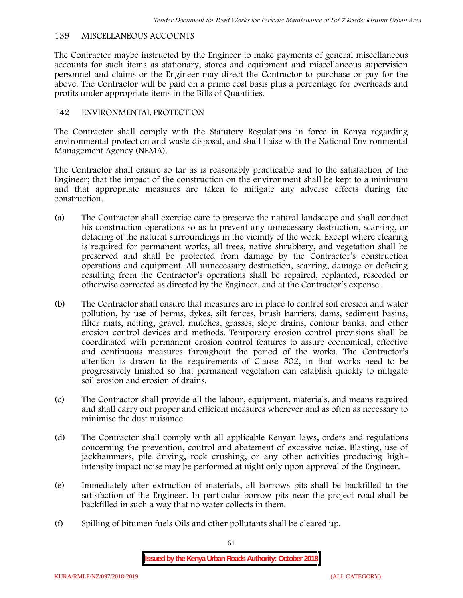## **139 MISCELLANEOUS ACCOUNTS**

The Contractor maybe instructed by the Engineer to make payments of general miscellaneous accounts for such items as stationary, stores and equipment and miscellaneous supervision personnel and claims or the Engineer may direct the Contractor to purchase or pay for the above. The Contractor will be paid on a prime cost basis plus a percentage for overheads and profits under appropriate items in the Bills of Quantities.

## **142 ENVIRONMENTAL PROTECTION**

The Contractor shall comply with the Statutory Regulations in force in Kenya regarding environmental protection and waste disposal, and shall liaise with the National Environmental Management Agency (NEMA).

The Contractor shall ensure so far as is reasonably practicable and to the satisfaction of the Engineer; that the impact of the construction on the environment shall be kept to a minimum and that appropriate measures are taken to mitigate any adverse effects during the construction.

- (a) The Contractor shall exercise care to preserve the natural landscape and shall conduct his construction operations so as to prevent any unnecessary destruction, scarring, or defacing of the natural surroundings in the vicinity of the work. Except where clearing is required for permanent works, all trees, native shrubbery, and vegetation shall be preserved and shall be protected from damage by the Contractor's construction operations and equipment. All unnecessary destruction, scarring, damage or defacing resulting from the Contractor's operations shall be repaired, replanted, reseeded or otherwise corrected as directed by the Engineer, and at the Contractor's expense.
- (b) The Contractor shall ensure that measures are in place to control soil erosion and water pollution, by use of berms, dykes, silt fences, brush barriers, dams, sediment basins, filter mats, netting, gravel, mulches, grasses, slope drains, contour banks, and other erosion control devices and methods. Temporary erosion control provisions shall be coordinated with permanent erosion control features to assure economical, effective and continuous measures throughout the period of the works. The Contractor's attention is drawn to the requirements of Clause 502, in that works need to be progressively finished so that permanent vegetation can establish quickly to mitigate soil erosion and erosion of drains.
- (c) The Contractor shall provide all the labour, equipment, materials, and means required and shall carry out proper and efficient measures wherever and as often as necessary to minimise the dust nuisance.
- (d) The Contractor shall comply with all applicable Kenyan laws, orders and regulations concerning the prevention, control and abatement of excessive noise. Blasting, use of jackhammers, pile driving, rock crushing, or any other activities producing highintensity impact noise may be performed at night only upon approval of the Engineer.
- (e) Immediately after extraction of materials, all borrows pits shall be backfilled to the satisfaction of the Engineer. In particular borrow pits near the project road shall be backfilled in such a way that no water collects in them.
- (f) Spilling of bitumen fuels Oils and other pollutants shall be cleared up.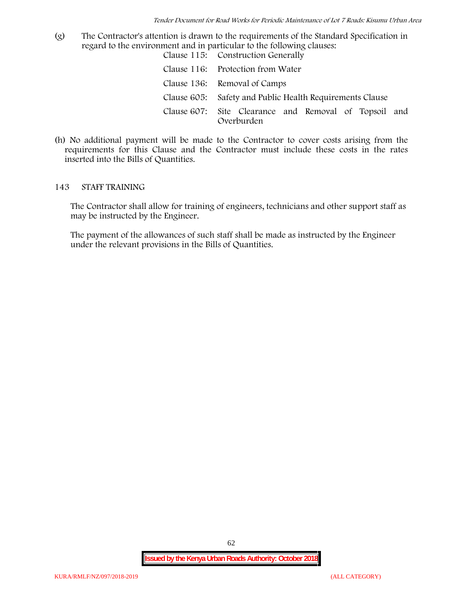(g) The Contractor's attention is drawn to the requirements of the Standard Specification in regard to the environment and in particular to the following clauses: Clause 115: Construction Generally

| Clause 110. Construction dencrally                                  |
|---------------------------------------------------------------------|
| Clause 116: Protection from Water                                   |
| Clause 136: Removal of Camps                                        |
| Clause 605: Safety and Public Health Requirements Clause            |
| Clause 607: Site Clearance and Removal of Topsoil and<br>Overburden |

(h) No additional payment will be made to the Contractor to cover costs arising from the requirements for this Clause and the Contractor must include these costs in the rates inserted into the Bills of Quantities.

#### **143 STAFF TRAINING**

The Contractor shall allow for training of engineers, technicians and other support staff as may be instructed by the Engineer.

The payment of the allowances of such staff shall be made as instructed by the Engineer under the relevant provisions in the Bills of Quantities.

62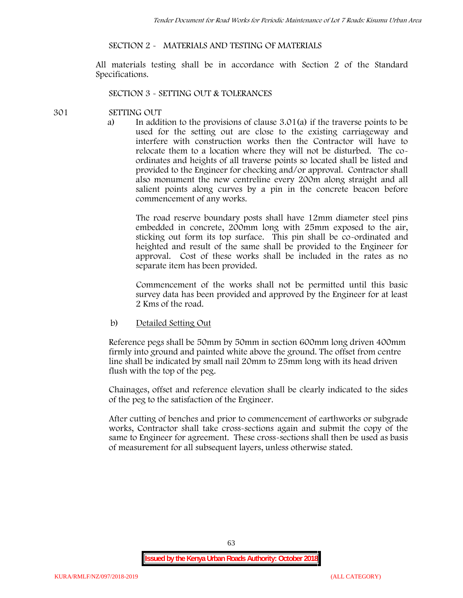## **SECTION 2 - MATERIALS AND TESTING OF MATERIALS**

All materials testing shall be in accordance with Section 2 of the Standard Specifications.

#### **SECTION 3 - SETTING OUT & TOLERANCES**

#### **301 SETTING OUT**

a) In addition to the provisions of clause 3.01(a) if the traverse points to be used for the setting out are close to the existing carriageway and interfere with construction works then the Contractor will have to relocate them to a location where they will not be disturbed. The co ordinates and heights of all traverse points so located shall be listed and provided to the Engineer for checking and/or approval. Contractor shall also monument the new centreline every 200m along straight and all salient points along curves by a pin in the concrete beacon before commencement of any works.

The road reserve boundary posts shall have 12mm diameter steel pins embedded in concrete, 200mm long with 25mm exposed to the air, sticking out form its top surface. This pin shall be co-ordinated and heighted and result of the same shall be provided to the Engineer for approval. Cost of these works shall be included in the rates as no separate item has been provided.

Commencement of the works shall not be permitted until this basic survey data has been provided and approved by the Engineer for at least 2 Kms of the road.

b) Detailed Setting Out

Reference pegs shall be 50mm by 50mm in section 600mm long driven 400mm firmly into ground and painted white above the ground. The offset from centre line shall be indicated by small nail 20mm to 25mm long with its head driven flush with the top of the peg.

Chainages, offset and reference elevation shall be clearly indicated to the sides of the peg to the satisfaction of the Engineer.

After cutting of benches and prior to commencement of earthworks or subgrade works, Contractor shall take cross-sections again and submit the copy of the same to Engineer for agreement. These cross-sections shall then be used as basis of measurement for all subsequent layers, unless otherwise stated.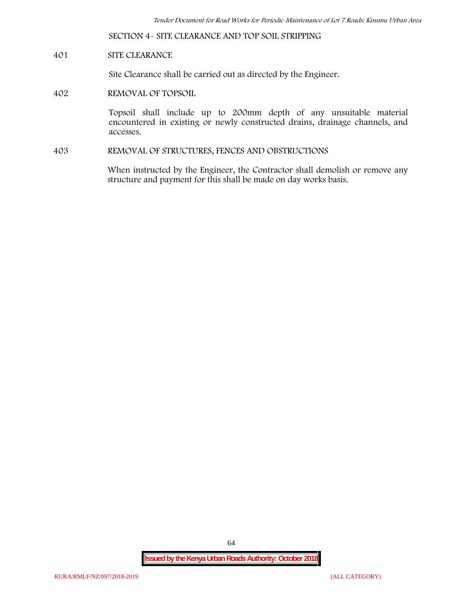**SECTION 4- SITE CLEARANCE AND TOP SOIL STRIPPING**

## **401 SITE CLEARANCE**

Site Clearance shall be carried out as directed by the Engineer.

**402 REMOVAL OF TOPSOIL**

Topsoil shall include up to 200mm depth of any unsuitable material encountered in existing or newly constructed drains, drainage channels, and accesses.

**403 REMOVAL OF STRUCTURES, FENCES AND OBSTRUCTIONS**

When instructed by the Engineer, the Contractor shall demolish or remove any structure and payment for this shall be made on day works basis.

64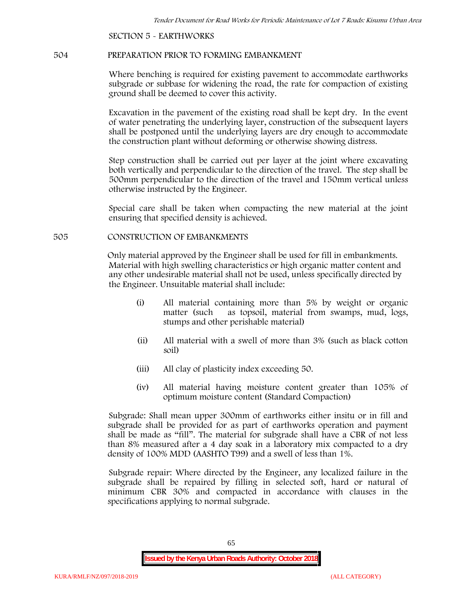**SECTION 5 - EARTHWORKS**

#### **504 PREPARATION PRIOR TO FORMING EMBANKMENT**

Where benching is required for existing pavement to accommodate earthworks subgrade or subbase for widening the road, the rate for compaction of existing ground shall be deemed to cover this activity.

Excavation in the pavement of the existing road shall be kept dry. In the event of water penetrating the underlying layer, construction of the subsequent layers shall be postponed until the underlying layers are dry enough to accommodate the construction plant without deforming or otherwise showing distress.

Step construction shall be carried out per layer at the joint where excavating both vertically and perpendicular to the direction of the travel. The step shall be 500mm perpendicular to the direction of the travel and 150mm vertical unless otherwise instructed by the Engineer.

Special care shall be taken when compacting the new material at the joint ensuring that specified density is achieved.

## **505 CONSTRUCTION OF EMBANKMENTS**

Only material approved by the Engineer shall be used for fill in embankments. Material with high swelling characteristics or high organic matter content and any other undesirable material shall not be used, unless specifically directed by the Engineer. Unsuitable material shall include:

- (i) All material containing more than 5% by weight or organic matter (such as topsoil, material from swamps, mud, logs, stumps and other perishable material)
- (ii) All material with a swell of more than 3% (such as black cotton soil)
- (iii) All clay of plasticity index exceeding 50.
- (iv) All material having moisture content greater than 105% of optimum moisture content (Standard Compaction)

Subgrade: Shall mean upper 300mm of earthworks either insitu or in fill and subgrade shall be provided for as part of earthworks operation and payment shall be made as "fill". The material for subgrade shall have a CBR of not less than 8% measured after a 4 day soak in a laboratory mix compacted to a dry density of 100% MDD (AASHTO T99) and a swell of less than 1%.

Subgrade repair: Where directed by the Engineer, any localized failure in the subgrade shall be repaired by filling in selected soft, hard or natural of minimum CBR 30% and compacted in accordance with clauses in the specifications applying to normal subgrade.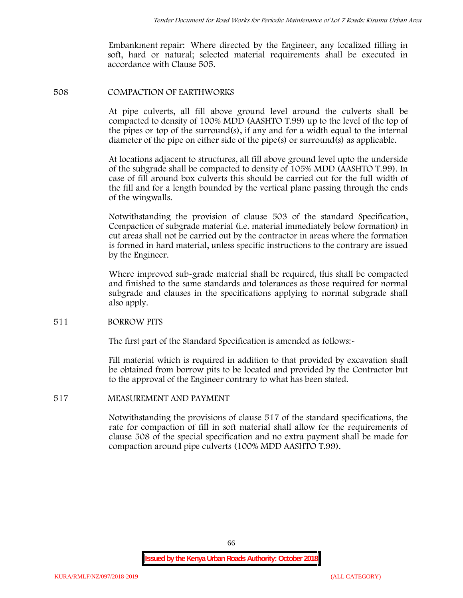Embankment repair: Where directed by the Engineer, any localized filling in soft, hard or natural; selected material requirements shall be executed in accordance with Clause 505.

#### **508 COMPACTION OF EARTHWORKS**

At pipe culverts, all fill above ground level around the culverts shall be compacted to density of 100% MDD (AASHTO T.99) up to the level of the top of the pipes or top of the surround(s), if any and for a width equal to the internal diameter of the pipe on either side of the pipe(s) or surround(s) as applicable.

At locations adjacent to structures, all fill above ground level upto the underside of the subgrade shall be compacted to density of 105% MDD (AASHTO T.99). In case of fill around box culverts this should be carried out for the full width of the fill and for a length bounded by the vertical plane passing through the ends of the wingwalls.

Notwithstanding the provision of clause 503 of the standard Specification, Compaction of subgrade material (i.e. material immediately below formation) in cut areas shall not be carried out by the contractor in areas where the formation is formed in hard material, unless specific instructions to the contrary are issued by the Engineer.

Where improved sub-grade material shall be required, this shall be compacted and finished to the same standards and tolerances as those required for normal subgrade and clauses in the specifications applying to normal subgrade shall also apply.

#### **511 BORROW PITS**

The first part of the Standard Specification is amended as follows:-

Fill material which is required in addition to that provided by excavation shall be obtained from borrow pits to be located and provided by the Contractor but to the approval of the Engineer contrary to what has been stated.

#### **517 MEASUREMENT AND PAYMENT**

Notwithstanding the provisions of clause 517 of the standard specifications, the rate for compaction of fill in soft material shall allow for the requirements of clause 508 of the special specification and no extra payment shall be made for compaction around pipe culverts (100% MDD AASHTO T.99).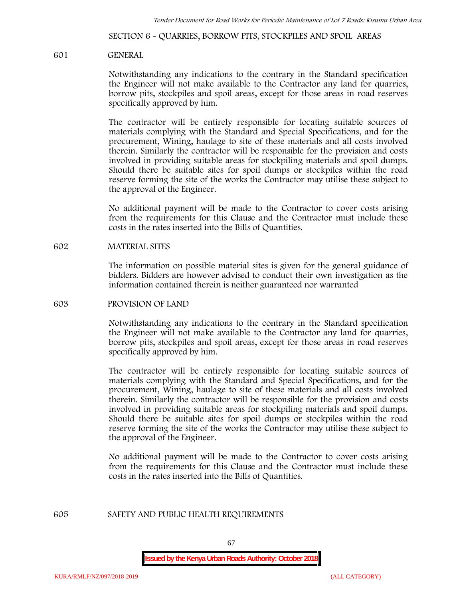**SECTION 6 - QUARRIES, BORROW PITS, STOCKPILES AND SPOIL AREAS**

#### **601 GENERAL**

Notwithstanding any indications to the contrary in the Standard specification the Engineer will not make available to the Contractor any land for quarries, borrow pits, stockpiles and spoil areas, except for those areas in road reserves specifically approved by him.

The contractor will be entirely responsible for locating suitable sources of materials complying with the Standard and Special Specifications, and for the procurement, Wining, haulage to site of these materials and all costs involved therein. Similarly the contractor will be responsible for the provision and costs involved in providing suitable areas for stockpiling materials and spoil dumps. Should there be suitable sites for spoil dumps or stockpiles within the road reserve forming the site of the works the Contractor may utilise these subject to the approval of the Engineer.

No additional payment will be made to the Contractor to cover costs arising from the requirements for this Clause and the Contractor must include these costs in the rates inserted into the Bills of Quantities.

#### **602 MATERIAL SITES**

The information on possible material sites is given for the general guidance of bidders. Bidders are however advised to conduct their own investigation as the information contained therein is neither guaranteed nor warranted

#### **603 PROVISION OF LAND**

Notwithstanding any indications to the contrary in the Standard specification the Engineer will not make available to the Contractor any land for quarries, borrow pits, stockpiles and spoil areas, except for those areas in road reserves specifically approved by him.

The contractor will be entirely responsible for locating suitable sources of materials complying with the Standard and Special Specifications, and for the procurement, Wining, haulage to site of these materials and all costs involved therein. Similarly the contractor will be responsible for the provision and costs involved in providing suitable areas for stockpiling materials and spoil dumps. Should there be suitable sites for spoil dumps or stockpiles within the road reserve forming the site of the works the Contractor may utilise these subject to the approval of the Engineer.

No additional payment will be made to the Contractor to cover costs arising from the requirements for this Clause and the Contractor must include these costs in the rates inserted into the Bills of Quantities.

#### **605 SAFETY AND PUBLIC HEALTH REQUIREMENTS**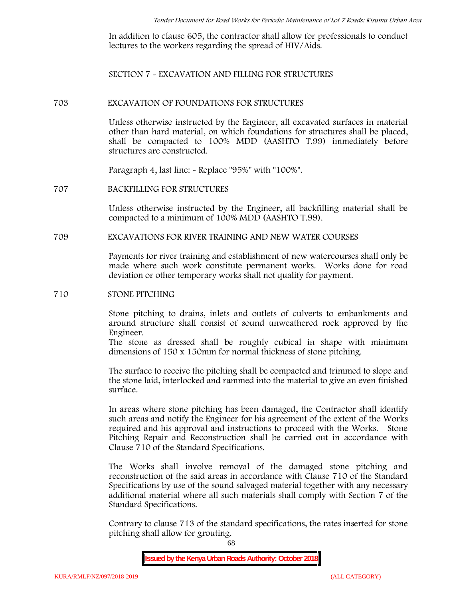In addition to clause 605, the contractor shall allow for professionals to conduct lectures to the workers regarding the spread of HIV/Aids.

**SECTION 7 - EXCAVATION AND FILLING FOR STRUCTURES**

#### **703 EXCAVATION OF FOUNDATIONS FOR STRUCTURES**

Unless otherwise instructed by the Engineer, all excavated surfaces in material other than hard material, on which foundations for structures shall be placed, shall be compacted to 100% MDD (AASHTO T.99) immediately before structures are constructed.

Paragraph 4, last line: - Replace "95%" with "100%".

#### **707 BACKFILLING FOR STRUCTURES**

Unless otherwise instructed by the Engineer, all backfilling material shall be compacted to a minimum of 100% MDD (AASHTO T.99).

## **709 EXCAVATIONS FOR RIVER TRAINING AND NEW WATER COURSES**

Payments for river training and establishment of new watercourses shall only be made where such work constitute permanent works. Works done for road deviation or other temporary works shall not qualify for payment.

#### **710 STONE PITCHING**

Stone pitching to drains, inlets and outlets of culverts to embankments and around structure shall consist of sound unweathered rock approved by the Engineer.

The stone as dressed shall be roughly cubical in shape with minimum dimensions of 150 x 150mm for normal thickness of stone pitching.

The surface to receive the pitching shall be compacted and trimmed to slope and the stone laid, interlocked and rammed into the material to give an even finished surface.

In areas where stone pitching has been damaged, the Contractor shall identify such areas and notify the Engineer for his agreement of the extent of the Works required and his approval and instructions to proceed with the Works. Stone Pitching Repair and Reconstruction shall be carried out in accordance with Clause 710 of the Standard Specifications.

The Works shall involve removal of the damaged stone pitching and reconstruction of the said areas in accordance with Clause 710 of the Standard Specifications by use of the sound salvaged material together with any necessary additional material where all such materials shall comply with Section 7 of the Standard Specifications.

Contrary to clause 713 of the standard specifications, the rates inserted for stone pitching shall allow for grouting.

68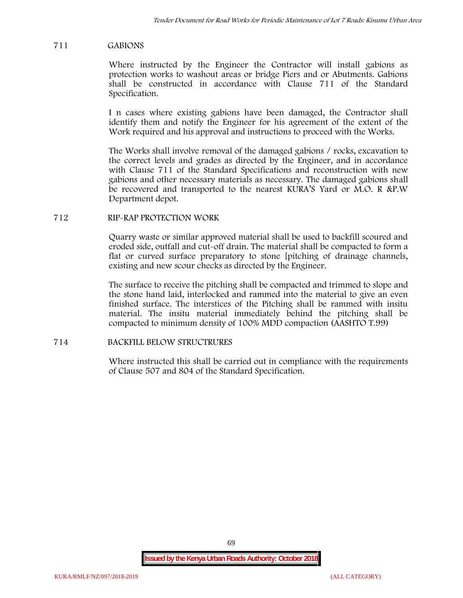## **711 GABIONS**

Where instructed by the Engineer the Contractor will install gabions as protection works to washout areas or bridge Piers and or Abutments. Gabions shall be constructed in accordance with Clause 711 of the Standard Specification.

I n cases where existing gabions have been damaged, the Contractor shall identify them and notify the Engineer for his agreement of the extent of the Work required and his approval and instructions to proceed with the Works.

The Works shall involve removal of the damaged gabions / rocks, excavation to the correct levels and grades as directed by the Engineer, and in accordance with Clause 711 of the Standard Specifications and reconstruction with new gabions and other necessary materials as necessary. The damaged gabions shall be recovered and transported to the nearest KURA'S Yard or M.O. R &P.W Department depot.

## **712 RIP-RAP PROTECTION WORK**

Quarry waste or similar approved material shall be used to backfill scoured and eroded side, outfall and cut-off drain. The material shall be compacted to form a flat or curved surface preparatory to stone [pitching of drainage channels, existing and new scour checks as directed by the Engineer.

The surface to receive the pitching shall be compacted and trimmed to slope and the stone hand laid, interlocked and rammed into the material to give an even finished surface. The interstices of the Pitching shall be rammed with insitu material. The insitu material immediately behind the pitching shall be compacted to minimum density of 100% MDD compaction (AASHTO T.99)

## **714 BACKFILL BELOW STRUCTRURES**

Where instructed this shall be carried out in compliance with the requirements of Clause 507 and 804 of the Standard Specification.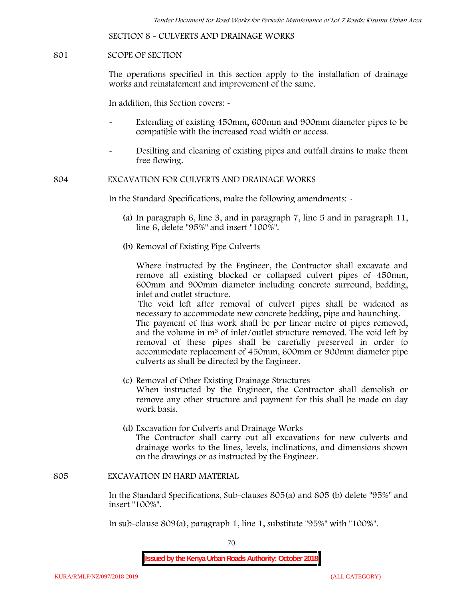**SECTION 8 - CULVERTS AND DRAINAGE WORKS**

#### **801 SCOPE OF SECTION**

The operations specified in this section apply to the installation of drainage works and reinstatement and improvement of the same.

In addition, this Section covers: -

- Extending of existing 450mm, 600mm and 900mm diameter pipes to be compatible with the increased road width or access.
- Desilting and cleaning of existing pipes and outfall drains to make them free flowing.

**804 EXCAVATION FOR CULVERTS AND DRAINAGE WORKS**

In the Standard Specifications, make the following amendments: -

culverts as shall be directed by the Engineer.

- (a) In paragraph 6, line 3, and in paragraph 7, line 5 and in paragraph 11, line 6, delete "95%" and insert "100%".
- (b) Removal of Existing Pipe Culverts

Where instructed by the Engineer, the Contractor shall excavate and remove all existing blocked or collapsed culvert pipes of 450mm, 600mm and 900mm diameter including concrete surround, bedding, inlet and outlet structure.

The void left after removal of culvert pipes shall be widened as necessary to accommodate new concrete bedding, pipe and haunching. The payment of this work shall be per linear metre of pipes removed, and the volume in m<sup>3</sup> of inlet/outlet structure removed. The void left by removal of these pipes shall be carefully preserved in order to accommodate replacement of 450mm, 600mm or 900mm diameter pipe

- (c) Removal of Other Existing Drainage Structures When instructed by the Engineer, the Contractor shall demolish or remove any other structure and payment for this shall be made on day work basis.
- (d) Excavation for Culverts and Drainage Works The Contractor shall carry out all excavations for new culverts and drainage works to the lines, levels, inclinations, and dimensions shown on the drawings or as instructed by the Engineer.

#### **805 EXCAVATION IN HARD MATERIAL**

In the Standard Specifications, Sub-clauses 805(a) and 805 (b) delete "95%" and insert "100%".

In sub-clause 809(a), paragraph 1, line 1, substitute "95%" with "100%".

70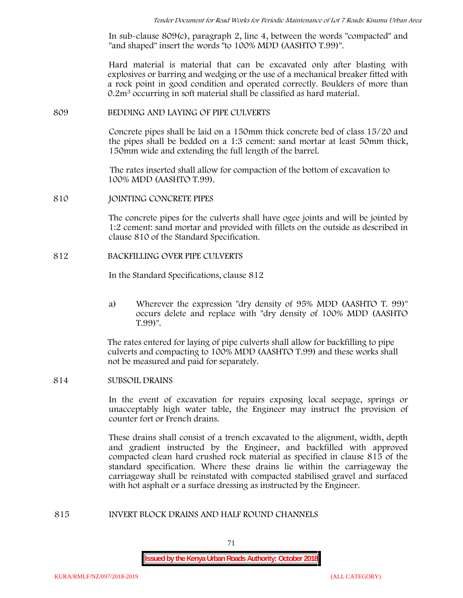In sub-clause 809(c), paragraph 2, line 4, between the words "compacted" and "and shaped" insert the words "to 100% MDD (AASHTO T.99)".

Hard material is material that can be excavated only after blasting with explosives or barring and wedging or the use of a mechanical breaker fitted with a rock point in good condition and operated correctly. Boulders of more than 0.2m<sup>3</sup> occurring in soft material shall be classified as hard material.

#### **809 BEDDING AND LAYING OF PIPE CULVERTS**

Concrete pipes shall be laid on a 150mm thick concrete bed of class 15/20 and the pipes shall be bedded on a 1:3 cement: sand mortar at least 50mm thick, 150mm wide and extending the full length of the barrel.

The rates inserted shall allow for compaction of the bottom of excavation to 100% MDD (AASHTO T.99).

#### **810 JOINTING CONCRETE PIPES**

The concrete pipes for the culverts shall have ogee joints and will be jointed by 1:2 cement: sand mortar and provided with fillets on the outside as described in clause 810 of the Standard Specification.

#### **812 BACKFILLING OVER PIPE CULVERTS**

In the Standard Specifications, clause 812

a) Wherever the expression "dry density of 95% MDD (AASHTO T. 99)" occurs delete and replace with "dry density of 100% MDD (AASHTO T.99)".

The rates entered for laying of pipe culverts shall allow for backfilling to pipe culverts and compacting to 100% MDD (AASHTO T.99) and these works shall not be measured and paid for separately.

## **814 SUBSOIL DRAINS**

In the event of excavation for repairs exposing local seepage, springs or unacceptably high water table, the Engineer may instruct the provision of counter fort or French drains.

These drains shall consist of a trench excavated to the alignment, width, depth and gradient instructed by the Engineer, and backfilled with approved compacted clean hard crushed rock material as specified in clause 815 of the standard specification. Where these drains lie within the carriageway the carriageway shall be reinstated with compacted stabilised gravel and surfaced with hot asphalt or a surface dressing as instructed by the Engineer.

#### **815 INVERT BLOCK DRAINS AND HALF ROUND CHANNELS**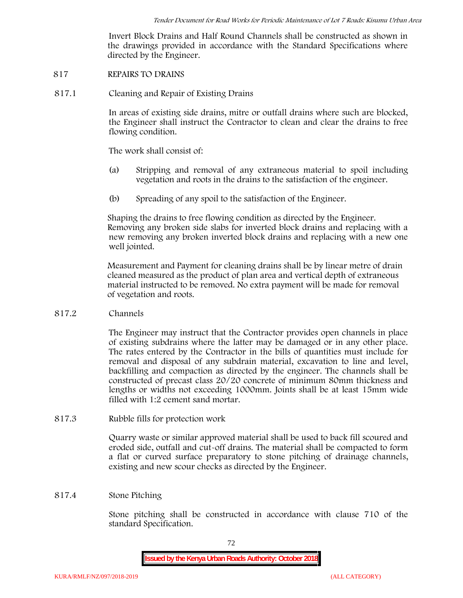Invert Block Drains and Half Round Channels shall be constructed as shown in the drawings provided in accordance with the Standard Specifications where directed by the Engineer.

- **817 REPAIRS TO DRAINS**
- **817.1 Cleaning and Repair of Existing Drains**

In areas of existing side drains, mitre or outfall drains where such are blocked, the Engineer shall instruct the Contractor to clean and clear the drains to free flowing condition.

The work shall consist of:

- (a) Stripping and removal of any extraneous material to spoil including vegetation and roots in the drains to the satisfaction of the engineer.
- (b) Spreading of any spoil to the satisfaction of the Engineer.

Shaping the drains to free flowing condition as directed by the Engineer. Removing any broken side slabs for inverted block drains and replacing with a new removing any broken inverted block drains and replacing with a new one well jointed.

Measurement and Payment for cleaning drains shall be by linear metre of drain cleaned measured as the product of plan area and vertical depth of extraneous material instructed to be removed. No extra payment will be made for removal of vegetation and roots.

**817.2 Channels**

The Engineer may instruct that the Contractor provides open channels in place of existing subdrains where the latter may be damaged or in any other place. The rates entered by the Contractor in the bills of quantities must include for removal and disposal of any subdrain material, excavation to line and level, backfilling and compaction as directed by the engineer. The channels shall be constructed of precast class 20/20 concrete of minimum 80mm thickness and lengths or widths not exceeding 1000mm. Joints shall be at least 15mm wide filled with 1:2 cement sand mortar.

**817.3 Rubble fills for protection work**

Quarry waste or similar approved material shall be used to back fill scoured and eroded side, outfall and cut-off drains. The material shall be compacted to form a flat or curved surface preparatory to stone pitching of drainage channels, existing and new scour checks as directed by the Engineer.

## **817.4 Stone Pitching**

Stone pitching shall be constructed in accordance with clause 710 of the standard Specification.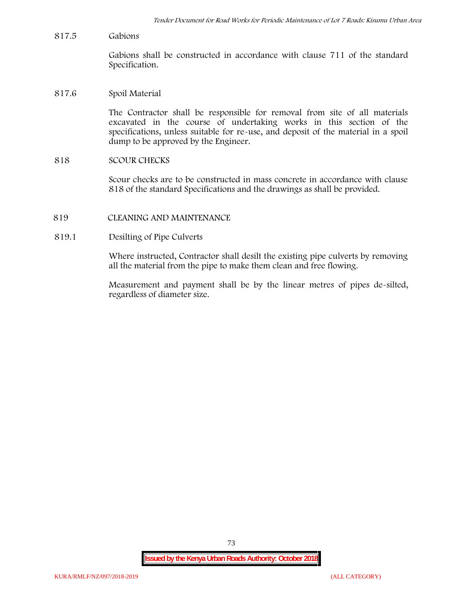**817.5 Gabions**

Gabions shall be constructed in accordance with clause 711 of the standard Specification.

**817.6 Spoil Material**

The Contractor shall be responsible for removal from site of all materials excavated in the course of undertaking works in this section of the specifications, unless suitable for re-use, and deposit of the material in a spoil dump to be approved by the Engineer.

**818 SCOUR CHECKS**

Scour checks are to be constructed in mass concrete in accordance with clause 818 of the standard Specifications and the drawings as shall be provided.

- **819 CLEANING AND MAINTENANCE**
- **819.1 Desilting of Pipe Culverts**

Where instructed, Contractor shall desilt the existing pipe culverts by removing all the material from the pipe to make them clean and free flowing.

Measurement and payment shall be by the linear metres of pipes de-silted, regardless of diameter size.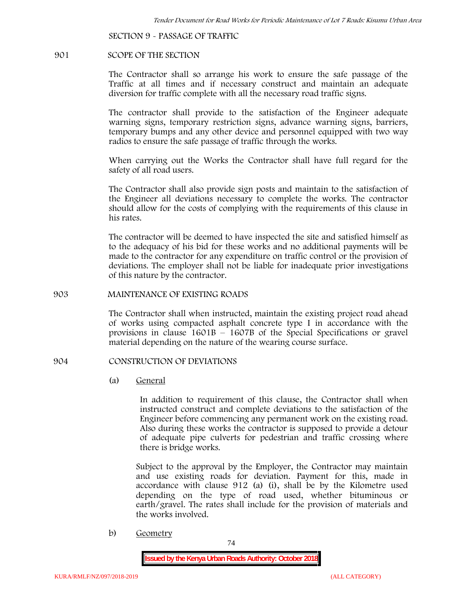**SECTION 9 - PASSAGE OF TRAFFIC**

#### **901 SCOPE OF THE SECTION**

The Contractor shall so arrange his work to ensure the safe passage of the Traffic at all times and if necessary construct and maintain an adequate diversion for traffic complete with all the necessary road traffic signs.

The contractor shall provide to the satisfaction of the Engineer adequate warning signs, temporary restriction signs, advance warning signs, barriers, temporary bumps and any other device and personnel equipped with two way radios to ensure the safe passage of traffic through the works.

When carrying out the Works the Contractor shall have full regard for the safety of all road users.

The Contractor shall also provide sign posts and maintain to the satisfaction of the Engineer all deviations necessary to complete the works. The contractor should allow for the costs of complying with the requirements of this clause in his rates.

The contractor will be deemed to have inspected the site and satisfied himself as to the adequacy of his bid for these works and no additional payments will be made to the contractor for any expenditure on traffic control or the provision of deviations. The employer shall not be liable for inadequate prior investigations of this nature by the contractor.

#### **903 MAINTENANCE OF EXISTING ROADS**

The Contractor shall when instructed, maintain the existing project road ahead of works using compacted asphalt concrete type I in accordance with the provisions in clause 1601B – 1607B of the Special Specifications or gravel material depending on the nature of the wearing course surface.

### **904 CONSTRUCTION OF DEVIATIONS**

(a) **General**

In addition to requirement of this clause, the Contractor shall when instructed construct and complete deviations to the satisfaction of the Engineer before commencing any permanent work on the existing road. Also during these works the contractor is supposed to provide a detour of adequate pipe culverts for pedestrian and traffic crossing where there is bridge works.

Subject to the approval by the Employer, the Contractor may maintain and use existing roads for deviation. Payment for this, made in accordance with clause 912 (a) (i), shall be by the Kilometre used depending on the type of road used, whether bituminous or earth/gravel. The rates shall include for the provision of materials and the works involved.

b) **Geometry**

74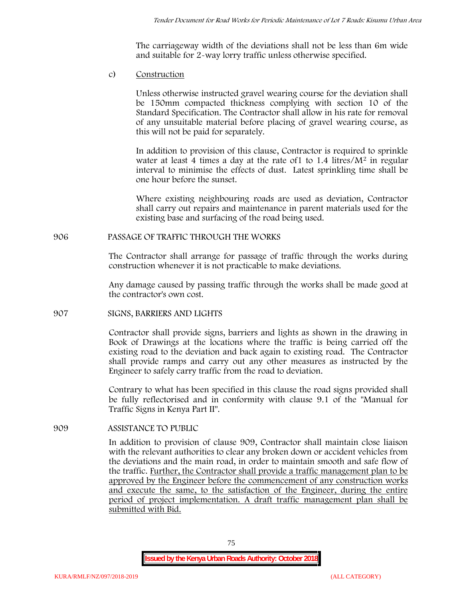The carriageway width of the deviations shall not be less than 6m wide and suitable for 2-way lorry traffic unless otherwise specified.

c) **Construction**

Unless otherwise instructed gravel wearing course for the deviation shall be 150mm compacted thickness complying with section 10 of the Standard Specification. The Contractor shall allow in his rate for removal of any unsuitable material before placing of gravel wearing course, as this will not be paid for separately.

In addition to provision of this clause, Contractor is required to sprinkle water at least 4 times a day at the rate of 1 to  $1.4$  litres/ $M<sup>2</sup>$  in regular interval to minimise the effects of dust. Latest sprinkling time shall be one hour before the sunset.

Where existing neighbouring roads are used as deviation, Contractor shall carry out repairs and maintenance in parent materials used for the existing base and surfacing of the road being used.

# **906 PASSAGE OF TRAFFIC THROUGH THE WORKS**

The Contractor shall arrange for passage of traffic through the works during construction whenever it is not practicable to make deviations.

Any damage caused by passing traffic through the works shall be made good at the contractor's own cost.

## **907 SIGNS, BARRIERS AND LIGHTS**

Contractor shall provide signs, barriers and lights as shown in the drawing in Book of Drawings at the locations where the traffic is being carried off the existing road to the deviation and back again to existing road. The Contractor shall provide ramps and carry out any other measures as instructed by the Engineer to safely carry traffic from the road to deviation.

Contrary to what has been specified in this clause the road signs provided shall be fully reflectorised and in conformity with clause 9.1 of the "Manual for Traffic Signs in Kenya Part II".

# **909 ASSISTANCE TO PUBLIC**

In addition to provision of clause 909, Contractor shall maintain close liaison with the relevant authorities to clear any broken down or accident vehicles from the deviations and the main road, in order to maintain smooth and safe flow of the traffic. Further, the Contractor shall provide a traffic management plan to be approved by the Engineer before the commencement of any construction works and execute the same, to the satisfaction of the Engineer, during the entire period of project implementation. A draft traffic management plan shall be submitted with Bid.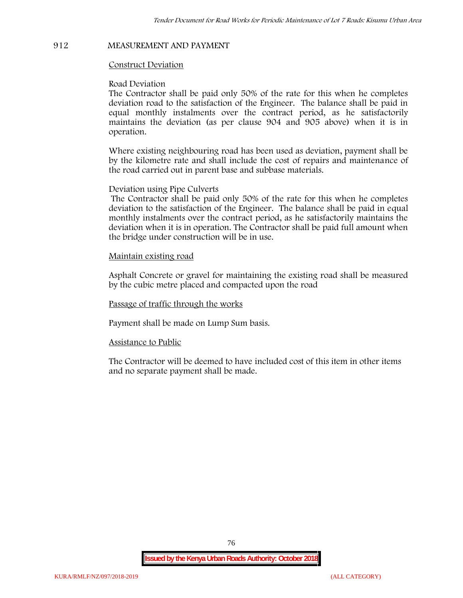## **912 MEASUREMENT AND PAYMENT**

## **Construct Deviation**

#### **Road Deviation**

The Contractor shall be paid only 50% of the rate for this when he completes deviation road to the satisfaction of the Engineer. The balance shall be paid in equal monthly instalments over the contract period, as he satisfactorily maintains the deviation (as per clause 904 and 905 above) when it is in operation.

Where existing neighbouring road has been used as deviation, payment shall be by the kilometre rate and shall include the cost of repairs and maintenance of the road carried out in parent base and subbase materials.

#### **Deviation using Pipe Culverts**

The Contractor shall be paid only 50% of the rate for this when he completes deviation to the satisfaction of the Engineer. The balance shall be paid in equal monthly instalments over the contract period, as he satisfactorily maintains the deviation when it is in operation. The Contractor shall be paid full amount when the bridge under construction will be in use.

## **Maintain existing road**

Asphalt Concrete or gravel for maintaining the existing road shall be measured by the cubic metre placed and compacted upon the road

**Passage of traffic through the works**

Payment shall be made on Lump Sum basis.

#### **Assistance to Public**

The Contractor will be deemed to have included cost of this item in other items and no separate payment shall be made.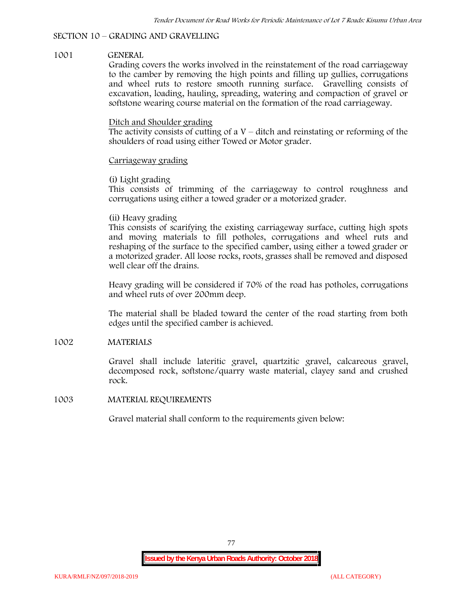# **SECTION 10 – GRADING AND GRAVELLING**

## **1001 GENERAL**

Grading covers the works involved in the reinstatement of the road carriageway to the camber by removing the high points and filling up gullies, corrugations and wheel ruts to restore smooth running surface. Gravelling consists of excavation, loading, hauling, spreading, watering and compaction of gravel or softstone wearing course material on the formation of the road carriageway.

# Ditch and Shoulder grading

The activity consists of cutting of a  $V$  – ditch and reinstating or reforming of the shoulders of road using either Towed or Motor grader.

# Carriageway grading

# **(i) Light grading**

This consists of trimming of the carriageway to control roughness and corrugations using either a towed grader or a motorized grader.

# **(ii) Heavy grading**

This consists of scarifying the existing carriageway surface, cutting high spots and moving materials to fill potholes, corrugations and wheel ruts and reshaping of the surface to the specified camber, using either a towed grader or a motorized grader. All loose rocks, roots, grasses shall be removed and disposed well clear off the drains.

Heavy grading will be considered if 70% of the road has potholes, corrugations and wheel ruts of over 200mm deep.

The material shall be bladed toward the center of the road starting from both edges until the specified camber is achieved.

# **1002 MATERIALS**

Gravel shall include lateritic gravel, quartzitic gravel, calcareous gravel, decomposed rock, softstone/quarry waste material, clayey sand and crushed rock.

## **1003 MATERIAL REQUIREMENTS**

Gravel material shall conform to the requirements given below: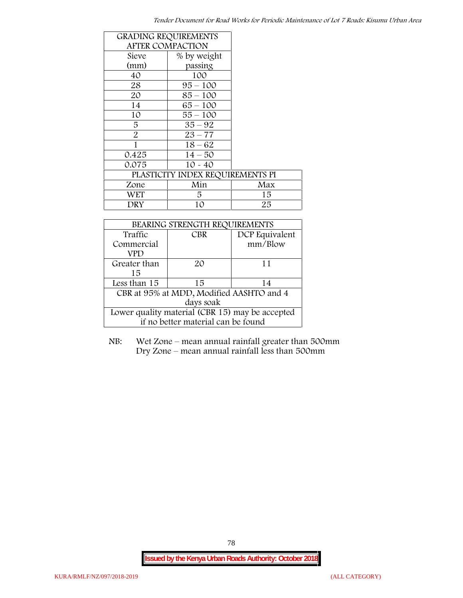| <b>GRADING REQUIREMENTS</b> |                                  |     |
|-----------------------------|----------------------------------|-----|
| <b>AFTER COMPACTION</b>     |                                  |     |
| Sieve                       | % by weight                      |     |
| (mm)                        | passing                          |     |
| 40                          | 100                              |     |
| 28                          | $95 - 100$                       |     |
| 20                          | $85 - 100$                       |     |
| 14                          | $65 - 100$                       |     |
| 10                          | $55 - 100$                       |     |
| 5                           | $35 - 92$                        |     |
| $\overline{2}$              | $23 - 77$                        |     |
| 1                           | $18 - 62$                        |     |
| 0.425                       | $14 - 50$                        |     |
| 0.075                       | $10 - 40$                        |     |
|                             | PLASTICITY INDEX REQUIREMENTS PI |     |
| Zone                        | Min                              | Max |
| <b>WET</b>                  | 5.                               | 15  |
| DRY                         | 10                               | 25  |

| BEARING STRENGTH REQUIREMENTS                   |            |                |  |  |
|-------------------------------------------------|------------|----------------|--|--|
| Traffic                                         | <b>CBR</b> | DCP Equivalent |  |  |
| Commercial                                      |            | mm/Blow        |  |  |
| VPD                                             |            |                |  |  |
| Greater than                                    | 20         | 11             |  |  |
| 15                                              |            |                |  |  |
| Less than 15                                    | 15         | 14             |  |  |
| CBR at 95% at MDD, Modified AASHTO and 4        |            |                |  |  |
| days soak                                       |            |                |  |  |
| Lower quality material (CBR 15) may be accepted |            |                |  |  |
| if no better material can be found              |            |                |  |  |

NB: Wet Zone – mean annual rainfall greater than 500mm Dry Zone – mean annual rainfall less than 500mm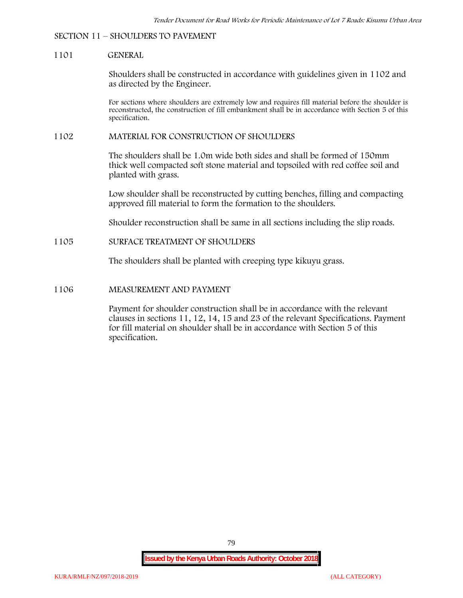#### **SECTION 11 – SHOULDERS TO PAVEMENT**

#### **1101 GENERAL**

Shoulders shall be constructed in accordance with guidelines given in 1102 and as directed by the Engineer.

For sections where shoulders are extremely low and requires fill material before the shoulder is reconstructed, the construction of fill embankment shall be in accordance with Section 5 of this specification.

#### **1102 MATERIAL FOR CONSTRUCTION OF SHOULDERS**

The shoulders shall be 1.0m wide both sides and shall be formed of 150mm thick well compacted soft stone material and topsoiled with red coffee soil and planted with grass.

Low shoulder shall be reconstructed by cutting benches, filling and compacting approved fill material to form the formation to the shoulders.

Shoulder reconstruction shall be same in all sections including the slip roads.

#### **1105 SURFACE TREATMENT OF SHOULDERS**

The shoulders shall be planted with creeping type kikuyu grass.

#### **1106 MEASUREMENT AND PAYMENT**

Payment for shoulder construction shall be in accordance with the relevant clauses in sections 11, 12, 14, 15 and 23 of the relevant Specifications. Payment for fill material on shoulder shall be in accordance with Section 5 of this specification.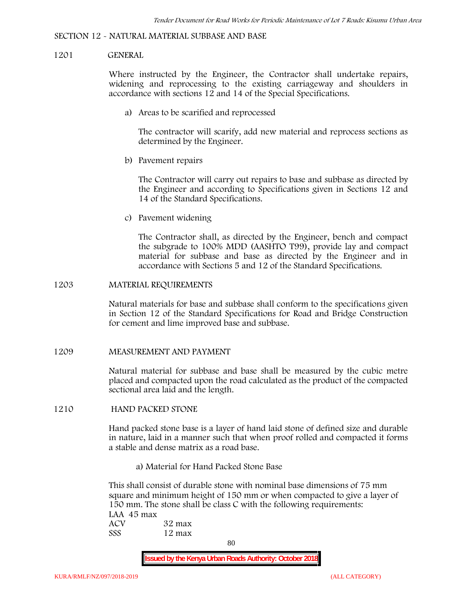#### **SECTION 12 - NATURAL MATERIAL SUBBASE AND BASE**

#### **1201 GENERAL**

Where instructed by the Engineer, the Contractor shall undertake repairs, widening and reprocessing to the existing carriageway and shoulders in accordance with sections 12 and 14 of the Special Specifications.

**a) Areas to be scarified and reprocessed**

The contractor will scarify, add new material and reprocess sections as determined by the Engineer.

**b) Pavement repairs**

The Contractor will carry out repairs to base and subbase as directed by the Engineer and according to Specifications given in Sections 12 and 14 of the Standard Specifications.

**c) Pavement widening**

The Contractor shall, as directed by the Engineer, bench and compact the subgrade to 100% MDD (AASHTO T99), provide lay and compact material for subbase and base as directed by the Engineer and in accordance with Sections 5 and 12 of the Standard Specifications.

#### **1203 MATERIAL REQUIREMENTS**

Natural materials for base and subbase shall conform to the specifications given in Section 12 of the Standard Specifications for Road and Bridge Construction for cement and lime improved base and subbase.

**1209 MEASUREMENT AND PAYMENT**

Natural material for subbase and base shall be measured by the cubic metre placed and compacted upon the road calculated as the product of the compacted sectional area laid and the length.

**1210 HAND PACKED STONE**

Hand packed stone base is a layer of hand laid stone of defined size and durable in nature, laid in a manner such that when proof rolled and compacted it forms a stable and dense matrix as a road base.

**a) Material for Hand Packed Stone Base**

This shall consist of durable stone with nominal base dimensions of 75 mm square and minimum height of 150 mm or when compacted to give a layer of 150 mm. The stone shall be class C with the following requirements: **LAA 45 max ACV 32 max SSS 12 max**

80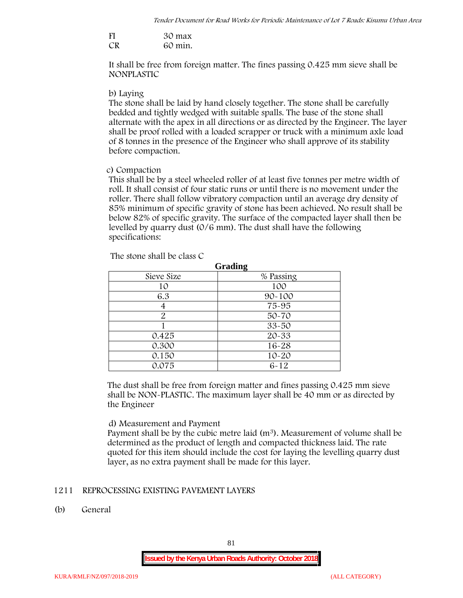| FI | 30 max  |
|----|---------|
| CR | 60 min. |

It shall be free from foreign matter. The fines passing 0.425 mm sieve shall be **NONPLASTIC**

#### **b) Laying**

The stone shall be laid by hand closely together. The stone shall be carefully bedded and tightly wedged with suitable spalls. The base of the stone shall alternate with the apex in all directions or as directed by the Engineer. The layer shall be proof rolled with a loaded scrapper or truck with a minimum axle load of 8 tonnes in the presence of the Engineer who shall approve of its stability before compaction.

## **c) Compaction**

This shall be by a steel wheeled roller of at least five tonnes per metre width of roll. It shall consist of four static runs or until there is no movement under the roller. There shall follow vibratory compaction until an average dry density of 85% minimum of specific gravity of stone has been achieved. No result shall be below 82% of specific gravity. The surface of the compacted layer shall then be levelled by quarry dust (0/6 mm). The dust shall have the following specifications:

| <b>Grading</b> |            |  |  |  |  |
|----------------|------------|--|--|--|--|
| Sieve Size     | % Passing  |  |  |  |  |
| 10             | 100        |  |  |  |  |
| 6.3            | $90 - 100$ |  |  |  |  |
|                | 75-95      |  |  |  |  |
| 2              | 50-70      |  |  |  |  |
|                | $33 - 50$  |  |  |  |  |
| 0.425          | 20-33      |  |  |  |  |
| 0.300          | 16-28      |  |  |  |  |
| 0.150          | $10 - 20$  |  |  |  |  |
| 0.075          | $6 - 12$   |  |  |  |  |

The stone shall be class C

The dust shall be free from foreign matter and fines passing 0.425 mm sieve shall be **NON-PLASTIC**. The maximum layer shall be 40 mm or as directed by the Engineer

## **d) Measurement and Payment**

Payment shall be by the cubic metre laid  $(m<sup>3</sup>)$ . Measurement of volume shall be determined as the product of length and compacted thickness laid. The rate quoted for this item should include the cost for laying the levelling quarry dust layer, as no extra payment shall be made for this layer.

# **1211 REPROCESSING EXISTING PAVEMENT LAYERS**

**(b) General**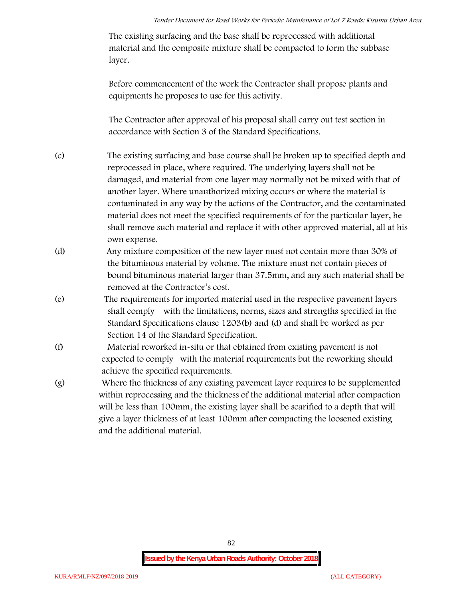The existing surfacing and the base shall be reprocessed with additional material and the composite mixture shall be compacted to form the subbase layer.

Before commencement of the work the Contractor shall propose plants and equipments he proposes to use for this activity.

The Contractor after approval of his proposal shall carry out test section in accordance with Section 3 of the Standard Specifications.

- (c) The existing surfacing and base course shall be broken up to specified depth and reprocessed in place, where required. The underlying layers shall not be damaged, and material from one layer may normally not be mixed with that of another layer. Where unauthorized mixing occurs or where the material is contaminated in any way by the actions of the Contractor, and the contaminated material does not meet the specified requirements of for the particular layer, he shall remove such material and replace it with other approved material, all at his own expense.
- (d) Any mixture composition of the new layer must not contain more than 30% of the bituminous material by volume. The mixture must not contain pieces of bound bituminous material larger than 37.5mm, and any such material shall be removed at the Contractor's cost.
- (e) The requirements for imported material used in the respective pavement layers shall comply with the limitations, norms, sizes and strengths specified in the Standard Specifications clause 1203(b) and (d) and shall be worked as per Section 14 of the Standard Specification.
- (f) Material reworked in-situ or that obtained from existing pavement is not expected to comply with the material requirements but the reworking should achieve the specified requirements.
- (g) Where the thickness of any existing pavement layer requires to be supplemented within reprocessing and the thickness of the additional material after compaction will be less than 100mm, the existing layer shall be scarified to a depth that will give a layer thickness of at least 100mm after compacting the loosened existing and the additional material.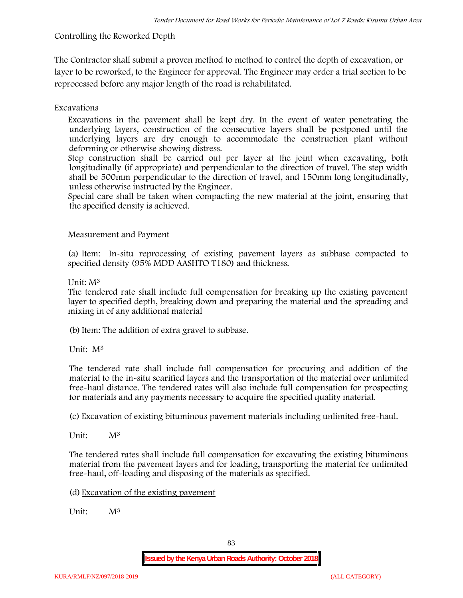# **Controlling the Reworked Depth**

The Contractor shall submit a proven method to method to control the depth of excavation, or layer to be reworked, to the Engineer for approval. The Engineer may order a trial section to be reprocessed before any major length of the road is rehabilitated.

# **Excavations**

Excavations in the pavement shall be kept dry. In the event of water penetrating the underlying layers, construction of the consecutive layers shall be postponed until the underlying layers are dry enough to accommodate the construction plant without deforming or otherwise showing distress.

Step construction shall be carried out per layer at the joint when excavating, both longitudinally (if appropriate) and perpendicular to the direction of travel. The step width shall be 500mm perpendicular to the direction of travel, and 150mm long longitudinally, unless otherwise instructed by the Engineer.

Special care shall be taken when compacting the new material at the joint, ensuring that the specified density is achieved.

# **Measurement and Payment**

(a) Item: In-situ reprocessing of existing pavement layers as subbase compacted to specified density (95% MDD AASHTO T180) and thickness.

## Unit: M<sup>3</sup>

The tendered rate shall include full compensation for breaking up the existing pavement layer to specified depth, breaking down and preparing the material and the spreading and mixing in of any additional material

(b)Item: The addition of extra gravel to subbase.

Unit: M<sup>3</sup>

The tendered rate shall include full compensation for procuring and addition of the material to the in-situ scarified layers and the transportation of the material over unlimited free-haul distance. The tendered rates will also include full compensation for prospecting for materials and any payments necessary to acquire the specified quality material.

(c) Excavation of existing bituminous pavement materials including unlimited free-haul.

Unit: M<sup>3</sup>

The tendered rates shall include full compensation for excavating the existing bituminous material from the pavement layers and for loading, transporting the material for unlimited free-haul, off-loading and disposing of the materials as specified.

(d) Excavation of the existing pavement

Unit:  $M^3$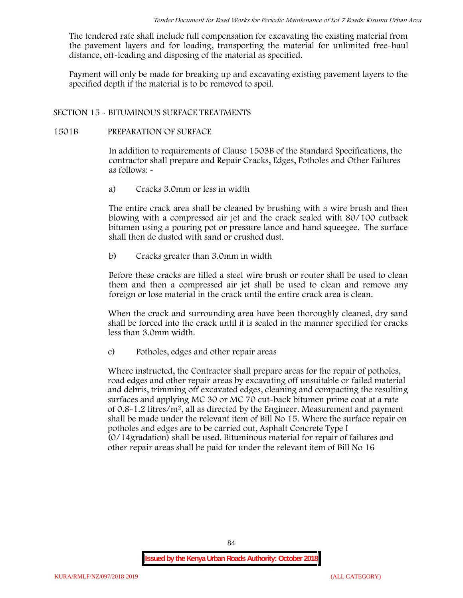The tendered rate shall include full compensation for excavating the existing material from the pavement layers and for loading, transporting the material for unlimited free-haul distance, off-loading and disposing of the material as specified.

Payment will only be made for breaking up and excavating existing pavement layers to the specified depth if the material is to be removed to spoil.

## **SECTION 15 - BITUMINOUS SURFACE TREATMENTS**

#### **1501B PREPARATION OF SURFACE**

In addition to requirements of Clause 1503B of the Standard Specifications, the contractor shall prepare and Repair Cracks, Edges, Potholes and Other Failures as follows: **-**

a) **Cracks 3.0mm or less in width**

The entire crack area shall be cleaned by brushing with a wire brush and then blowing with a compressed air jet and the crack sealed with 80/100 cutback bitumen using a pouring pot or pressure lance and hand squeegee. The surface shall then de dusted with sand or crushed dust.

b) **Cracks greater than 3.0mm in width**

Before these cracks are filled a steel wire brush or router shall be used to clean them and then a compressed air jet shall be used to clean and remove any foreign or lose material in the crack until the entire crack area is clean.

When the crack and surrounding area have been thoroughly cleaned, dry sand shall be forced into the crack until it is sealed in the manner specified for cracks less than 3.0mm width.

c) **Potholes, edges and other repair areas**

Where instructed, the Contractor shall prepare areas for the repair of potholes, road edges and other repair areas by excavating off unsuitable or failed material and debris, trimming off excavated edges, cleaning and compacting the resulting surfaces and applying MC 30 or MC 70 cut-back bitumen prime coat at a rate of  $0.8-1.2$  litres/m<sup>2</sup>, all as directed by the Engineer. Measurement and payment shall be made under the relevant item of Bill No 15. Where the surface repair on potholes and edges are to be carried out, Asphalt Concrete Type I (0/14gradation) shall be used. Bituminous material for repair of failures and other repair areas shall be paid for under the relevant item of Bill No 16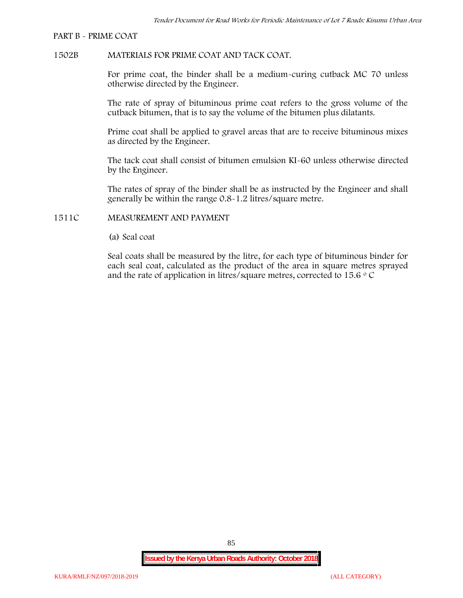#### **PART B - PRIME COAT**

### **1502B MATERIALS FOR PRIME COAT AND TACK COAT.**

For prime coat, the binder shall be a medium-curing cutback MC 70 unless otherwise directed by the Engineer.

The rate of spray of bituminous prime coat refers to the gross volume of the cutback bitumen, that is to say the volume of the bitumen plus dilatants.

Prime coat shall be applied to gravel areas that are to receive bituminous mixes as directed by the Engineer.

The tack coat shall consist of bitumen emulsion KI-60 unless otherwise directed by the Engineer.

The rates of spray of the binder shall be as instructed by the Engineer and shall generally be within the range 0.8-1.2 litres/square metre.

### **1511C MEASUREMENT AND PAYMENT**

(a) Seal coat

Seal coats shall be measured by the litre, for each type of bituminous binder for each seal coat, calculated as the product of the area in square metres sprayed and the rate of application in litres/square metres, corrected to 15.6  $\circ$  C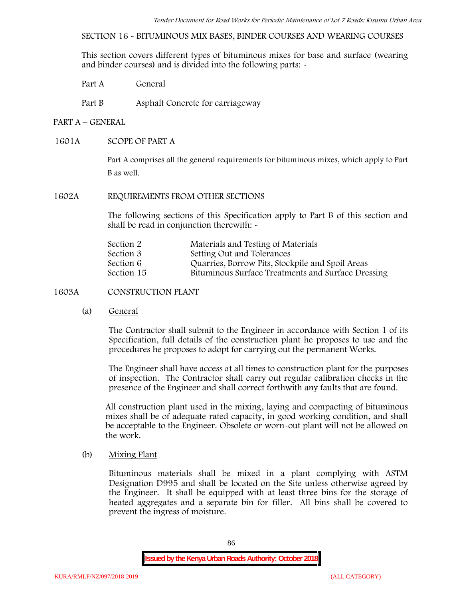**SECTION 16 - BITUMINOUS MIX BASES, BINDER COURSES AND WEARING COURSES**

This section covers different types of bituminous mixes for base and surface (wearing and binder courses) and is divided into the following parts: -

Part A General

Part B Asphalt Concrete for carriageway

### **PART A –GENERAL**

### **1601A SCOPE OF PART A**

Part A comprises all the general requirements for bituminous mixes, which apply to Part B as well.

#### **1602A REQUIREMENTS FROM OTHER SECTIONS**

The following sections of this Specification apply to Part B of this section and shall be read in conjunction therewith: -

| Materials and Testing of Materials                 |
|----------------------------------------------------|
| Setting Out and Tolerances                         |
| Quarries, Borrow Pits, Stockpile and Spoil Areas   |
| Bituminous Surface Treatments and Surface Dressing |
|                                                    |

## **1603A CONSTRUCTION PLANT**

(a) **General**

The Contractor shall submit to the Engineer in accordance with Section 1 of its Specification, full details of the construction plant he proposes to use and the procedures he proposes to adopt for carrying out the permanent Works.

The Engineer shall have access at all times to construction plant for the purposes of inspection. The Contractor shall carry out regular calibration checks in the presence of the Engineer and shall correct forthwith any faults that are found.

All construction plant used in the mixing, laying and compacting of bituminous mixes shall be of adequate rated capacity, in good working condition, and shall be acceptable to the Engineer. Obsolete or worn-out plant will not be allowed on the work.

(b) **Mixing Plant**

Bituminous materials shall be mixed in a plant complying with ASTM Designation D995 and shall be located on the Site unless otherwise agreed by the Engineer. It shall be equipped with at least three bins for the storage of heated aggregates and a separate bin for filler. All bins shall be covered to prevent the ingress of moisture.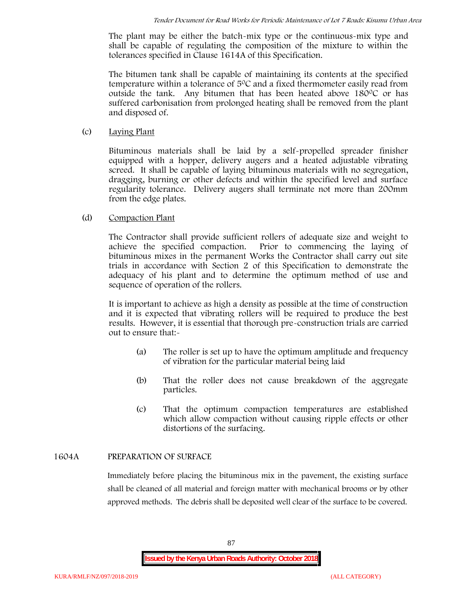The plant may be either the batch-mix type or the continuous-mix type and shall be capable of regulating the composition of the mixture to within the tolerances specified in Clause 1614A of this Specification.

The bitumen tank shall be capable of maintaining its contents at the specified temperature within a tolerance of 50C and a fixed thermometer easily read from outside the tank. Any bitumen that has been heated above  $180^{\circ}$ C or has suffered carbonisation from prolonged heating shall be removed from the plant and disposed of.

(c) **Laying Plant**

Bituminous materials shall be laid by a self-propelled spreader finisher equipped with a hopper, delivery augers and a heated adjustable vibrating screed. It shall be capable of laying bituminous materials with no segregation, dragging, burning or other defects and within the specified level and surface regularity tolerance. Delivery augers shall terminate not more than 200mm from the edge plates.

# (d) **Compaction Plant**

The Contractor shall provide sufficient rollers of adequate size and weight to achieve the specified compaction. Prior to commencing the laying of bituminous mixes in the permanent Works the Contractor shall carry out site trials in accordance with Section 2 of this Specification to demonstrate the adequacy of his plant and to determine the optimum method of use and sequence of operation of the rollers.

It is important to achieve as high a density as possible at the time of construction and it is expected that vibrating rollers will be required to produce the best results. However, it is essential that thorough pre-construction trials are carried out to ensure that:-

- (a) The roller is set up to have the optimum amplitude and frequency of vibration for the particular material being laid
- (b) That the roller does not cause breakdown of the aggregate particles.
- (c) That the optimum compaction temperatures are established which allow compaction without causing ripple effects or other distortions of the surfacing.

# **1604A PREPARATION OF SURFACE**

Immediately before placing the bituminous mix in the pavement, the existing surface shall be cleaned of all material and foreign matter with mechanical brooms or by other approved methods. The debris shall be deposited well clear of the surface to be covered.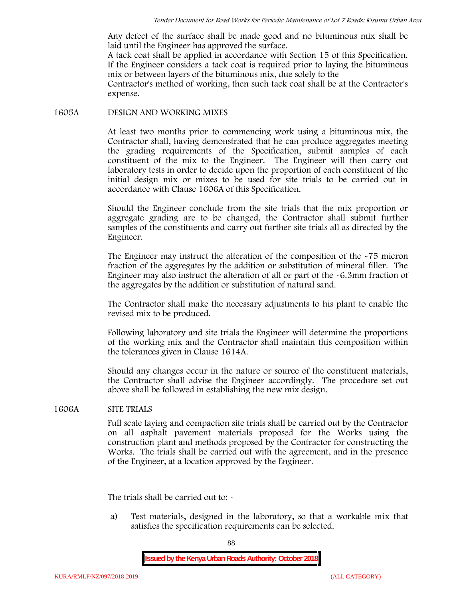Any defect of the surface shall be made good and no bituminous mix shall be laid until the Engineer has approved the surface.

A tack coat shall be applied in accordance with Section 15 of this Specification. If the Engineer considers a tack coat is required prior to laying the bituminous mix or between layers of the bituminous mix, due solely to the

Contractor's method of working, then such tack coat shall be at the Contractor's expense.

#### **1605A DESIGN AND WORKING MIXES**

At least two months prior to commencing work using a bituminous mix, the Contractor shall, having demonstrated that he can produce aggregates meeting the grading requirements of the Specification, submit samples of each constituent of the mix to the Engineer. The Engineer will then carry out laboratory tests in order to decide upon the proportion of each constituent of the initial design mix or mixes to be used for site trials to be carried out in accordance with Clause 1606A of this Specification.

Should the Engineer conclude from the site trials that the mix proportion or aggregate grading are to be changed, the Contractor shall submit further samples of the constituents and carry out further site trials all as directed by the Engineer.

The Engineer may instruct the alteration of the composition of the -75 micron fraction of the aggregates by the addition or substitution of mineral filler. The Engineer may also instruct the alteration of all or part of the -6.3mm fraction of the aggregates by the addition or substitution of natural sand.

The Contractor shall make the necessary adjustments to his plant to enable the revised mix to be produced.

Following laboratory and site trials the Engineer will determine the proportions of the working mix and the Contractor shall maintain this composition within the tolerances given in Clause 1614A.

Should any changes occur in the nature or source of the constituent materials, the Contractor shall advise the Engineer accordingly. The procedure set out above shall be followed in establishing the new mix design.

## **1606A SITE TRIALS**

Full scale laying and compaction site trials shall be carried out by the Contractor on all asphalt pavement materials proposed for the Works using the construction plant and methods proposed by the Contractor for constructing the Works. The trials shall be carried out with the agreement, and in the presence of the Engineer, at a location approved by the Engineer.

The trials shall be carried out to: -

a) Test materials, designed in the laboratory, so that a workable mix that satisfies the specification requirements can be selected.

88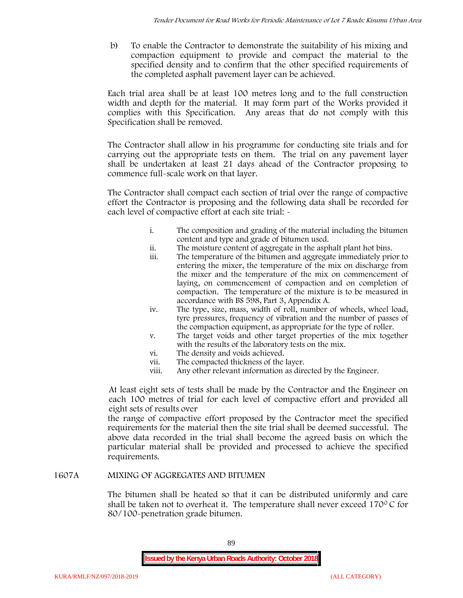b) To enable the Contractor to demonstrate the suitability of his mixing and compaction equipment to provide and compact the material to the specified density and to confirm that the other specified requirements of the completed asphalt pavement layer can be achieved.

Each trial area shall be at least 100 metres long and to the full construction width and depth for the material. It may form part of the Works provided it complies with this Specification. Any areas that do not comply with this Specification shall be removed.

The Contractor shall allow in his programme for conducting site trials and for carrying out the appropriate tests on them. The trial on any pavement layer shall be undertaken at least 21 days ahead of the Contractor proposing to commence full-scale work on that layer.

The Contractor shall compact each section of trial over the range of compactive effort the Contractor is proposing and the following data shall be recorded for each level of compactive effort at each site trial:  $\sim$ 

- i. The composition and grading of the material including the bitumen content and type and grade of bitumen used.
- ii. The moisture content of aggregate in the asphalt plant hot bins.
- iii. The temperature of the bitumen and aggregate immediately prior to entering the mixer, the temperature of the mix on discharge from the mixer and the temperature of the mix on commencement of laying, on commencement of compaction and on completion of compaction. The temperature of the mixture is to be measured in accordance with BS 598, Part 3, Appendix A.
- iv. The type, size, mass, width of roll, number of wheels, wheel load, tyre pressures, frequency of vibration and the number of passes of the compaction equipment, as appropriate for the type of roller.
- v. The target voids and other target properties of the mix together with the results of the laboratory tests on the mix.
- vi. The density and voids achieved.
- vii. The compacted thickness of the layer.
- viii. Any other relevant information as directed by the Engineer.

At least eight sets of tests shall be made by the Contractor and the Engineer on each 100 metres of trial for each level of compactive effort and provided all eight sets of results over

the range of compactive effort proposed by the Contractor meet the specified requirements for the material then the site trial shall be deemed successful. The above data recorded in the trial shall become the agreed basis on which the particular material shall be provided and processed to achieve the specified requirements.

## **1607A MIXING OF AGGREGATES AND BITUMEN**

The bitumen shall be heated so that it can be distributed uniformly and care shall be taken not to overheat it. The temperature shall never exceed 170 $\degree$ C for 80/100-penetration grade bitumen.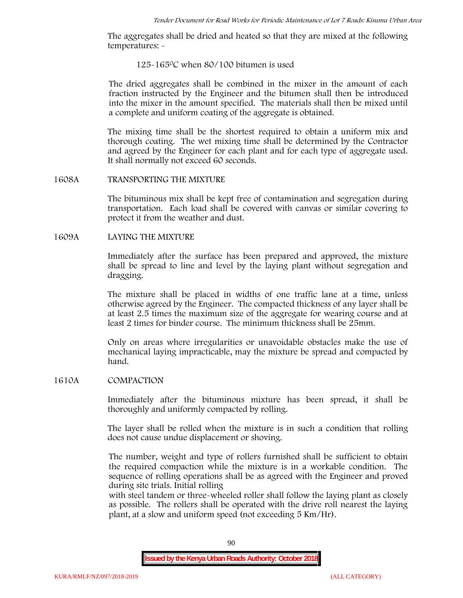The aggregates shall be dried and heated so that they are mixed at the following temperatures: -

#### 125-1650C when 80/100 bitumen is used

The dried aggregates shall be combined in the mixer in the amount of each fraction instructed by the Engineer and the bitumen shall then be introduced into the mixer in the amount specified. The materials shall then be mixed until a complete and uniform coating of the aggregate is obtained.

The mixing time shall be the shortest required to obtain a uniform mix and thorough coating. The wet mixing time shall be determined by the Contractor and agreed by the Engineer for each plant and for each type of aggregate used. It shall normally not exceed 60 seconds.

#### **1608A TRANSPORTING THE MIXTURE**

The bituminous mix shall be kept free of contamination and segregation during transportation. Each load shall be covered with canvas or similar covering to protect it from the weather and dust.

## **1609A LAYING THE MIXTURE**

Immediately after the surface has been prepared and approved, the mixture shall be spread to line and level by the laying plant without segregation and dragging.

The mixture shall be placed in widths of one traffic lane at a time, unless otherwise agreed by the Engineer. The compacted thickness of any layer shall be at least 2.5 times the maximum size of the aggregate for wearing course and at least 2 times for binder course. The minimum thickness shall be 25mm.

Only on areas where irregularities or unavoidable obstacles make the use of mechanical laying impracticable, may the mixture be spread and compacted by hand.

## **1610A COMPACTION**

Immediately after the bituminous mixture has been spread, it shall be thoroughly and uniformly compacted by rolling.

The layer shall be rolled when the mixture is in such a condition that rolling does not cause undue displacement or shoving.

The number, weight and type of rollers furnished shall be sufficient to obtain the required compaction while the mixture is in a workable condition. The sequence of rolling operations shall be as agreed with the Engineer and proved during site trials. Initial rolling

with steel tandem or three-wheeled roller shall follow the laying plant as closely as possible. The rollers shall be operated with the drive roll nearest the laying plant, at a slow and uniform speed (not exceeding 5 Km/Hr).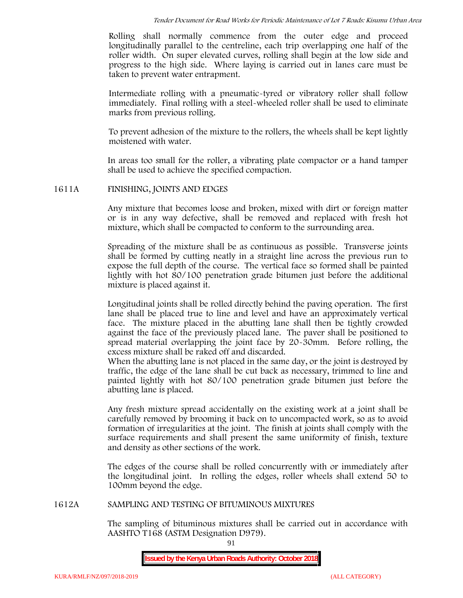Rolling shall normally commence from the outer edge and proceed longitudinally parallel to the centreline, each trip overlapping one half of the roller width. On super elevated curves, rolling shall begin at the low side and progress to the high side. Where laying is carried out in lanes care must be taken to prevent water entrapment.

Intermediate rolling with a pneumatic-tyred or vibratory roller shall follow immediately. Final rolling with a steel-wheeled roller shall be used to eliminate marks from previous rolling.

To prevent adhesion of the mixture to the rollers, the wheels shall be kept lightly moistened with water.

In areas too small for the roller, a vibrating plate compactor or a hand tamper shall be used to achieve the specified compaction.

## **1611A FINISHING, JOINTS AND EDGES**

Any mixture that becomes loose and broken, mixed with dirt or foreign matter or is in any way defective, shall be removed and replaced with fresh hot mixture, which shall be compacted to conform to the surrounding area.

Spreading of the mixture shall be as continuous as possible. Transverse joints shall be formed by cutting neatly in a straight line across the previous run to expose the full depth of the course. The vertical face so formed shall be painted lightly with hot 80/100 penetration grade bitumen just before the additional mixture is placed against it.

Longitudinal joints shall be rolled directly behind the paving operation. The first lane shall be placed true to line and level and have an approximately vertical face. The mixture placed in the abutting lane shall then be tightly crowded against the face of the previously placed lane. The paver shall be positioned to spread material overlapping the joint face by 20-30mm. Before rolling, the excess mixture shall be raked off and discarded.

When the abutting lane is not placed in the same day, or the joint is destroyed by traffic, the edge of the lane shall be cut back as necessary, trimmed to line and painted lightly with hot 80/100 penetration grade bitumen just before the abutting lane is placed.

Any fresh mixture spread accidentally on the existing work at a joint shall be carefully removed by brooming it back on to uncompacted work, so as to avoid formation of irregularities at the joint. The finish at joints shall comply with the surface requirements and shall present the same uniformity of finish, texture and density as other sections of the work.

The edges of the course shall be rolled concurrently with or immediately after the longitudinal joint. In rolling the edges, roller wheels shall extend 50 to 100mm beyond the edge.

#### **1612A SAMPLING AND TESTING OF BITUMINOUS MIXTURES**

The sampling of bituminous mixtures shall be carried out in accordance with AASHTO T168 (ASTM Designation D979).

91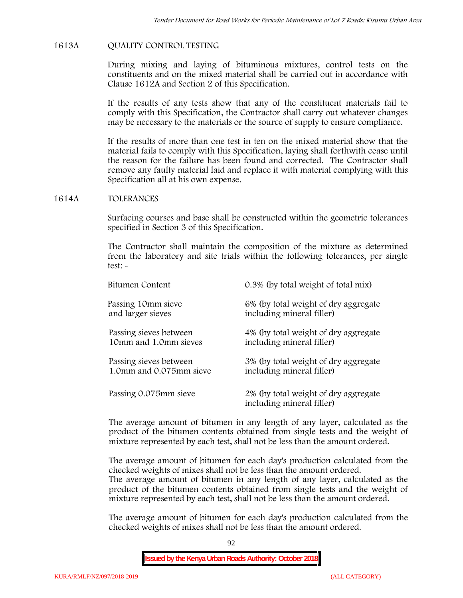## **1613A QUALITY CONTROL TESTING**

During mixing and laying of bituminous mixtures, control tests on the constituents and on the mixed material shall be carried out in accordance with Clause 1612A and Section 2 of this Specification.

If the results of any tests show that any of the constituent materials fail to comply with this Specification, the Contractor shall carry out whatever changes may be necessary to the materials or the source of supply to ensure compliance.

If the results of more than one test in ten on the mixed material show that the material fails to comply with this Specification, laying shall forthwith cease until the reason for the failure has been found and corrected. The Contractor shall remove any faulty material laid and replace it with material complying with this Specification all at his own expense.

#### **1614A TOLERANCES**

Surfacing courses and base shall be constructed within the geometric tolerances specified in Section 3 of this Specification.

The Contractor shall maintain the composition of the mixture as determined from the laboratory and site trials within the following tolerances, per single test: -

| Bitumen Content         | 0.3% (by total weight of total mix)                               |
|-------------------------|-------------------------------------------------------------------|
| Passing 10mm sieve      | 6% (by total weight of dry aggregate                              |
| and larger sieves       | including mineral filler)                                         |
| Passing sieves between  | 4% (by total weight of dry aggregate                              |
| 10mm and 1.0mm sieves   | including mineral filler)                                         |
| Passing sieves between  | 3% (by total weight of dry aggregate                              |
| 1.0mm and 0.075mm sieve | including mineral filler)                                         |
| Passing 0.075mm sieve   | 2% (by total weight of dry aggregate<br>including mineral filler) |

The average amount of bitumen in any length of any layer, calculated as the product of the bitumen contents obtained from single tests and the weight of mixture represented by each test, shall not be less than the amount ordered.

The average amount of bitumen for each day's production calculated from the checked weights of mixes shall not be less than the amount ordered.

The average amount of bitumen in any length of any layer, calculated as the product of the bitumen contents obtained from single tests and the weight of mixture represented by each test, shall not be less than the amount ordered.

The average amount of bitumen for each day's production calculated from the checked weights of mixes shall not be less than the amount ordered.

92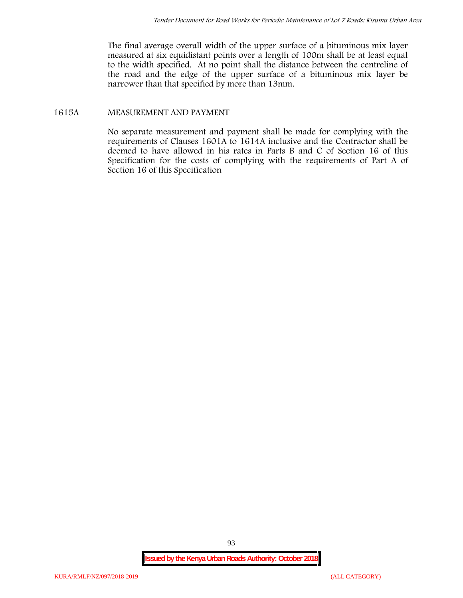The final average overall width of the upper surface of a bituminous mix layer measured at six equidistant points over a length of 100m shall be at least equal to the width specified. At no point shall the distance between the centreline of the road and the edge of the upper surface of a bituminous mix layer be narrower than that specified by more than 13mm.

# **1615A MEASUREMENT AND PAYMENT**

No separate measurement and payment shall be made for complying with the requirements of Clauses 1601A to 1614A inclusive and the Contractor shall be deemed to have allowed in his rates in Parts B and C of Section 16 of this Specification for the costs of complying with the requirements of Part A of Section 16 of this Specification

93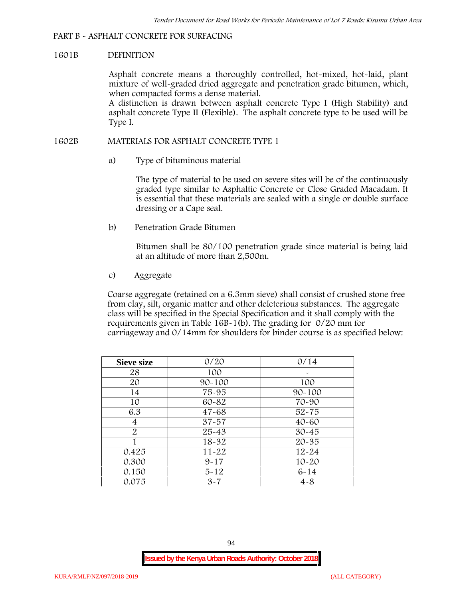## **PART B - ASPHALT CONCRETE FOR SURFACING**

#### **1601B DEFINITION**

Asphalt concrete means a thoroughly controlled, hot-mixed, hot-laid, plant mixture of well-graded dried aggregate and penetration grade bitumen, which, when compacted forms a dense material.

A distinction is drawn between asphalt concrete Type I (High Stability) and asphalt concrete Type II (Flexible). The asphalt concrete type to be used will be Type I.

### **1602B MATERIALS FOR ASPHALT CONCRETE TYPE 1**

a) **Type of bituminous material**

The type of material to be used on severe sites will be of the continuously graded type similar to Asphaltic Concrete or Close Graded Macadam. It is essential that these materials are sealed with a single or double surface dressing or a Cape seal.

b) **Penetration Grade Bitumen**

Bitumen shall be 80/100 penetration grade since material is being laid at an altitude of more than 2,500m.

c) **Aggregate**

Coarse aggregate (retained on a 6.3mm sieve) shall consist of crushed stone free from clay, silt, organic matter and other deleterious substances. The aggregate class will be specified in the Special Specification and it shall comply with the requirements given in Table 16B-1(b). The grading for 0/20 mm for carriageway and 0/14mm for shoulders for binder course is as specified below:

| <b>Sieve size</b> | 0/20       | 0/14       |
|-------------------|------------|------------|
| 28                | 100        |            |
| 20                | $90 - 100$ | 100        |
| 14                | 75-95      | $90 - 100$ |
| 10                | 60-82      | 70-90      |
| 6.3               | $47 - 68$  | $52 - 75$  |
| 4                 | $37 - 57$  | $40 - 60$  |
| $\overline{2}$    | 25-43      | $30 - 45$  |
|                   | 18-32      | $20 - 35$  |
| 0.425             | $11 - 22$  | $12 - 24$  |
| 0.300             | $9 - 17$   | $10 - 20$  |
| 0.150             | $5 - 12$   | $6 - 14$   |
| 0.075             | $3 - 7$    | $4 - 8$    |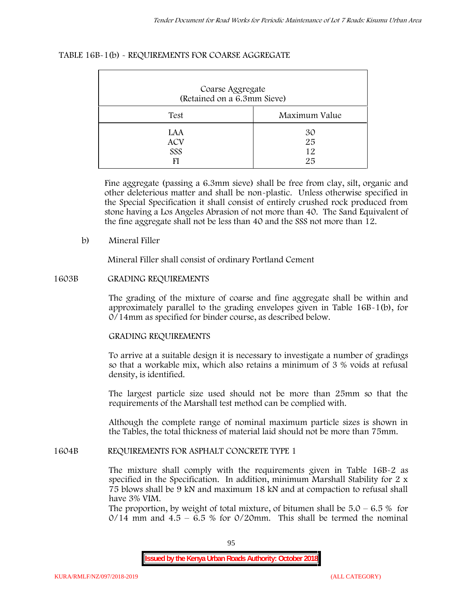# **TABLE 16B-1(b) - REQUIREMENTS FOR COARSE AGGREGATE**

| Coarse Aggregate<br>(Retained on a 6.3mm Sieve) |                       |  |  |  |  |
|-------------------------------------------------|-----------------------|--|--|--|--|
| Test                                            | Maximum Value         |  |  |  |  |
| LAA<br><b>ACV</b><br>SSS                        | 30<br>25<br>12.<br>25 |  |  |  |  |

Fine aggregate (passing a 6.3mm sieve) shall be free from clay, silt, organic and other deleterious matter and shall be non-plastic. Unless otherwise specified in the Special Specification it shall consist of entirely crushed rock produced from stone having a Los Angeles Abrasion of not more than 40. The Sand Equivalent of the fine aggregate shall not be less than 40 and the SSS not more than 12.

## **b) Mineral Filler**

Mineral Filler shall consist of ordinary Portland Cement

## **1603B GRADING REQUIREMENTS**

The grading of the mixture of coarse and fine aggregate shall be within and approximately parallel to the grading envelopes given in Table 16B-1(b), for 0/14mm as specified for binder course, as described below.

## **GRADING REQUIREMENTS**

To arrive at a suitable design it is necessary to investigate a number of gradings so that a workable mix, which also retains a minimum of 3 % voids at refusal density, is identified.

The largest particle size used should not be more than 25mm so that the requirements of the Marshall test method can be complied with.

Although the complete range of nominal maximum particle sizes is shown in the Tables, the total thickness of material laid should not be more than 75mm.

## **1604B REQUIREMENTS FOR ASPHALT CONCRETE TYPE 1**

The mixture shall comply with the requirements given in Table 16B-2 as specified in the Specification. In addition, minimum Marshall Stability for 2 x 75 blows shall be 9 kN and maximum 18 kN and at compaction to refusal shall have 3% VIM.

The proportion, by weight of total mixture, of bitumen shall be  $5.0 - 6.5 %$  for  $0/14$  mm and  $4.5 - 6.5$  % for  $0/20$ mm. This shall be termed the nominal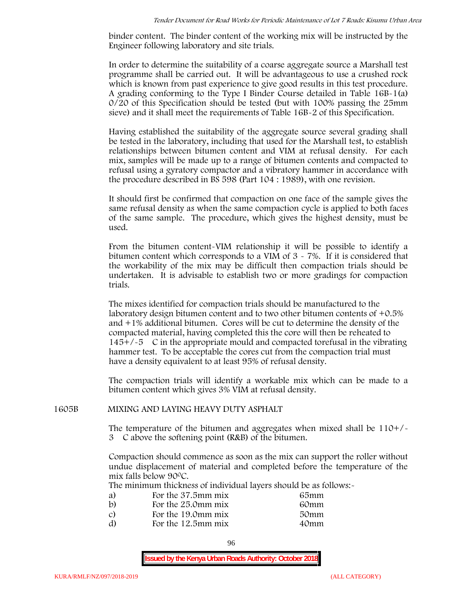binder content. The binder content of the working mix will be instructed by the Engineer following laboratory and site trials.

In order to determine the suitability of a coarse aggregate source a Marshall test programme shall be carried out. It will be advantageous to use a crushed rock which is known from past experience to give good results in this test procedure. A grading conforming to the Type I Binder Course detailed in Table 16B-1(a) 0/20 of this Specification should be tested (but with 100% passing the 25mm sieve) and it shall meet the requirements of Table 16B-2 of this Specification.

Having established the suitability of the aggregate source several grading shall be tested in the laboratory, including that used for the Marshall test, to establish relationships between bitumen content and VIM at refusal density. For each mix, samples will be made up to a range of bitumen contents and compacted to refusal using a gyratory compactor and a vibratory hammer in accordance with the procedure described in BS 598 (Part 104 : 1989), with one revision.

It should first be confirmed that compaction on one face of the sample gives the same refusal density as when the same compaction cycle is applied to both faces of the same sample. The procedure, which gives the highest density, must be used.

From the bitumen content-VIM relationship it will be possible to identify a bitumen content which corresponds to a VIM of 3 - 7%. If it is considered that the workability of the mix may be difficult then compaction trials should be undertaken. It is advisable to establish two or more gradings for compaction trials.

The mixes identified for compaction trials should be manufactured to the laboratory design bitumen content and to two other bitumen contents of +0.5% and +1% additional bitumen. Cores will be cut to determine the density of the compacted material, having completed this the core will then be reheated to  $145+/5$  C in the appropriate mould and compacted torefusal in the vibrating hammer test. To be acceptable the cores cut from the compaction trial must have a density equivalent to at least 95% of refusal density.

The compaction trials will identify a workable mix which can be made to a bitumen content which gives 3% VIM at refusal density.

#### **1605B MIXING AND LAYING HEAVY DUTY ASPHALT**

The temperature of the bitumen and aggregates when mixed shall be 110+/- 3C above the softening point (R&B) of the bitumen.

Compaction should commence as soon as the mix can support the roller without undue displacement of material and completed before the temperature of the mix falls below 900C.

The minimum thickness of individual layers should be as follows:-

| a) | For the 37.5mm mix | 65mm |  |
|----|--------------------|------|--|
| b) | For the 25.0mm mix | 60mm |  |
| C) | For the 19.0mm mix | 50mm |  |
| d) | For the 12.5mm mix | 40mm |  |
|    |                    |      |  |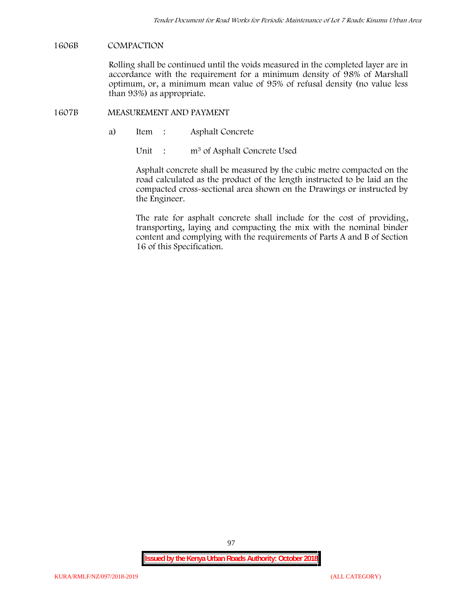## **1606B COMPACTION**

Rolling shall be continued until the voids measured in the completed layer are in accordance with the requirement for a minimum density of 98% of Marshall optimum, or, a minimum mean value of 95% of refusal density (no value less than 93%) as appropriate.

## **1607B MEASUREMENT AND PAYMENT**

a) Item : Asphalt Concrete

Unit : m<sup>3</sup> of Asphalt Concrete Used

Asphalt concrete shall be measured by the cubic metre compacted on the road calculated as the product of the length instructed to be laid an the compacted cross-sectional area shown on the Drawings or instructed by the Engineer.

The rate for asphalt concrete shall include for the cost of providing, transporting, laying and compacting the mix with the nominal binder content and complying with the requirements of Parts A and B of Section 16 of this Specification.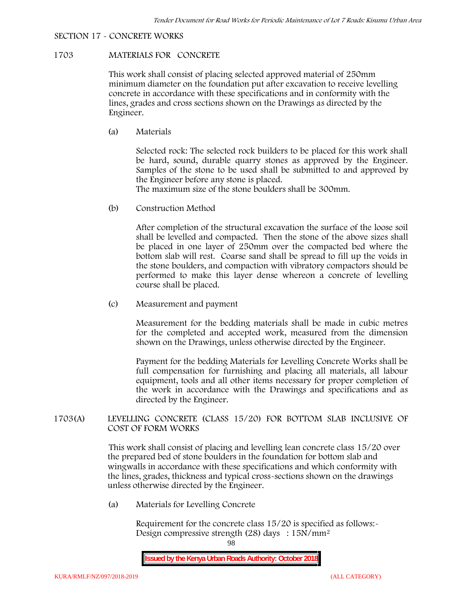# **SECTION 17 - CONCRETE WORKS**

# **1703 MATERIALS FOR CONCRETE**

This work shall consist of placing selected approved material of 250mm minimum diameter on the foundation put after excavation to receive levelling concrete in accordance with these specifications and in conformity with the lines, grades and cross sections shown on the Drawings as directed by the Engineer.

(a) **Materials**

Selected rock: The selected rock builders to be placed for this work shall be hard, sound, durable quarry stones as approved by the Engineer. Samples of the stone to be used shall be submitted to and approved by the Engineer before any stone is placed.

The maximum size of the stone boulders shall be 300mm.

(b) **Construction Method**

After completion of the structural excavation the surface of the loose soil shall be levelled and compacted. Then the stone of the above sizes shall be placed in one layer of 250mm over the compacted bed where the bottom slab will rest. Coarse sand shall be spread to fill up the voids in the stone boulders, and compaction with vibratory compactors should be performed to make this layer dense whereon a concrete of levelling course shall be placed.

(c) **Measurement and payment**

Measurement for the bedding materials shall be made in cubic metres for the completed and accepted work, measured from the dimension shown on the Drawings, unless otherwise directed by the Engineer.

Payment for the bedding Materials for Levelling Concrete Works shall be full compensation for furnishing and placing all materials, all labour equipment, tools and all other items necessary for proper completion of the work in accordance with the Drawings and specifications and as directed by the Engineer.

# **1703(A) LEVELLING CONCRETE (CLASS 15/20) FOR BOTTOM SLAB INCLUSIVE OF COST OF FORM WORKS**

This work shall consist of placing and levelling lean concrete class 15/20 over the prepared bed of stone boulders in the foundation for bottom slab and wingwalls in accordance with these specifications and which conformity with the lines, grades, thickness and typical cross-sections shown on the drawings unless otherwise directed by the Engineer.

(a) **Materials for Levelling Concrete**

Requirement for the concrete class  $15/20$  is specified as follows:-Design compressive strength (28) days : 15N/mm2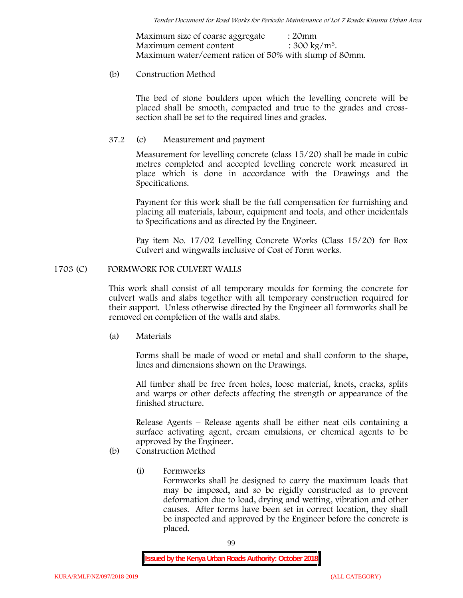Maximum size of coarse aggregate : 20mm Maximum cement content  $: 300 \text{ kg/m}^3$ . Maximum water/cement ration of 50% with slump of 80mm.

## (b) **Construction Method**

The bed of stone boulders upon which the levelling concrete will be placed shall be smooth, compacted and true to the grades and crosssection shall be set to the required lines and grades.

# **37.2** (c) **Measurement and payment**

Measurement for levelling concrete (class 15/20) shall be made in cubic metres completed and accepted levelling concrete work measured in place which is done in accordance with the Drawings and the Specifications.

Payment for this work shall be the full compensation for furnishing and placing all materials, labour, equipment and tools, and other incidentals to Specifications and as directed by the Engineer.

Pay item No. 17/02 Levelling Concrete Works (Class 15/20) for Box Culvert and wingwalls inclusive of Cost of Form works.

# **1703 (C) FORMWORK FOR CULVERT WALLS**

This work shall consist of all temporary moulds for forming the concrete for culvert walls and slabs together with all temporary construction required for their support. Unless otherwise directed by the Engineer all formworks shall be removed on completion of the walls and slabs.

(a) **Materials**

Forms shall be made of wood or metal and shall conform to the shape, lines and dimensions shown on the Drawings.

All timber shall be free from holes, loose material, knots, cracks, splits and warps or other defects affecting the strength or appearance of the finished structure.

Release Agents – Release agents shall be either neat oils containing a surface activating agent, cream emulsions, or chemical agents to be approved by the Engineer.

# (b) **Construction Method**

(i) **Formworks**

Formworks shall be designed to carry the maximum loads that may be imposed, and so be rigidly constructed as to prevent deformation due to load, drying and wetting, vibration and other causes. After forms have been set in correct location, they shall be inspected and approved by the Engineer before the concrete is placed.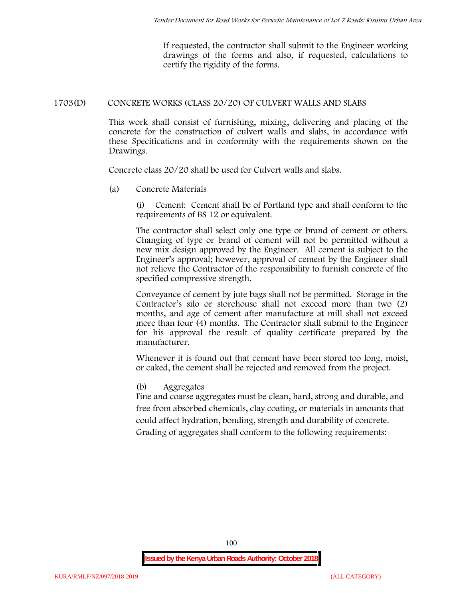If requested, the contractor shall submit to the Engineer working drawings of the forms and also, if requested, calculations to certify the rigidity of the forms.

## **1703(D) CONCRETE WORKS (CLASS 20/20) OF CULVERT WALLS AND SLABS**

This work shall consist of furnishing, mixing, delivering and placing of the concrete for the construction of culvert walls and slabs, in accordance with these Specifications and in conformity with the requirements shown on the Drawings.

Concrete class 20/20 shall be used for Culvert walls and slabs.

**(a) Concrete Materials**

(i) Cement: Cement shall be of Portland type and shall conform to the requirements of BS 12 or equivalent.

The contractor shall select only one type or brand of cement or others. Changing of type or brand of cement will not be permitted without a new mix design approved by the Engineer. All cement is subject to the Engineer's approval; however, approval of cement by the Engineer shall not relieve the Contractor of the responsibility to furnish concrete of the specified compressive strength.

Conveyance of cement by jute bags shall not be permitted. Storage in the Contractor's silo or storehouse shall not exceed more than two (2) months, and age of cement after manufacture at mill shall not exceed more than four (4) months. The Contractor shall submit to the Engineer for his approval the result of quality certificate prepared by the manufacturer.

Whenever it is found out that cement have been stored too long, moist, or caked, the cement shall be rejected and removed from the project.

#### **(b) Aggregates**

Fine and coarse aggregates must be clean, hard, strong and durable, and free from absorbed chemicals, clay coating, or materials in amounts that could affect hydration, bonding, strength and durability of concrete. Grading of aggregates shall conform to the following requirements: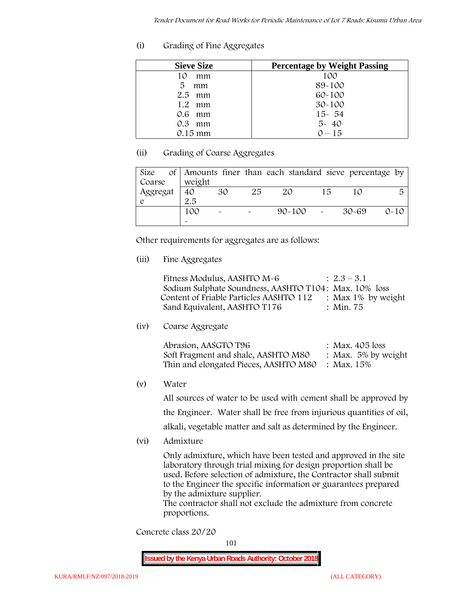**(i) Grading of Fine Aggregates**

| <b>Sieve Size</b> | <b>Percentage by Weight Passing</b> |
|-------------------|-------------------------------------|
| 10<br>mm          | 100                                 |
| 5<br>mm           | 89-100                              |
| $2.5$ mm          | $60 - 100$                          |
| $1.2$ mm          | $30 - 100$                          |
| 0.6 mm            | $15 - 54$                           |
| $0.3$ mm          | $5 - 40$                            |
| $0.15 \text{ mm}$ | $0 - 15$                            |

# **(ii) Grading of Coarse Aggregates**

| Size     |                       |                       |    | of Amounts finer than each standard sieve percentage by |    |         |          |
|----------|-----------------------|-----------------------|----|---------------------------------------------------------|----|---------|----------|
| Coarse   | weight                |                       |    |                                                         |    |         |          |
| Aggregat | 40                    | 30                    | 25 | 20                                                      | 15 |         | 局        |
|          | 2.5                   |                       |    |                                                         |    |         |          |
|          | 100                   | $\tilde{\phantom{a}}$ |    | $90 - 100$ -                                            |    | - 30-69 | $0 - 10$ |
|          | $\tilde{\phantom{a}}$ |                       |    |                                                         |    |         |          |

Other requirements for aggregates are as follows:

**(iii) Fine Aggregates**

| Fitness Modulus, AASHTO M-6                           | $: 2.3 - 3.1$      |
|-------------------------------------------------------|--------------------|
| Sodium Sulphate Soundness, AASHTO T104: Max. 10% loss |                    |
| Content of Friable Particles AASHTO 112               | : Max 1% by weight |
| Sand Equivalent, AASHTO T176                          | : Min. 75          |

**(iv) Coarse Aggregate**

| Abrasion, AASGTO T96                             | : Max. $405$ loss      |
|--------------------------------------------------|------------------------|
| Soft Fragment and shale, AASHTO M80              | : Max. $5\%$ by weight |
| Thin and elongated Pieces, AASHTO M80 : Max. 15% |                        |

**(v) Water**

All sources of water to be used with cement shall be approved by the Engineer. Water shall be free from injurious quantities of oil, alkali, vegetable matter and salt as determined by the Engineer.

**(vi) Admixture**

Only admixture, which have been tested and approved in the site laboratory through trial mixing for design proportion shall be used. Before selection of admixture, the Contractor shall submit to the Engineer the specific information or guarantees prepared by the admixture supplier.

The contractor shall not exclude the admixture from concrete proportions.

**Concrete class 20/20**

101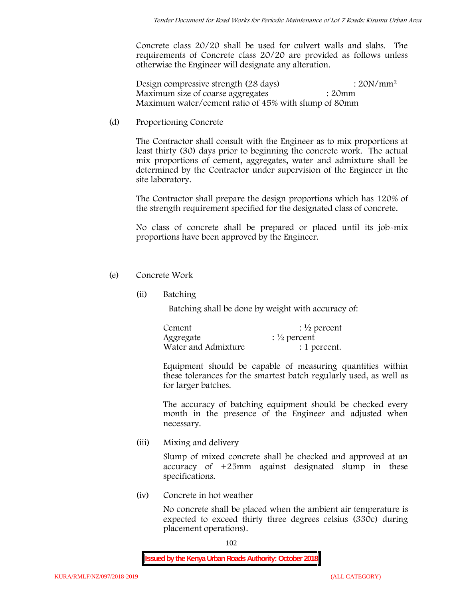Concrete class 20/20 shall be used for culvert walls and slabs. The requirements of Concrete class 20/20 are provided as follows unless otherwise the Engineer will designate any alteration.

Design compressive strength (28 days) : 20N/mm<sup>2</sup> Maximum size of coarse aggregates : 20mm Maximum water/cement ratio of 45% with slump of 80mm

(d) **Proportioning Concrete**

The Contractor shall consult with the Engineer as to mix proportions at least thirty (30) days prior to beginning the concrete work. The actual mix proportions of cement, aggregates, water and admixture shall be determined by the Contractor under supervision of the Engineer in the site laboratory.

The Contractor shall prepare the design proportions which has 120% of the strength requirement specified for the designated class of concrete.

No class of concrete shall be prepared or placed until its job-mix proportions have been approved by the Engineer.

- (e) **Concrete Work**
	- **(ii) Batching**

Batching shall be done by weight with accuracy of:

| Cement              | $\frac{1}{2}$ percent |
|---------------------|-----------------------|
| Aggregate           | $\frac{1}{2}$ percent |
| Water and Admixture | : 1 percent.          |

Equipment should be capable of measuring quantities within these tolerances for the smartest batch regularly used, as well as for larger batches.

The accuracy of batching equipment should be checked every month in the presence of the Engineer and adjusted when necessary.

**(iii) Mixing and delivery**

Slump of mixed concrete shall be checked and approved at an accuracy of +25mm against designated slump in these specifications.

**(iv) Concrete in hot weather**

No concrete shall be placed when the ambient air temperature is expected to exceed thirty three degrees celsius (330c) during placement operations).

102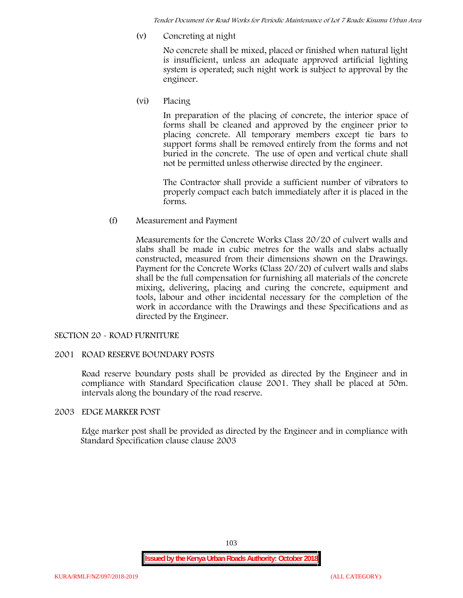*Tender Document for Road Works for Periodic Maintenance of Lot 7 Roads: Kisumu Urban Area*

**(v) Concreting at night**

No concrete shall be mixed, placed or finished when natural light is insufficient, unless an adequate approved artificial lighting system is operated; such night work is subject to approval by the engineer.

**(vi) Placing**

In preparation of the placing of concrete, the interior space of forms shall be cleaned and approved by the engineer prior to placing concrete. All temporary members except tie bars to support forms shall be removed entirely from the forms and not buried in the concrete. The use of open and vertical chute shall not be permitted unless otherwise directed by the engineer.

The Contractor shall provide a sufficient number of vibrators to properly compact each batch immediately after it is placed in the forms.

(f) **Measurement and Payment**

Measurements for the Concrete Works Class 20/20 of culvert walls and slabs shall be made in cubic metres for the walls and slabs actually constructed, measured from their dimensions shown on the Drawings. Payment for the Concrete Works (Class 20/20) of culvert walls and slabs shall be the full compensation for furnishing all materials of the concrete mixing, delivering, placing and curing the concrete, equipment and tools, labour and other incidental necessary for the completion of the work in accordance with the Drawings and these Specifications and as directed by the Engineer.

## **SECTION 20 - ROAD FURNITURE**

## **2001 ROAD RESERVE BOUNDARY POSTS**

Road reserve boundary posts shall be provided as directed by the Engineer and in compliance with Standard Specification clause 2001. They shall be placed at 50m. intervals along the boundary of the road reserve.

#### **2003 EDGE MARKER POST**

Edge marker post shall be provided as directed by the Engineer and in compliance with Standard Specification clause clause 2003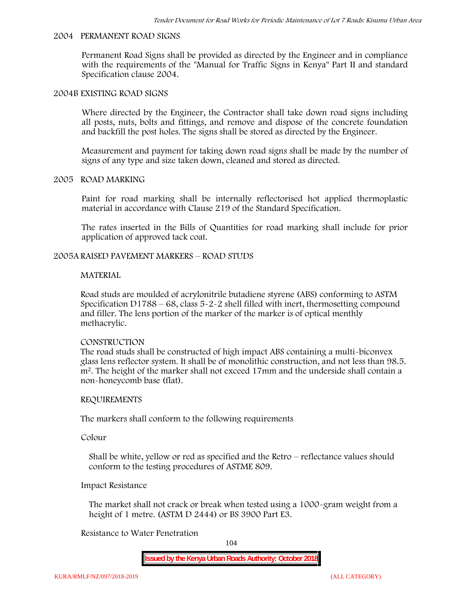#### **2004 PERMANENT ROAD SIGNS**

Permanent Road Signs shall be provided as directed by the Engineer and in compliance with the requirements of the "Manual for Traffic Signs in Kenya" Part II and standard Specification clause 2004.

#### **2004B EXISTING ROAD SIGNS**

Where directed by the Engineer, the Contractor shall take down road signs including all posts, nuts, bolts and fittings, and remove and dispose of the concrete foundation and backfill the post holes. The signs shall be stored as directed by the Engineer.

Measurement and payment for taking down road signs shall be made by the number of signs of any type and size taken down, cleaned and stored as directed.

#### **2005 ROAD MARKING**

Paint for road marking shall be internally reflectorised hot applied thermoplastic material in accordance with Clause 219 of the Standard Specification.

The rates inserted in the Bills of Quantities for road marking shall include for prior application of approved tack coat.

#### **2005A RAISED PAVEMENT MARKERS – ROAD STUDS**

#### **MATERIAL**

Road studs are moulded of acrylonitrile butadiene styrene (ABS) conforming to ASTM Specification D1788 – 68, class  $5 - 2 - 2$  shell filled with inert, thermosetting compound and filler. The lens portion of the marker of the marker is of optical menthly methacrylic.

#### **CONSTRUCTION**

The road studs shall be constructed of high impact ABS containing a multi-biconvex glass lens reflector system. It shall be of monolithic construction, and not less than 98.5. m2. The height of the marker shall not exceed 17mm and the underside shall contain a non-honeycomb base (flat).

#### **REQUIREMENTS**

The markers shall conform to the following requirements

**Colour**

Shall be white, yellow or red as specified and the Retro – reflectance values should conform to the testing procedures of ASTME 809.

### **Impact Resistance**

The market shall not crack or break when tested using a 1000**-**gram weight from a height of 1 metre. (ASTM D 2444) or BS 3900 Part E3.

# **Resistance to Water Penetration**

104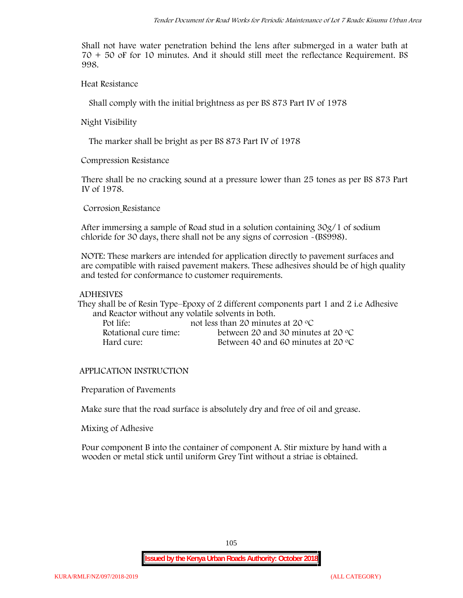Shall not have water penetration behind the lens after submerged in a water bath at 70 + 50 oF for 10 minutes. And it should still meet the reflectance Requirement. BS 998.

**Heat Resistance**

Shall comply with the initial brightness as per BS 873 Part IV of 1978

**Night Visibility**

The marker shall be bright as per BS 873 Part IV of 1978

**Compression Resistance**

There shall be no cracking sound at a pressure lower than 25 tones as per BS 873 Part IV of 1978.

**Corrosion Resistance**

After immersing a sample of Road stud in a solution containing 30g/1 of sodium chloride for 30 days, there shall not be any signs of corrosion **-**(BS998).

**NOTE**: These markers are intended for application directly to pavement surfaces and are compatible with raised pavement makers. These adhesives should be of high quality and tested for conformance to customer requirements.

#### **ADHESIVES**

They shall be of Resin Type–Epoxy of 2 different components part 1 and 2 i.e Adhesive and Reactor without any volatile solvents in both.

| Pot life:             | not less than 20 minutes at 20 $\degree$ C  |
|-----------------------|---------------------------------------------|
| Rotational cure time: | between 20 and 30 minutes at 20 $\degree$ C |
| Hard cure:            | Between 40 and 60 minutes at 20 $\degree$ C |

#### **APPLICATION INSTRUCTION**

**Preparation of Pavements**

Make sure that the road surface is absolutely dry and free of oil and grease**.**

**Mixing of Adhesive**

Pour component B into the container of component A. Stir mixture by hand with a wooden or metal stick until uniform Grey Tint without a striae is obtained.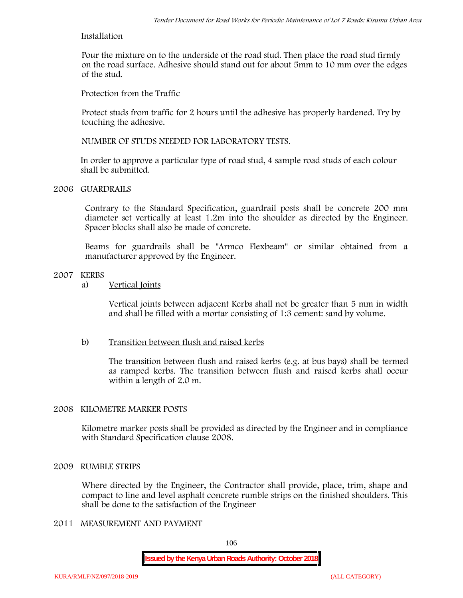## **Installation**

Pour the mixture on to the underside of the road stud. Then place the road stud firmly on the road surface. Adhesive should stand out for about 5mm to 10 mm over the edges of the stud.

**Protection from the Traffic**

Protect studs from traffic for 2 hours until the adhesive has properly hardened. Try by touching the adhesive.

**NUMBER OF STUDS NEEDED FOR LABORATORY TESTS.**

In order to approve a particular type of road stud, 4 sample road studs of each colour shall be submitted.

## **2006 GUARDRAILS**

Contrary to the Standard Specification, guardrail posts shall be concrete 200 mm diameter set vertically at least 1.2m into the shoulder as directed by the Engineer. Spacer blocks shall also be made of concrete.

Beams for guardrails shall be "Armco Flexbeam" or similar obtained from a manufacturer approved by the Engineer.

#### **2007 KERBS**

a) **Vertical Joints**

Vertical joints between adjacent Kerbs shall not be greater than 5 mm in width and shall be filled with a mortar consisting of 1:3 cement: sand by volume.

# b) **Transition between flush and raised kerbs**

The transition between flush and raised kerbs (e.g. at bus bays) shall be termed as ramped kerbs. The transition between flush and raised kerbs shall occur within a length of 2.0 m.

## **2008 KILOMETRE MARKER POSTS**

Kilometre marker posts shall be provided as directed by the Engineer and in compliance with Standard Specification clause 2008.

## **2009 RUMBLE STRIPS**

Where directed by the Engineer, the Contractor shall provide, place, trim, shape and compact to line and level asphalt concrete rumble strips on the finished shoulders. This shall be done to the satisfaction of the Engineer

# **2011 MEASUREMENT AND PAYMENT**

106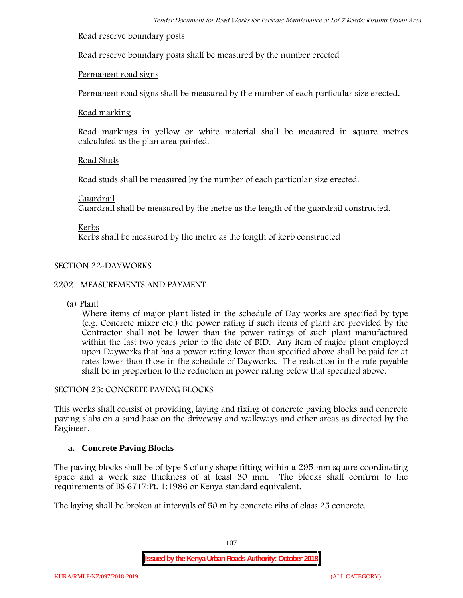#### **Road reserve boundary posts**

Road reserve boundary posts shall be measured by the number erected

## **Permanent road signs**

Permanent road signs shall be measured by the number of each particular size erected.

#### **Road marking**

Road markings in yellow or white material shall be measured in square metres calculated as the plan area painted.

## **Road Studs**

Road studs shall be measured by the number of each particular size erected.

#### **Guardrail**

Guardrail shall be measured by the metre as the length of the guardrail constructed.

**Kerbs**

Kerbs shall be measured by the metre as the length of kerb constructed

# **SECTION 22-DAYWORKS**

## **2202 MEASUREMENTS AND PAYMENT**

(a) Plant

Where items of major plant listed in the schedule of Day works are specified by type (e.g. Concrete mixer etc.) the power rating if such items of plant are provided by the Contractor shall not be lower than the power ratings of such plant manufactured within the last two years prior to the date of BID. Any item of major plant employed upon Dayworks that has a power rating lower than specified above shall be paid for at rates lower than those in the schedule of Dayworks. The reduction in the rate payable shall be in proportion to the reduction in power rating below that specified above.

#### **SECTION 23: CONCRETE PAVING BLOCKS**

This works shall consist of providing, laying and fixing of concrete paving blocks and concrete paving slabs on a sand base on the driveway and walkways and other areas as directed by the Engineer.

## **a. Concrete Paving Blocks**

The paving blocks shall be of type S of any shape fitting within a 295 mm square coordinating space and a work size thickness of at least 30 mm. The blocks shall confirm to the requirements of BS 6717:Pt. 1:1986 or Kenya standard equivalent.

The laying shall be broken at intervals of 50 m by concrete ribs of class 25 concrete.

107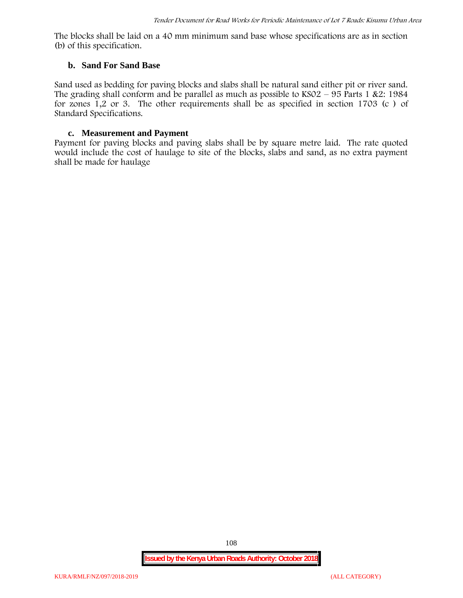The blocks shall be laid on a 40 mm minimum sand base whose specifications are as in section (b) of this specification.

#### **b. Sand For Sand Base**

Sand used as bedding for paving blocks and slabs shall be natural sand either pit or river sand. The grading shall conform and be parallel as much as possible to  $KSO2 - 95$  Parts 1 &2: 1984 for zones  $\tilde{1}, 2$  or 3. The other requirements shall be as specified in section 1703 (c) of Standard Specifications.

#### **c. Measurement and Payment**

Payment for paving blocks and paving slabs shall be by square metre laid. The rate quoted would include the cost of haulage to site of the blocks, slabs and sand, as no extra payment shall be made for haulage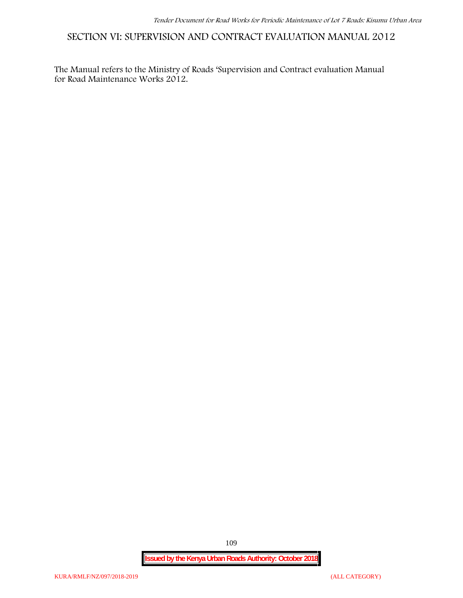**SECTION VI: SUPERVISION AND CONTRACT EVALUATION MANUAL 2012**

The Manual refers to the Ministry of Roads 'Supervision and Contract evaluation Manual for Road Maintenance Works 2012.

**Issued by the Kenya Urban Roads Authority: October 2018**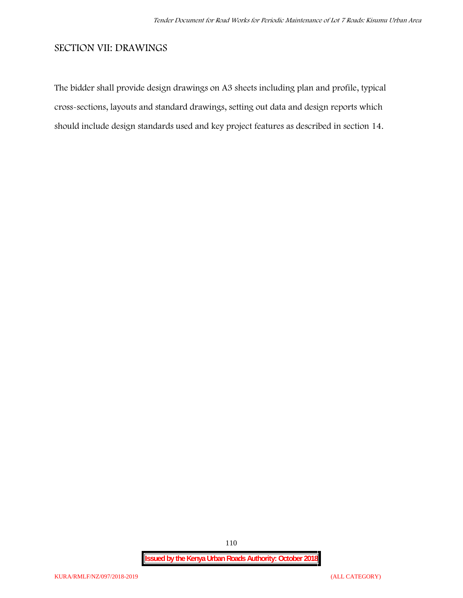## **SECTION VII: DRAWINGS**

The bidder shall provide design drawings on A3 sheets including plan and profile, typical cross-sections, layouts and standard drawings, setting out data and design reports which should include design standards used and key project features as described in section 14.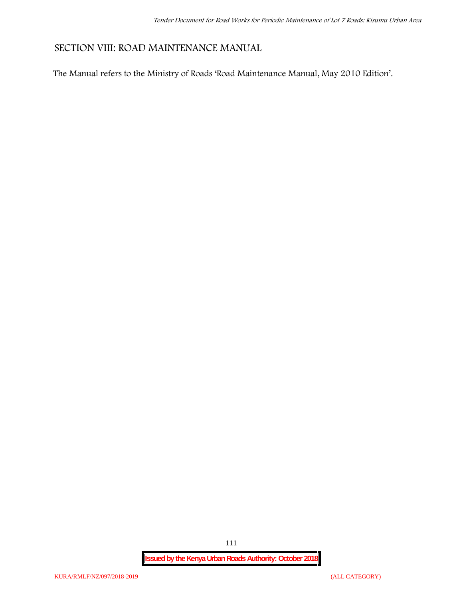## **SECTION VIII: ROAD MAINTENANCE MANUAL**

The Manual refers to the Ministry of Roads 'Road Maintenance Manual, May 2010 Edition'.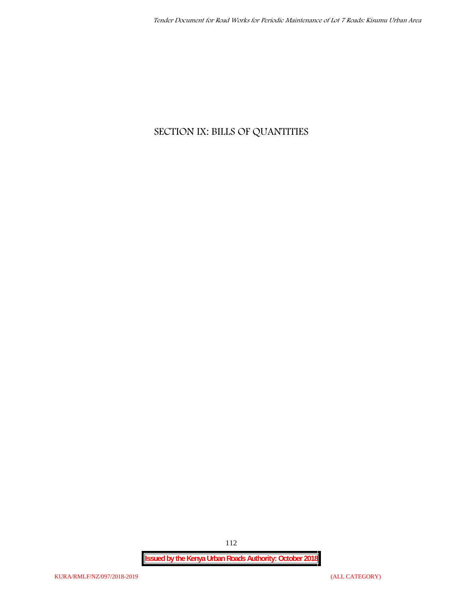## **SECTION IX: BILLS OF QUANTITIES**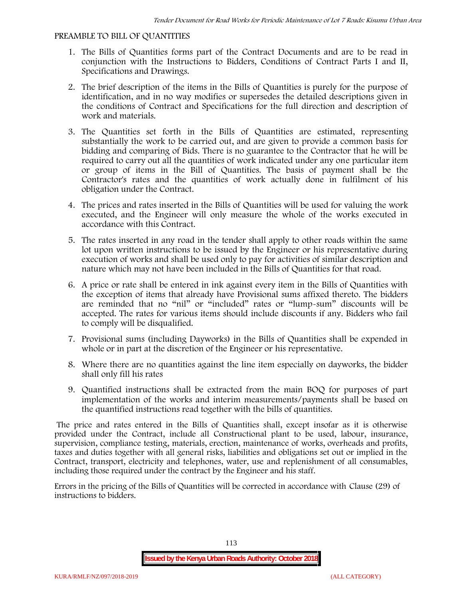#### **PREAMBLE TO BILL OF QUANTITIES**

- 1. The Bills of Quantities forms part of the Contract Documents and are to be read in conjunction with the Instructions to Bidders, Conditions of Contract Parts I and II, Specifications and Drawings.
- 2. The brief description of the items in the Bills of Quantities is purely for the purpose of identification, and in no way modifies or supersedes the detailed descriptions given in the conditions of Contract and Specifications for the full direction and description of work and materials.
- 3. The Quantities set forth in the Bills of Quantities are estimated, representing substantially the work to be carried out, and are given to provide a common basis for bidding and comparing of Bids. There is no guarantee to the Contractor that he will be required to carry out all the quantities of work indicated under any one particular item or group of items in the Bill of Quantities. The basis of payment shall be the Contractor's rates and the quantities of work actually done in fulfilment of his obligation under the Contract.
- 4. The prices and rates inserted in the Bills of Quantities will be used for valuing the work executed, and the Engineer will only measure the whole of the works executed in accordance with this Contract.
- 5. The rates inserted in any road in the tender shall apply to other roads within the same lot upon written instructions to be issued by the Engineer or his representative during execution of works and shall be used only to pay for activities of similar description and nature which may not have been included in the Bills of Quantities for that road.
- 6. A price or rate shall be entered in ink against every item in the Bills of Quantities with the exception of items that already have Provisional sums affixed thereto. The bidders are reminded that no "nil" or "included" rates or "lump-sum" discounts will be accepted. The rates for various items should include discounts if any. Bidders who fail to comply will be disqualified.
- 7. Provisional sums (including Dayworks) in the Bills of Quantities shall be expended in whole or in part at the discretion of the Engineer or his representative.
- 8. Where there are no quantities against the line item especially on dayworks, the bidder shall only fill his rates
- 9. Quantified instructions shall be extracted from the main BOQ for purposes of part implementation of the works and interim measurements/payments shall be based on the quantified instructions read together with the bills of quantities.

The price and rates entered in the Bills of Quantities shall, except insofar as it is otherwise provided under the Contract, include all Constructional plant to be used, labour, insurance, supervision, compliance testing, materials, erection, maintenance of works, overheads and profits, taxes and duties together with all general risks, liabilities and obligations set out or implied in the Contract, transport, electricity and telephones, water, use and replenishment of all consumables, including those required under the contract by the Engineer and his staff.

Errors in the pricing of the Bills of Quantities will be corrected in accordance with Clause (29) of instructions to bidders.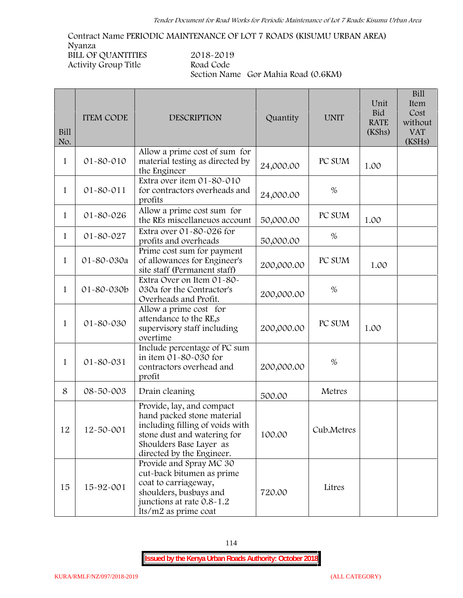**Contract Name PERIODIC MAINTENANCE OF LOT 7 ROADS (KISUMU URBAN AREA) Nyanza BILL OF QUANTITIES 2018-2019 Activity Group Title Road Code Section Name Gor Mahia Road (0.6KM)**

| Bill<br>No.  | <b>ITEM CODE</b> | <b>DESCRIPTION</b>                                                                                                                                                                | Quantity   | <b>UNIT</b> | Unit<br><b>Bid</b><br><b>RATE</b><br>(KShs) | Bill<br>Item<br>Cost<br>without<br><b>VAT</b><br>(KSHs) |
|--------------|------------------|-----------------------------------------------------------------------------------------------------------------------------------------------------------------------------------|------------|-------------|---------------------------------------------|---------------------------------------------------------|
| $\mathbf{1}$ | 01-80-010        | Allow a prime cost of sum for<br>material testing as directed by<br>the Engineer                                                                                                  | 24,000.00  | PC SUM      | 1.00                                        |                                                         |
| $\mathbf{1}$ | 01-80-011        | Extra over item 01-80-010<br>for contractors overheads and<br>profits                                                                                                             | 24,000.00  | $\%$        |                                             |                                                         |
| $\mathbf{1}$ | $01 - 80 - 026$  | Allow a prime cost sum for<br>the REs miscellaneuos account                                                                                                                       | 50,000.00  | PC SUM      | 1.00                                        |                                                         |
| 1            | 01-80-027        | Extra over 01-80-026 for<br>profits and overheads                                                                                                                                 | 50,000.00  | %           |                                             |                                                         |
| $\mathbf{1}$ | 01-80-030a       | Prime cost sum for payment<br>of allowances for Engineer's<br>site staff (Permanent staff)                                                                                        | 200,000.00 | PC SUM      | 1.00                                        |                                                         |
| $\mathbf 1$  | 01-80-030b       | Extra Over on Item 01-80-<br>030a for the Contractor's<br>Overheads and Profit.                                                                                                   | 200,000.00 | $\%$        |                                             |                                                         |
| $\mathbf{1}$ | 01-80-030        | Allow a prime cost for<br>attendance to the RE,s<br>supervisory staff including<br>overtime                                                                                       | 200,000.00 | PC SUM      | 1.00                                        |                                                         |
| $\mathbf 1$  | 01-80-031        | Include percentage of PC sum<br>in item 01-80-030 for<br>contractors overhead and<br>profit                                                                                       | 200,000.00 | $\%$        |                                             |                                                         |
| 8            | 08-50-003        | Drain cleaning                                                                                                                                                                    | 500.00     | Metres      |                                             |                                                         |
| 12           | 12-50-001        | Provide, lay, and compact<br>hand packed stone material<br>including filling of voids with<br>stone dust and watering for<br>Shoulders Base Layer as<br>directed by the Engineer. | 100.00     | Cub.Metres  |                                             |                                                         |
| 15           | 15-92-001        | Provide and Spray MC 30<br>cut-back bitumen as prime<br>coat to carriageway,<br>shoulders, busbays and<br>junctions at rate 0.8-1.2<br>lts/m2 as prime coat                       | 720.00     | Litres      |                                             |                                                         |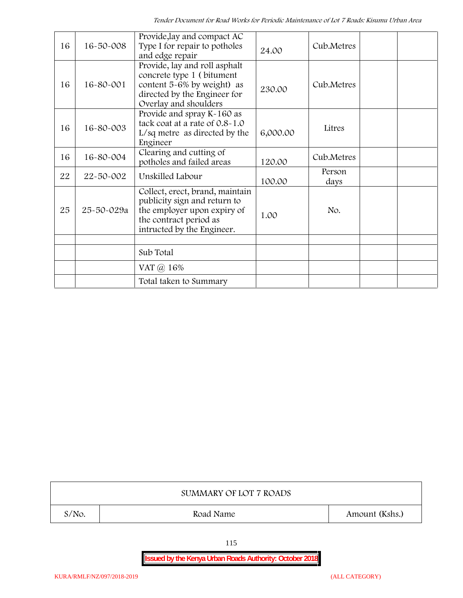| 16 | $16 - 50 - 008$ | Provide, lay and compact AC<br>Type I for repair to potholes<br>and edge repair                                                                        | 24.00    | Cub.Metres     |
|----|-----------------|--------------------------------------------------------------------------------------------------------------------------------------------------------|----------|----------------|
| 16 | 16-80-001       | Provide, lay and roll asphalt<br>concrete type 1 (bitument<br>content 5-6% by weight) as<br>directed by the Engineer for<br>Overlay and shoulders      | 230.00   | Cub.Metres     |
| 16 | 16-80-003       | Provide and spray K-160 as<br>tack coat at a rate of 0.8-1.0<br>$L/sq$ metre as directed by the<br>Engineer                                            | 6,000.00 | Litres         |
| 16 | 16-80-004       | Clearing and cutting of<br>potholes and failed areas                                                                                                   | 120.00   | Cub.Metres     |
| 22 | 22-50-002       | Unskilled Labour                                                                                                                                       | 100.00   | Person<br>days |
| 25 | 25-50-029a      | Collect, erect, brand, maintain<br>publicity sign and return to<br>the employer upon expiry of<br>the contract period as<br>intructed by the Engineer. | 1.00     | No.            |
|    |                 | Sub Total                                                                                                                                              |          |                |
|    |                 | VAT $\omega$ 16%                                                                                                                                       |          |                |
|    |                 | Total taken to Summary                                                                                                                                 |          |                |

|          | SUMMARY OF LOT 7 ROADS |                |
|----------|------------------------|----------------|
| $S/NO$ . | Road Name              | Amount (Kshs.) |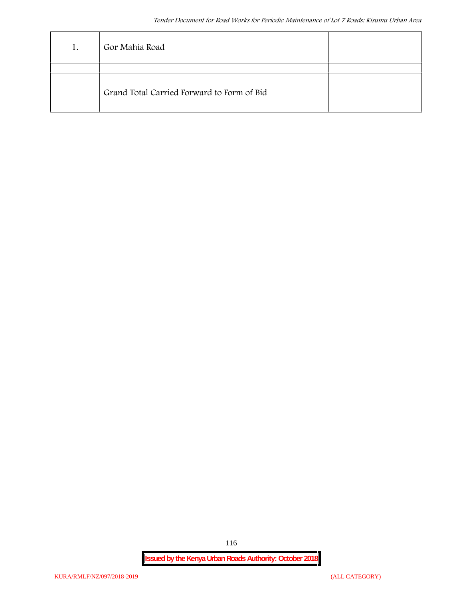| 1. | Gor Mahia Road                             |  |
|----|--------------------------------------------|--|
|    |                                            |  |
|    | Grand Total Carried Forward to Form of Bid |  |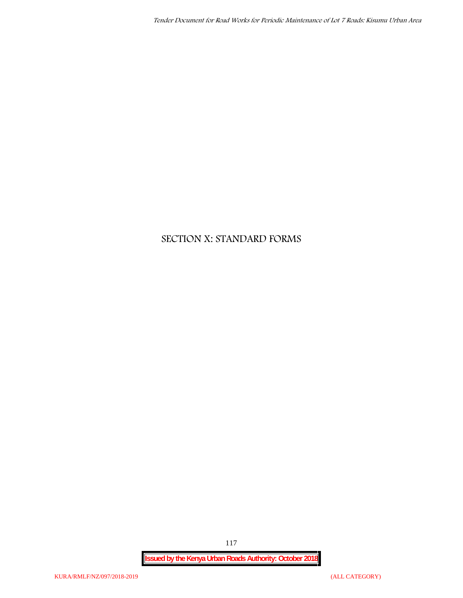## **SECTION X: STANDARD FORMS**

**Issued by the Kenya Urban Roads Authority: October 2018**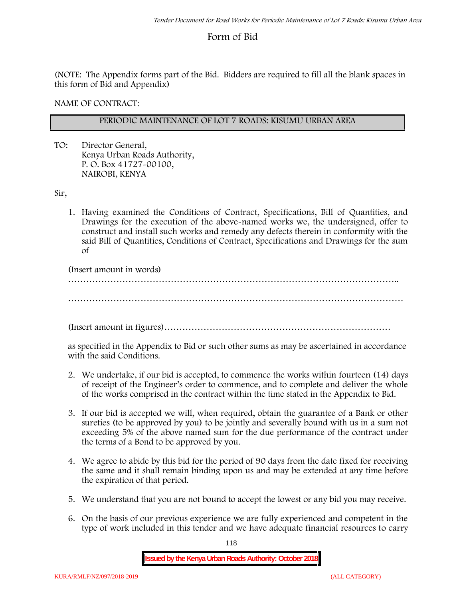## **Form of Bid**

(NOTE: The Appendix forms part of the Bid. Bidders are required to fill all the blank spaces in this form of Bid and Appendix)

**NAME OF CONTRACT:**

#### **PERIODIC MAINTENANCE OF LOT 7 ROADS: KISUMU URBAN AREA**

TO: Director General, Kenya Urban Roads Authority, P. O. Box 41727-00100, **NAIROBI, KENYA**

Sir,

1. Having examined the Conditions of Contract, Specifications, Bill of Quantities, and Drawings for the execution of the above-named works we, the undersigned, offer to construct and install such works and remedy any defects therein in conformity with the said Bill of Quantities, Conditions of Contract, Specifications and Drawings for the sum of

(Insert amount in words)

………………………………………………………………………………………………..

…………………………………………………………………………………………………

(Insert amount in figures)…………………………………………………………………

as specified in the Appendix to Bid or such other sums as may be ascertained in accordance with the said Conditions.

- 2. We undertake, if our bid is accepted, to commence the works within fourteen (14) days of receipt of the Engineer's order to commence, and to complete and deliver the whole of the works comprised in the contract within the time stated in the Appendix to Bid.
- 3. If our bid is accepted we will, when required, obtain the guarantee of a Bank or other sureties (to be approved by you) to be jointly and severally bound with us in a sum not exceeding 5% of the above named sum for the due performance of the contract under the terms of a Bond to be approved by you.
- 4. We agree to abide by this bid for the period of 90 days from the date fixed for receiving the same and it shall remain binding upon us and may be extended at any time before the expiration of that period.
- 5. We understand that you are not bound to accept the lowest or any bid you may receive.
- 6. On the basis of our previous experience we are fully experienced and competent in the type of work included in this tender and we have adequate financial resources to carry

118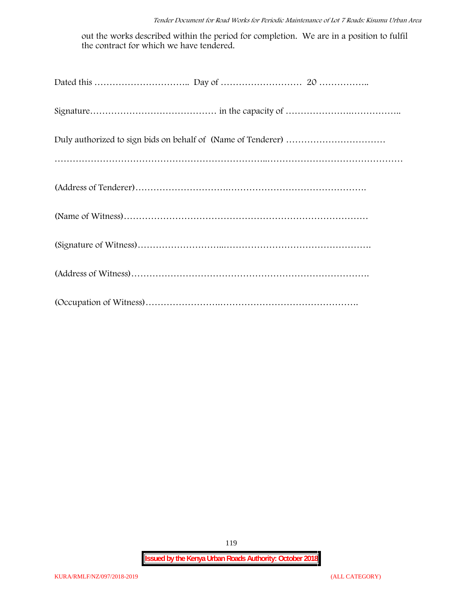out the works described within the period for completion. We are in a position to fulfil the contract for which we have tendered.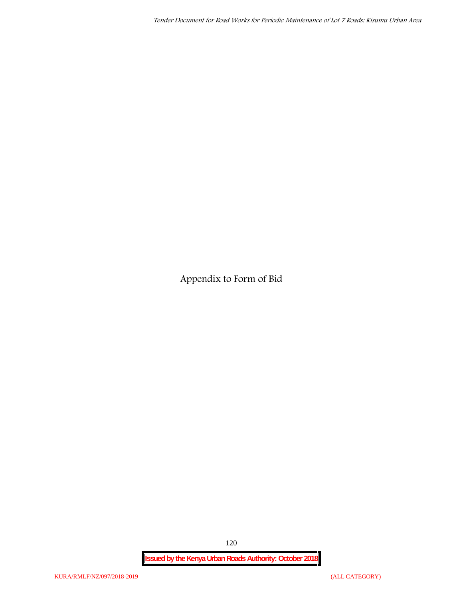**Appendix to Form of Bid**

**Issued by the Kenya Urban Roads Authority: October 2018**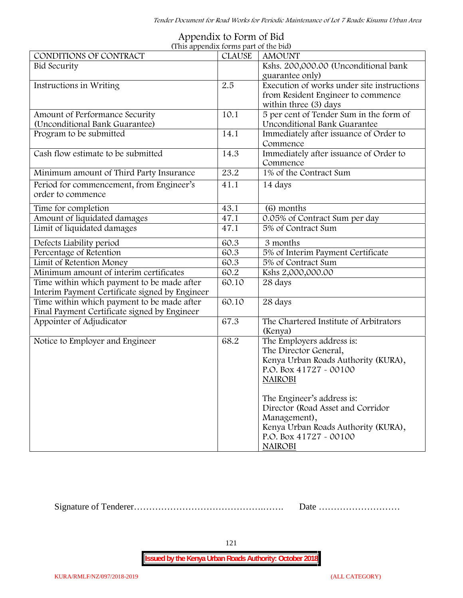|                                                                                              | (This appendix forms part of the bid) |                                                                                                                                                                                                                                                                                                               |
|----------------------------------------------------------------------------------------------|---------------------------------------|---------------------------------------------------------------------------------------------------------------------------------------------------------------------------------------------------------------------------------------------------------------------------------------------------------------|
| CONDITIONS OF CONTRACT                                                                       | <b>CLAUSE</b>                         | <b>AMOUNT</b>                                                                                                                                                                                                                                                                                                 |
| <b>Bid Security</b>                                                                          |                                       | Kshs. 200,000.00 (Unconditional bank<br>guarantee only)                                                                                                                                                                                                                                                       |
| Instructions in Writing                                                                      | 2.5                                   | Execution of works under site instructions<br>from Resident Engineer to commence<br>within three (3) days                                                                                                                                                                                                     |
| Amount of Performance Security<br>(Unconditional Bank Guarantee)                             | 10.1                                  | 5 per cent of Tender Sum in the form of<br>Unconditional Bank Guarantee                                                                                                                                                                                                                                       |
| Program to be submitted                                                                      | 14.1                                  | Immediately after issuance of Order to<br>Commence                                                                                                                                                                                                                                                            |
| Cash flow estimate to be submitted                                                           | 14.3                                  | Immediately after issuance of Order to<br>Commence                                                                                                                                                                                                                                                            |
| Minimum amount of Third Party Insurance                                                      | 23.2                                  | 1% of the Contract Sum                                                                                                                                                                                                                                                                                        |
| Period for commencement, from Engineer's<br>order to commence                                | 41.1                                  | 14 days                                                                                                                                                                                                                                                                                                       |
| Time for completion                                                                          | 43.1                                  | (6) months                                                                                                                                                                                                                                                                                                    |
| Amount of liquidated damages                                                                 | 47.1                                  | 0.05% of Contract Sum per day                                                                                                                                                                                                                                                                                 |
| Limit of liquidated damages                                                                  | 47.1                                  | 5% of Contract Sum                                                                                                                                                                                                                                                                                            |
| Defects Liability period                                                                     | 60.3                                  | 3 months                                                                                                                                                                                                                                                                                                      |
| Percentage of Retention                                                                      | 60.3                                  | 5% of Interim Payment Certificate                                                                                                                                                                                                                                                                             |
| Limit of Retention Money                                                                     | 60.3                                  | 5% of Contract Sum                                                                                                                                                                                                                                                                                            |
| Minimum amount of interim certificates                                                       | 60.2                                  | Kshs 2,000,000.00                                                                                                                                                                                                                                                                                             |
| Time within which payment to be made after<br>Interim Payment Certificate signed by Engineer | 60.10                                 | 28 days                                                                                                                                                                                                                                                                                                       |
| Time within which payment to be made after<br>Final Payment Certificate signed by Engineer   | 60.10                                 | 28 days                                                                                                                                                                                                                                                                                                       |
| Appointer of Adjudicator                                                                     | 67.3                                  | The Chartered Institute of Arbitrators<br>(Kenya)                                                                                                                                                                                                                                                             |
| Notice to Employer and Engineer                                                              | 68.2                                  | The Employers address is:<br>The Director General,<br>Kenya Urban Roads Authority (KURA),<br>P.O. Box 41727 - 00100<br><b>NAIROBI</b><br>The Engineer's address is:<br>Director (Road Asset and Corridor<br>Management),<br>Kenya Urban Roads Authority (KURA),<br>P.O. Box $41727 - 00100$<br><b>NAIROBI</b> |

# **Appendix to Form of Bid**

Signature of Tenderer…………………………………….……. Date ………………………

121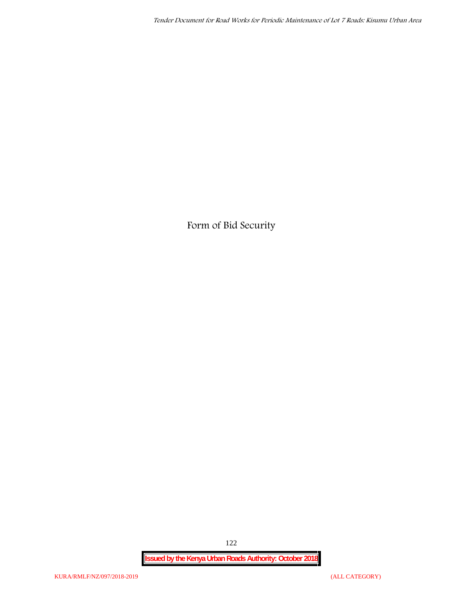**Form of Bid Security**

**Issued by the Kenya Urban Roads Authority: October 2018**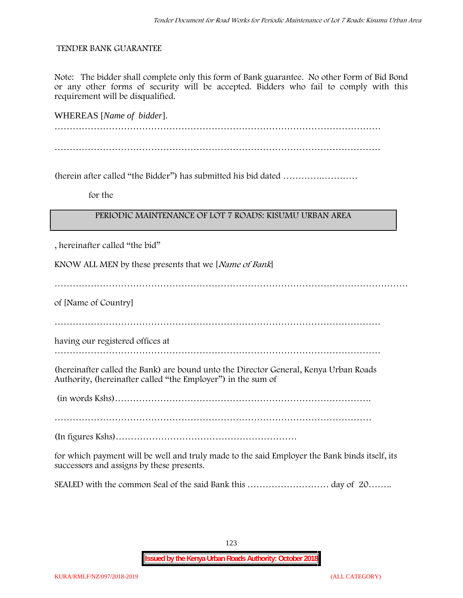#### **TENDER BANK GUARANTEE**

Note: The bidder shall complete only this form of Bank guarantee. No other Form of Bid Bond or any other forms of security will be accepted. Bidders who fail to comply with this requirement will be disqualified.

WHEREAS [*Name of bidder*]. ……………………………………………………………………………………………… ………………………………………………………………………………………………

(herein after called "the Bidder") has submitted his bid dated ………….…………

**for the**

#### **PERIODIC MAINTENANCE OF LOT 7 ROADS: KISUMU URBAN AREA**

, hereinafter called "the bid"

KNOW ALL MEN by these presents that we [*Name of Bank*]

………………………………………………………………………………………………………

of [Name of Country]

………………………………………………………………………………………………

having our registered offices at

………………………………………………………………………………………………

(hereinafter called the Bank) are bound unto the Director General, Kenya Urban Roads Authority, (hereinafter called "the Employer") in the sum of

(in words Kshs)………………………………………………………………………….

……………………………………………………………………………………………

(In figures Kshs)……………………………………………………

for which payment will be well and truly made to the said Employer the Bank binds itself, its successors and assigns by these presents.

SEALED with the common Seal of the said Bank this ……………………… day of 20……..

123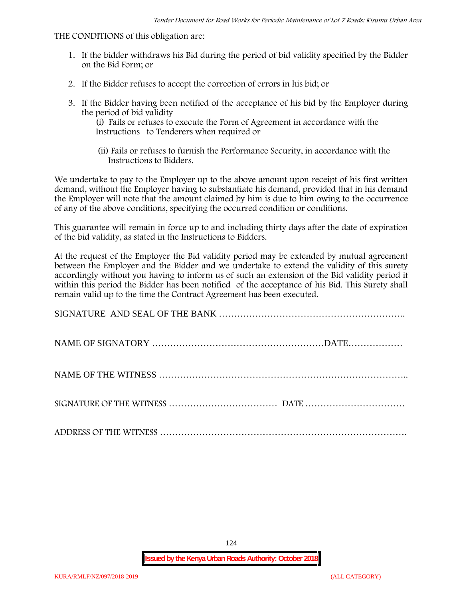#### THE CONDITIONS of this obligation are:

- 1. If the bidder withdraws his Bid during the period of bid validity specified by the Bidder on the Bid Form; or
- 2. If the Bidder refuses to accept the correction of errors in his bid; or
- 3. If the Bidder having been notified of the acceptance of his bid by the Employer during the period of bid validity

(i) Fails or refuses to execute the Form of Agreement in accordance with the Instructions to Tenderers when required or

(ii) Fails or refuses to furnish the Performance Security, in accordance with the Instructions to Bidders.

We undertake to pay to the Employer up to the above amount upon receipt of his first written demand, without the Employer having to substantiate his demand, provided that in his demand the Employer will note that the amount claimed by him is due to him owing to the occurrence of any of the above conditions, specifying the occurred condition or conditions.

This guarantee will remain in force up to and including thirty days after the date of expiration of the bid validity, as stated in the Instructions to Bidders.

At the request of the Employer the Bid validity period may be extended by mutual agreement between the Employer and the Bidder and we undertake to extend the validity of this surety accordingly without you having to inform us of such an extension of the Bid validity period if within this period the Bidder has been notified of the acceptance of his Bid. This Surety shall remain valid up to the time the Contract Agreement has been executed.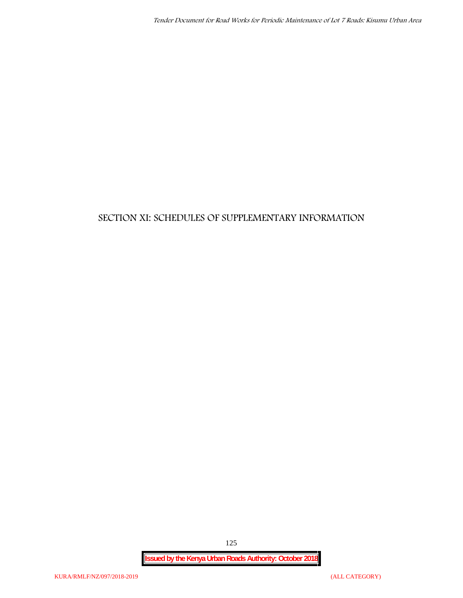## **SECTION XI: SCHEDULES OF SUPPLEMENTARY INFORMATION**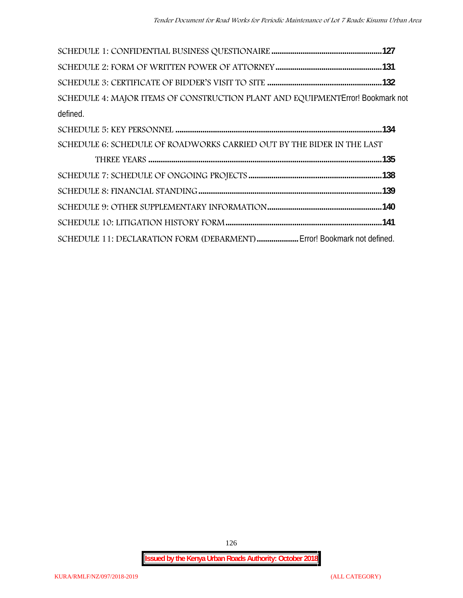| SCHEDULE 4: MAJOR ITEMS OF CONSTRUCTION PLANT AND EQUIPMENTError! Bookmark not |  |
|--------------------------------------------------------------------------------|--|
| defined.                                                                       |  |
|                                                                                |  |
| SCHEDULE 6: SCHEDULE OF ROADWORKS CARRIED OUT BY THE BIDER IN THE LAST         |  |
|                                                                                |  |
|                                                                                |  |
|                                                                                |  |
|                                                                                |  |
|                                                                                |  |
| SCHEDULE 11: DECLARATION FORM (DEBARMENT)  Error! Bookmark not defined.        |  |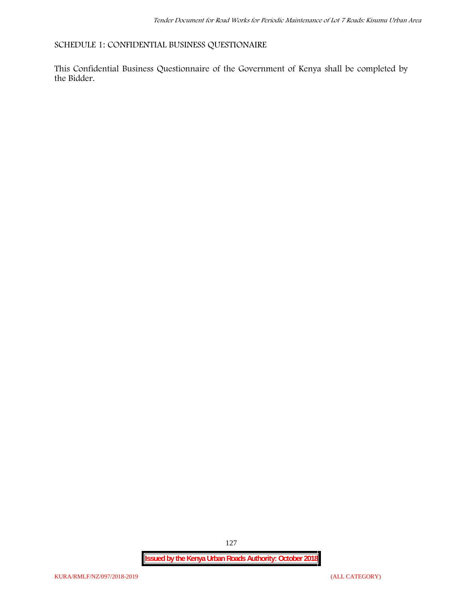**SCHEDULE 1: CONFIDENTIAL BUSINESS QUESTIONAIRE**

This Confidential Business Questionnaire of the Government of Kenya shall be completed by the Bidder.

**Issued by the Kenya Urban Roads Authority: October 2018**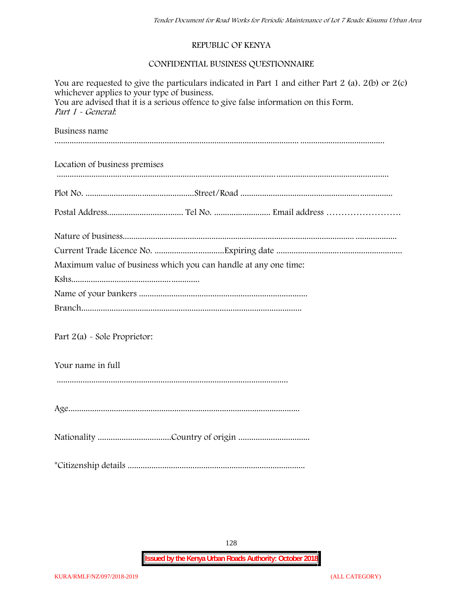#### **REPUBLIC OF KENYA**

#### **CONFIDENTIAL BUSINESS QUESTIONNAIRE**

| You are requested to give the particulars indicated in Part 1 and either Part 2 (a). $2(b)$ or $2(c)$<br>whichever applies to your type of business.<br>You are advised that it is a serious offence to give false information on this Form.<br>Part 1 - General:<br>Business name |  |  |
|------------------------------------------------------------------------------------------------------------------------------------------------------------------------------------------------------------------------------------------------------------------------------------|--|--|
|                                                                                                                                                                                                                                                                                    |  |  |
|                                                                                                                                                                                                                                                                                    |  |  |
|                                                                                                                                                                                                                                                                                    |  |  |
|                                                                                                                                                                                                                                                                                    |  |  |
|                                                                                                                                                                                                                                                                                    |  |  |
| Maximum value of business which you can handle at any one time:                                                                                                                                                                                                                    |  |  |
|                                                                                                                                                                                                                                                                                    |  |  |
|                                                                                                                                                                                                                                                                                    |  |  |
|                                                                                                                                                                                                                                                                                    |  |  |
| Part $2(a)$ - Sole Proprietor:                                                                                                                                                                                                                                                     |  |  |
| Your name in full                                                                                                                                                                                                                                                                  |  |  |
|                                                                                                                                                                                                                                                                                    |  |  |
|                                                                                                                                                                                                                                                                                    |  |  |
|                                                                                                                                                                                                                                                                                    |  |  |
|                                                                                                                                                                                                                                                                                    |  |  |

128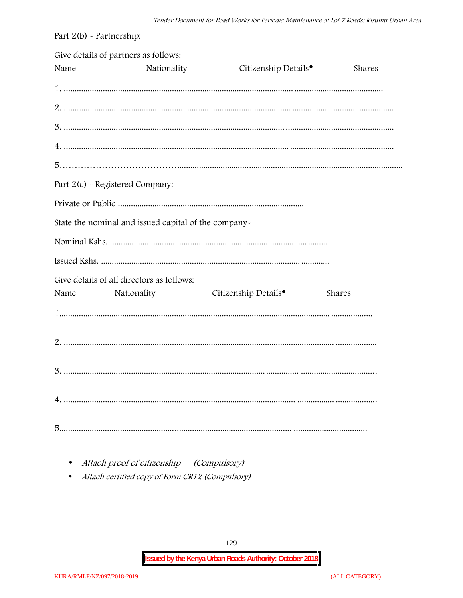| Part $2(b)$ - Partnership: |                                                          |                                  |        |
|----------------------------|----------------------------------------------------------|----------------------------------|--------|
| Name                       | Give details of partners as follows:<br>Nationality      | Citizenship Details <sup>•</sup> | Shares |
|                            |                                                          |                                  |        |
|                            |                                                          |                                  |        |
|                            |                                                          |                                  |        |
|                            |                                                          |                                  |        |
|                            |                                                          |                                  |        |
|                            | Part 2(c) - Registered Company:                          |                                  |        |
|                            |                                                          |                                  |        |
|                            | State the nominal and issued capital of the company-     |                                  |        |
|                            |                                                          |                                  |        |
|                            |                                                          |                                  |        |
| Name                       | Give details of all directors as follows:<br>Nationality | Citizenship Details <sup>•</sup> | Shares |
|                            |                                                          |                                  |        |
|                            |                                                          |                                  |        |
|                            |                                                          |                                  |        |
|                            |                                                          |                                  |        |
|                            |                                                          |                                  |        |

• Attach proof of citizenship (Compulsory)

• Attach certified copy of Form CR12 (Compulsory)

129

**Issued by the Kenya Urban Roads Authority: October 2018**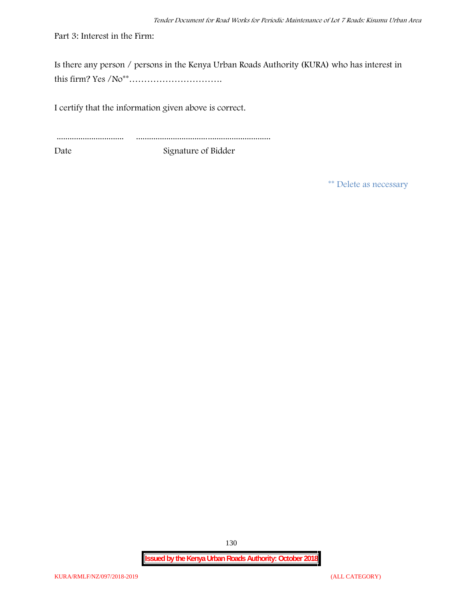Part 3: Interest in the Firm:

Is there any person / persons in the Kenya Urban Roads Authority (KURA) who has interest in this firm? Yes /No\*\*………………………….

I certify that the information given above is correct.

............................... .............................................................. Date Signature of Bidder

**\*\* Delete as necessary**

**Issued by the Kenya Urban Roads Authority: October 2018**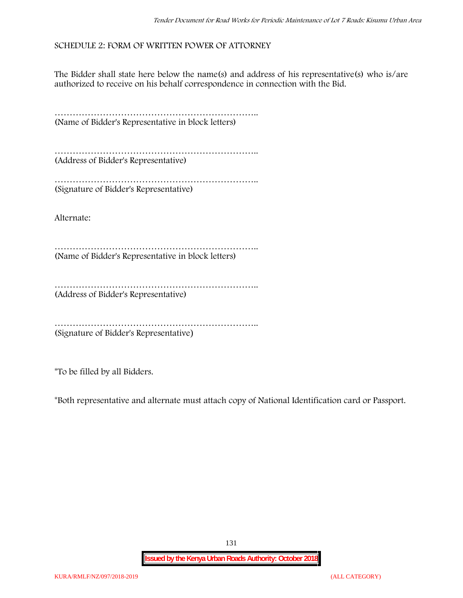#### **SCHEDULE 2: FORM OF WRITTEN POWER OF ATTORNEY**

The Bidder shall state here below the name(s) and address of his representative(s) who is/are authorized to receive on his behalf correspondence in connection with the Bid.

………………………………………………………….. (Name of Bidder's Representative in block letters)

………………………………………………………….. (Address of Bidder's Representative)

………………………………………………………….. (Signature of Bidder's Representative)

Alternate:

………………………………………………………….. (Name of Bidder's Representative in block letters)

………………………………………………………………………… (Address of Bidder's Representative)

………………………………………………………….. (Signature of Bidder's Representative)

\*To be filled by all Bidders.

\*Both representative and alternate **must** attach copy of National Identification card or Passport.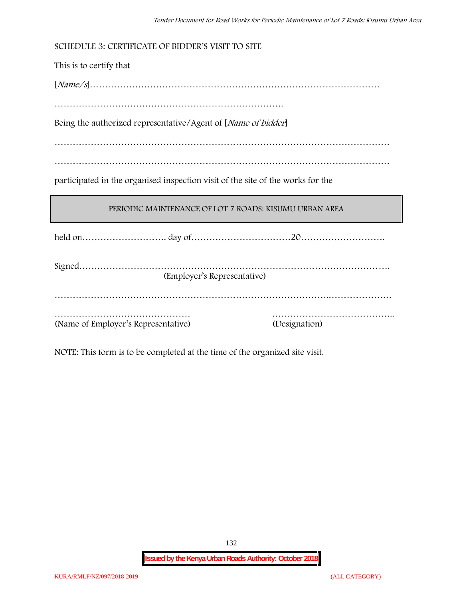| SCHEDULE 3: CERTIFICATE OF BIDDER'S VISIT TO SITE                               |  |  |
|---------------------------------------------------------------------------------|--|--|
| This is to certify that                                                         |  |  |
|                                                                                 |  |  |
|                                                                                 |  |  |
| Being the authorized representative/Agent of [Name of bidder]                   |  |  |
|                                                                                 |  |  |
|                                                                                 |  |  |
| participated in the organised inspection visit of the site of the works for the |  |  |
|                                                                                 |  |  |
| PERIODIC MAINTENANCE OF LOT 7 ROADS: KISUMU URBAN AREA                          |  |  |
|                                                                                 |  |  |
| (Employer's Representative)                                                     |  |  |

NOTE: This form is to be completed at the time of the organized site visit.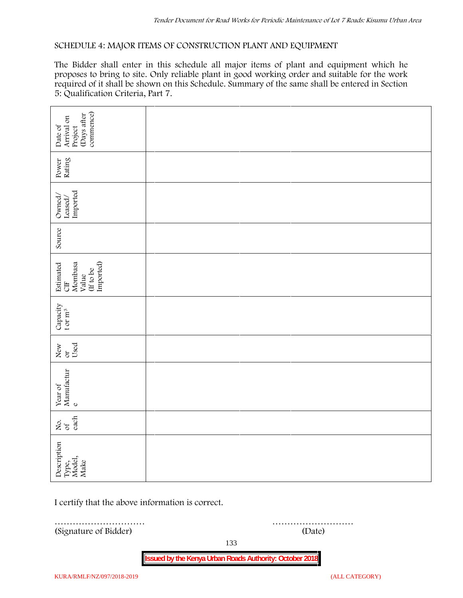#### **SCHEDULE 4: MAJOR ITEMS OF CONSTRUCTION PLANT AND EQUIPMENT**

The Bidder shall enter in this schedule all major items of plant and equipment which he proposes to bring to site. Only reliable plant in good working order and suitable for the work required of it shall be shown on this Schedule. Summary of the same shall be entered in Section 5: Qualification Criteria, Part 7.

| commence)<br>Days after<br>Arrival on<br>Date of<br>Project    |                                                  |  |  |
|----------------------------------------------------------------|--------------------------------------------------|--|--|
| Power<br>Rating                                                |                                                  |  |  |
| $\frac{\mbox{Leased}}{\mbox{imported}}$<br>Owned/              |                                                  |  |  |
| Source                                                         |                                                  |  |  |
| Imported)<br>Estimated<br>CIF<br>Mombasa<br>(If to be<br>Value |                                                  |  |  |
| Capacity t or $\mathbf{m}^3$                                   |                                                  |  |  |
| Used<br>New or                                                 |                                                  |  |  |
| Year of Manufactur $_{\rm e}$                                  |                                                  |  |  |
| each<br>Σό.                                                    |                                                  |  |  |
| Description<br>Type,<br>Model,<br>Make                         |                                                  |  |  |
|                                                                | I certify that the above information is correct. |  |  |
| (Signature of Bidder)                                          | .<br>(Date)                                      |  |  |

133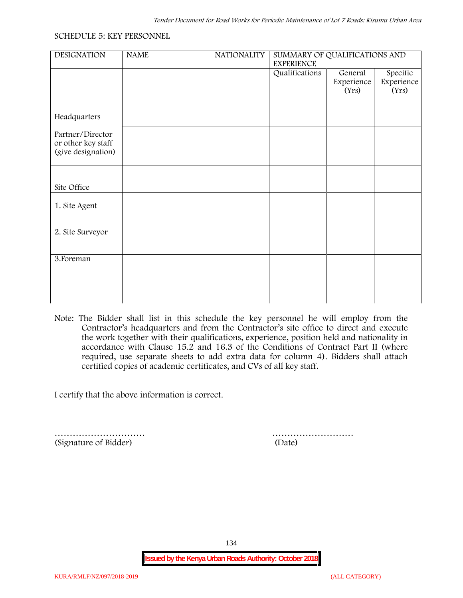#### **SCHEDULE 5: KEY PERSONNEL**

| <b>NAME</b> | <b>NATIONALITY</b> | SUMMARY OF QUALIFICATIONS AND |                                |                                 |  |
|-------------|--------------------|-------------------------------|--------------------------------|---------------------------------|--|
|             |                    | Qualifications                | General<br>Experience<br>(Yrs) | Specific<br>Experience<br>(Yrs) |  |
|             |                    |                               |                                |                                 |  |
|             |                    |                               |                                |                                 |  |
|             |                    |                               |                                |                                 |  |
|             |                    |                               |                                |                                 |  |
|             |                    |                               |                                |                                 |  |
|             |                    |                               |                                |                                 |  |
|             |                    |                               |                                |                                 |  |
|             |                    |                               |                                |                                 |  |
|             |                    |                               |                                |                                 |  |
|             |                    |                               |                                |                                 |  |
|             |                    |                               | <b>EXPERIENCE</b>              |                                 |  |

**Note:** The Bidder shall list in this schedule the key personnel he will employ from the Contractor's headquarters and from the Contractor's site office to direct and execute the work together with their qualifications, experience, position held and nationality in accordance with Clause 15.2 and 16.3 of the Conditions of Contract Part II (where required, use separate sheets to add extra data for column 4). Bidders shall attach certified copies of academic certificates, and CVs of all key staff.

I certify that the above information is correct.

(Signature of Bidder) (Date)

………………………… ………………………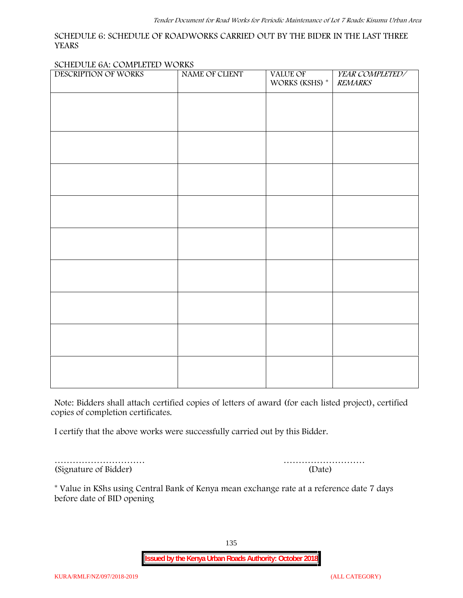#### **SCHEDULE 6: SCHEDULE OF ROADWORKS CARRIED OUT BY THE BIDER IN THE LAST THREE YEARS**

#### **SCHEDULE 6A: COMPLETED WORKS**

| DESCRIPTION OF WORKS | NAME OF CLIENT | VALUE OF<br>WORKS (KSHS) * | YEAR COMPLETED/<br><b>REMARKS</b> |
|----------------------|----------------|----------------------------|-----------------------------------|
|                      |                |                            |                                   |
|                      |                |                            |                                   |
|                      |                |                            |                                   |
|                      |                |                            |                                   |
|                      |                |                            |                                   |
|                      |                |                            |                                   |
|                      |                |                            |                                   |
|                      |                |                            |                                   |
|                      |                |                            |                                   |
|                      |                |                            |                                   |
|                      |                |                            |                                   |
|                      |                |                            |                                   |
|                      |                |                            |                                   |
|                      |                |                            |                                   |

**Note:** Bidders shall attach certified copies of letters of award (for each listed project), certified copies of completion certificates.

I certify that the above works were successfully carried out by this Bidder.

(Signature of Bidder) (Date)

………………………… ………………………

\* **Value in KShs using Central Bank of Kenya mean exchange rate at a reference date 7 days before date of BID opening**

135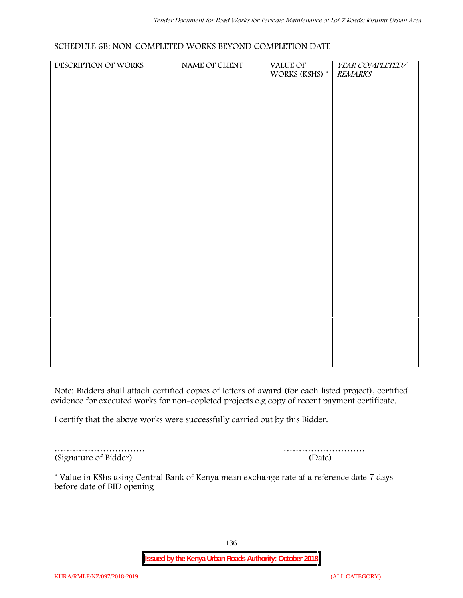#### **SCHEDULE 6B: NON-COMPLETED WORKS BEYOND COMPLETION DATE**

| DESCRIPTION OF WORKS | NAME OF CLIENT | VALUE OF<br>WORKS (KSHS) * | YEAR COMPLETED/<br><b>REMARKS</b> |
|----------------------|----------------|----------------------------|-----------------------------------|
|                      |                |                            |                                   |
|                      |                |                            |                                   |
|                      |                |                            |                                   |
|                      |                |                            |                                   |
|                      |                |                            |                                   |
|                      |                |                            |                                   |
|                      |                |                            |                                   |
|                      |                |                            |                                   |
|                      |                |                            |                                   |
|                      |                |                            |                                   |
|                      |                |                            |                                   |
|                      |                |                            |                                   |
|                      |                |                            |                                   |
|                      |                |                            |                                   |
|                      |                |                            |                                   |
|                      |                |                            |                                   |
|                      |                |                            |                                   |
|                      |                |                            |                                   |
|                      |                |                            |                                   |

**Note:** Bidders shall attach certified copies of letters of award (for each listed project), certified evidence for executed works for non-copleted projects e.g copy of recent payment certificate.

I certify that the above works were successfully carried out by this Bidder.

(Signature of Bidder) (Date)

………………………… ………………………

\* **Value in KShs using Central Bank of Kenya mean exchange rate at a reference date 7 days before date of BID opening**

136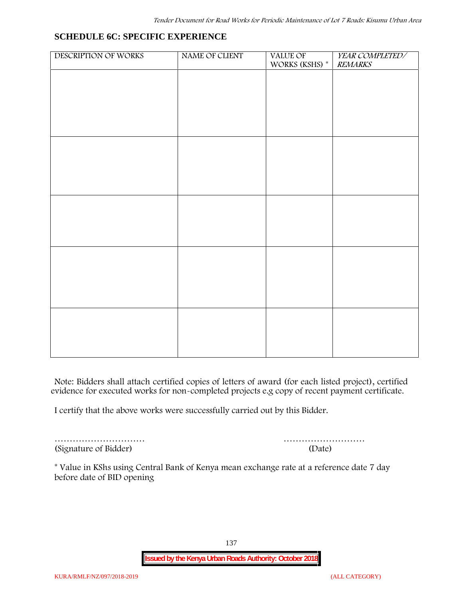#### **SCHEDULE 6C: SPECIFIC EXPERIENCE**

| DESCRIPTION OF WORKS | NAME OF CLIENT | VALUE OF<br>WORKS (KSHS) $^\ast$ | YEAR COMPLETED/<br><b>REMARKS</b> |
|----------------------|----------------|----------------------------------|-----------------------------------|
|                      |                |                                  |                                   |
|                      |                |                                  |                                   |
|                      |                |                                  |                                   |
|                      |                |                                  |                                   |
|                      |                |                                  |                                   |
|                      |                |                                  |                                   |
|                      |                |                                  |                                   |
|                      |                |                                  |                                   |
|                      |                |                                  |                                   |
|                      |                |                                  |                                   |
|                      |                |                                  |                                   |
|                      |                |                                  |                                   |
|                      |                |                                  |                                   |
|                      |                |                                  |                                   |
|                      |                |                                  |                                   |
|                      |                |                                  |                                   |
|                      |                |                                  |                                   |

**Note:** Bidders shall attach certified copies of letters of award (for each listed project), certified evidence for executed works for non-completed projects e.g copy of recent payment certificate.

I certify that the above works were successfully carried out by this Bidder.

(Signature of Bidder) (Date)

………………………… ………………………

\* **Value in KShs using Central Bank of Kenya mean exchange rate at a reference date 7 day before date of BID opening**

137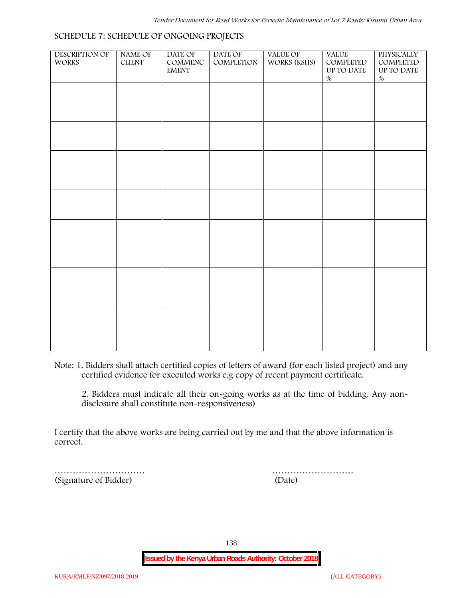#### **SCHEDULE 7: SCHEDULE OF ONGOING PROJECTS**

| DESCRIPTION OF<br><b>WORKS</b> | NAME OF<br><b>CLIENT</b> | DATE OF<br>$\mathsf{COMMENC}$<br><b>EMENT</b> | DATE OF<br>COMPLETION | VALUE OF<br>WORKS (KSHS) | <b>VALUE</b><br>COMPLETED<br>$\,$ UP TO DATE<br>$\%$ | PHYSICALLY<br>COMPLETED<br>$\,$ UP TO DATE<br>$\%$ |  |
|--------------------------------|--------------------------|-----------------------------------------------|-----------------------|--------------------------|------------------------------------------------------|----------------------------------------------------|--|
|                                |                          |                                               |                       |                          |                                                      |                                                    |  |
|                                |                          |                                               |                       |                          |                                                      |                                                    |  |
|                                |                          |                                               |                       |                          |                                                      |                                                    |  |
|                                |                          |                                               |                       |                          |                                                      |                                                    |  |
|                                |                          |                                               |                       |                          |                                                      |                                                    |  |
|                                |                          |                                               |                       |                          |                                                      |                                                    |  |
|                                |                          |                                               |                       |                          |                                                      |                                                    |  |
|                                |                          |                                               |                       |                          |                                                      |                                                    |  |
|                                |                          |                                               |                       |                          |                                                      |                                                    |  |

**Note:** 1. Bidders shall attach certified copies of letters of award (for each listed project) and any certified evidence for executed works e.g copy of recent payment certificate.

2. Bidders must indicate all their on-going works as at the time of bidding. Any non disclosure shall constitute non-responsiveness)

I certify that the above works are being carried out by me and that the above information is correct.

(Signature of Bidder) (Date)

………………………… ………………………

138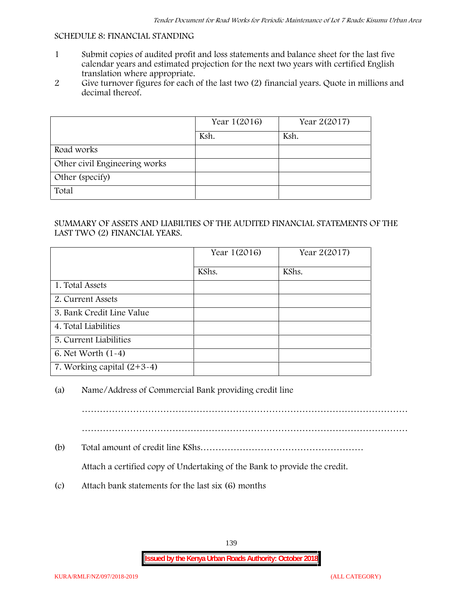#### **SCHEDULE 8: FINANCIAL STANDING**

- 1 Submit copies of audited profit and loss statements and balance sheet for the last five calendar years and estimated projection for the next two years with certified English translation where appropriate.
- 2 Give turnover figures for each of the last two (2) financial years. Quote in millions and decimal thereof.

|                               | Year 1(2016) | Year 2(2017) |
|-------------------------------|--------------|--------------|
|                               | Ksh.         | Ksh.         |
| Road works                    |              |              |
| Other civil Engineering works |              |              |
| Other (specify)               |              |              |
| Total                         |              |              |

#### SUMMARY OF ASSETS AND LIABILTIES OF THE AUDITED FINANCIAL STATEMENTS OF THE LAST TWO (2) FINANCIAL YEARS.

|                              | Year 1(2016) | Year 2(2017) |
|------------------------------|--------------|--------------|
|                              | KShs.        | KShs.        |
| 1. Total Assets              |              |              |
| 2. Current Assets            |              |              |
| 3. Bank Credit Line Value    |              |              |
| 4. Total Liabilities         |              |              |
| 5. Current Liabilities       |              |              |
| 6. Net Worth (1-4)           |              |              |
| 7. Working capital $(2+3-4)$ |              |              |

#### (a) Name/Address of Commercial Bank providing credit line

………………………………………………………………………………………………

………………………………………………………………………………………………

(b) Total amount of credit line KShs………………………………………………

Attach a certified copy of Undertaking of the Bank to provide the credit.

(c) Attach bank statements for the last six (6) months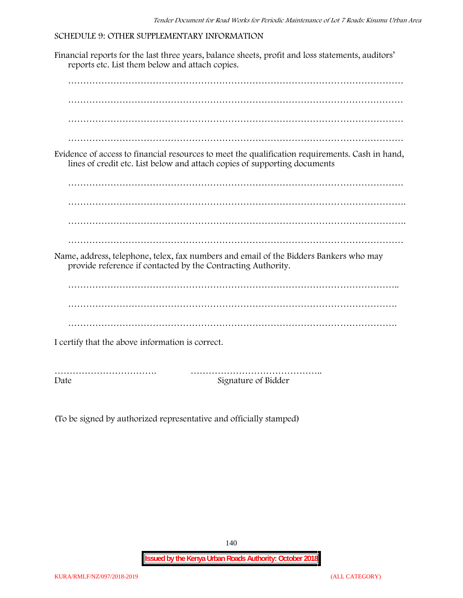#### **SCHEDULE 9: OTHER SUPPLEMENTARY INFORMATION**

Financial reports for the last three years, balance sheets, profit and loss statements, auditors' reports etc. List them below and attach copies. ………………………………………………………………………………………………… ………………………………………………………………………………………………… ………………………………………………………………………………………………… ………………………………………………………………………………………………… Evidence of access to financial resources to meet the qualification requirements. Cash in hand, lines of credit etc. List below and attach copies of supporting documents ………………………………………………………………………………………………… …………………………………………………………………………………………………. ………………………………………………………………………………………………… Name, address, telephone, telex, fax numbers and email of the Bidders Bankers who may provide reference if contacted by the Contracting Authority. ……………………………………………………………………………………………….. ………………………………………………………………………………………………. ………………………………………………………………………………………………. I certify that the above information is correct. ……………………………. …………………………………….. Date Signature of Bidder

(To be signed by authorized representative and officially stamped)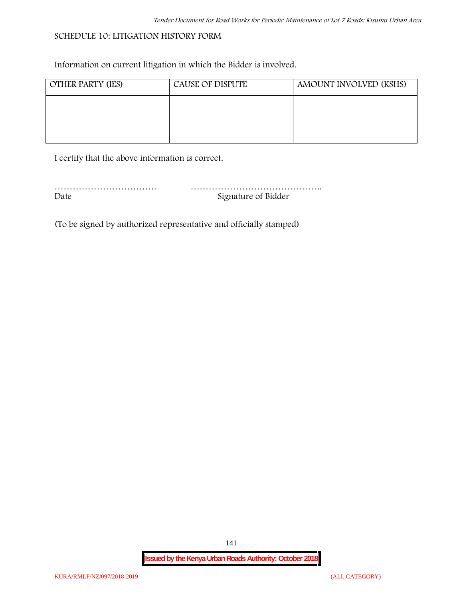#### **SCHEDULE 10: LITIGATION HISTORY FORM**

Information on current litigation in which the Bidder is involved.

| <b>OTHER PARTY (IES)</b> | <b>CAUSE OF DISPUTE</b> | AMOUNT INVOLVED (KSHS) |
|--------------------------|-------------------------|------------------------|
|                          |                         |                        |
|                          |                         |                        |
|                          |                         |                        |

I certify that the above information is correct.

| Date | Signature of Bidder |
|------|---------------------|

(To be signed by authorized representative and officially stamped)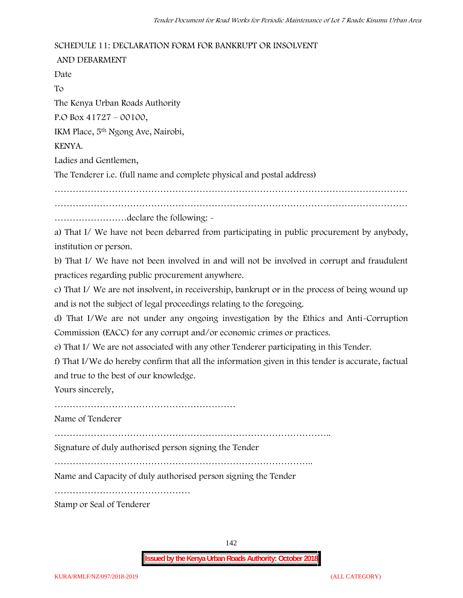#### **SCHEDULE 11: DECLARATION FORM FOR BANKRUPT OR INSOLVENT**

**AND DEBARMENT** Date To The Kenya Urban Roads Authority P.O Box 41727 – 00100, IKM Place, 5th Ngong Ave, Nairobi, KENYA. Ladies and Gentlemen, The Tenderer i.e. (full name and complete physical and postal address) ……………………………………………………………………………………………………… ……………………declare the following: a) That I/ We have not been debarred from participating in public procurement by anybody, institution or person.

b) That I/ We have not been involved in and will not be involved in corrupt and fraudulent practices regarding public procurement anywhere.

c) That I/ We are not insolvent, in receivership, bankrupt or in the process of being wound up and is not the subject of legal proceedings relating to the foregoing.

d) That I/We are not under any ongoing investigation by the Ethics and Anti-Corruption Commission (EACC) for any corrupt and/or economic crimes or practices.

e) That I/ We are not associated with any other Tenderer participating in this Tender.

f) That I/We do hereby confirm that all the information given in this tender is accurate, factual and true to the best of our knowledge.

Yours sincerely,

……………………………………………………

Name of Tenderer

………………………………………………………………………………..

Signature of duly authorised person signing the Tender

…………………………………………………………………………..

Name and Capacity of duly authorised person signing the Tender

………………………………………

Stamp or Seal of Tenderer

142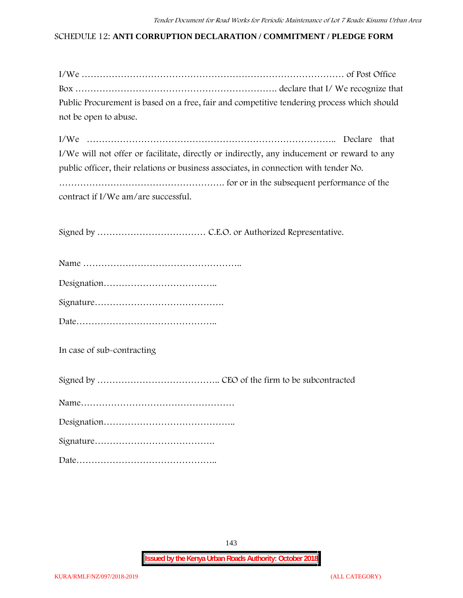#### **SCHEDULE 12: ANTI CORRUPTION DECLARATION / COMMITMENT / PLEDGE FORM**

| Public Procurement is based on a free, fair and competitive tendering process which should |  |
|--------------------------------------------------------------------------------------------|--|
| not be open to abuse.                                                                      |  |

| I/We will not offer or facilitate, directly or indirectly, any inducement or reward to any |  |
|--------------------------------------------------------------------------------------------|--|
| public officer, their relations or business associates, in connection with tender No.      |  |
|                                                                                            |  |
| contract if I/We am/are successful.                                                        |  |

Signed by ……………………………… C.E.O. or Authorized Representative.

**In case of sub-contracting**

Signed by ………………………………….. CEO of the firm to be subcontracted

|--|

Signature………………………………….

Date………………………………………..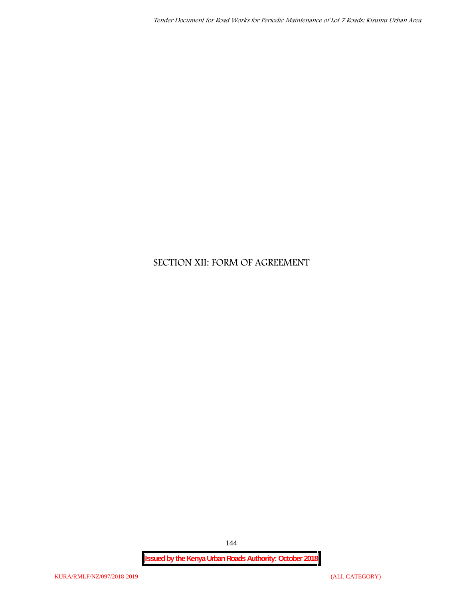## **SECTION XII: FORM OF AGREEMENT**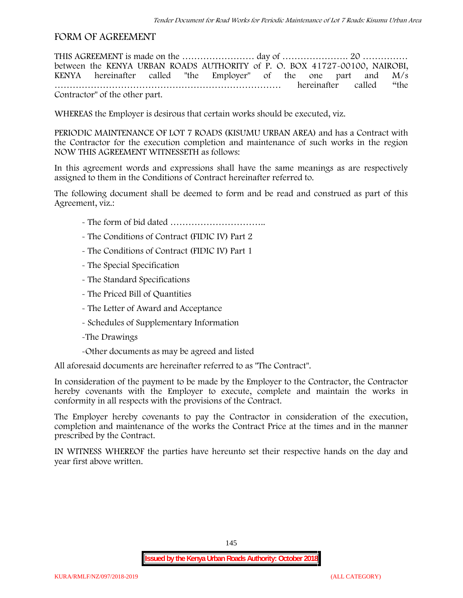## **FORM OF AGREEMENT**

THIS AGREEMENT is made on the …………………… day of …………………. 20 …………… between the **KENYA URBAN ROADS AUTHORITY** of **P. O. BOX 41727-00100, NAIROBI, KENYA** hereinafter called "the Employer" of the one part and **M/s …………………………………………………………………** hereinafter called "the Contractor" of the other part.

WHEREAS the Employer is desirous that certain works should be executed, viz.

**PERIODIC MAINTENANCE OF LOT 7 ROADS (KISUMU URBAN AREA)** and has a Contract with the Contractor for the execution completion and maintenance of such works in the region NOW THIS AGREEMENT WITNESSETH as follows:

In this agreement words and expressions shall have the same meanings as are respectively assigned to them in the Conditions of Contract hereinafter referred to.

The following document shall be deemed to form and be read and construed as part of this Agreement, viz.:

- The form of bid dated **…………………………..**
- The Conditions of Contract (FIDIC IV) Part 2
- The Conditions of Contract (FIDIC IV) Part 1
- The Special Specification
- The Standard Specifications
- The Priced Bill of Quantities
- The Letter of Award and Acceptance
- Schedules of Supplementary Information
- -The Drawings
- -Other documents as may be agreed and listed

All aforesaid documents are hereinafter referred to as "The Contract".

In consideration of the payment to be made by the Employer to the Contractor, the Contractor hereby covenants with the Employer to execute, complete and maintain the works in conformity in all respects with the provisions of the Contract.

The Employer hereby covenants to pay the Contractor in consideration of the execution, completion and maintenance of the works the Contract Price at the times and in the manner prescribed by the Contract.

IN WITNESS WHEREOF the parties have hereunto set their respective hands on the day and year first above written.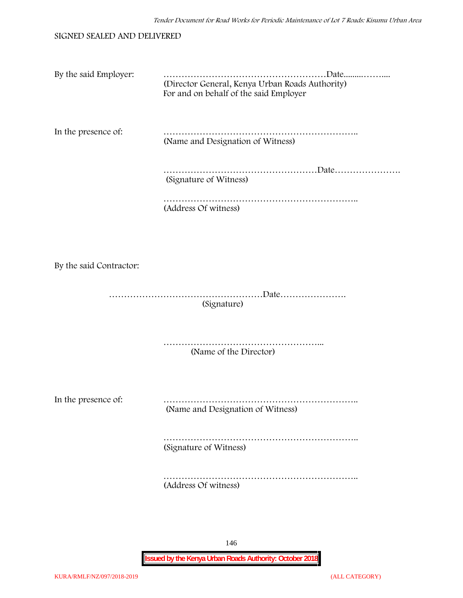#### SIGNED SEALED AND DELIVERED

| By the said Employer:   | (Director General, Kenya Urban Roads Authority)<br>For and on behalf of the said Employer |
|-------------------------|-------------------------------------------------------------------------------------------|
| In the presence of:     | (Name and Designation of Witness)                                                         |
|                         | (Signature of Witness)                                                                    |
|                         | (Address Of witness)                                                                      |
|                         |                                                                                           |
| By the said Contractor: |                                                                                           |
|                         | (Signature)                                                                               |
|                         | (Name of the Director)                                                                    |
| In the presence of:     | (Name and Designation of Witness)                                                         |
|                         | (Signature of Witness)                                                                    |
|                         | (Address Of witness)                                                                      |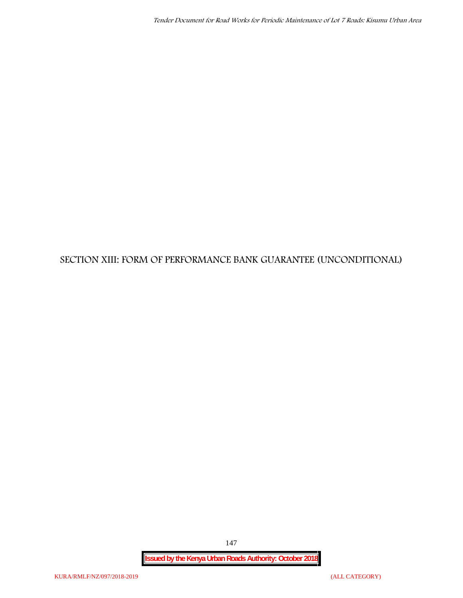# **SECTION XIII: FORM OF PERFORMANCE BANK GUARANTEE (UNCONDITIONAL)**